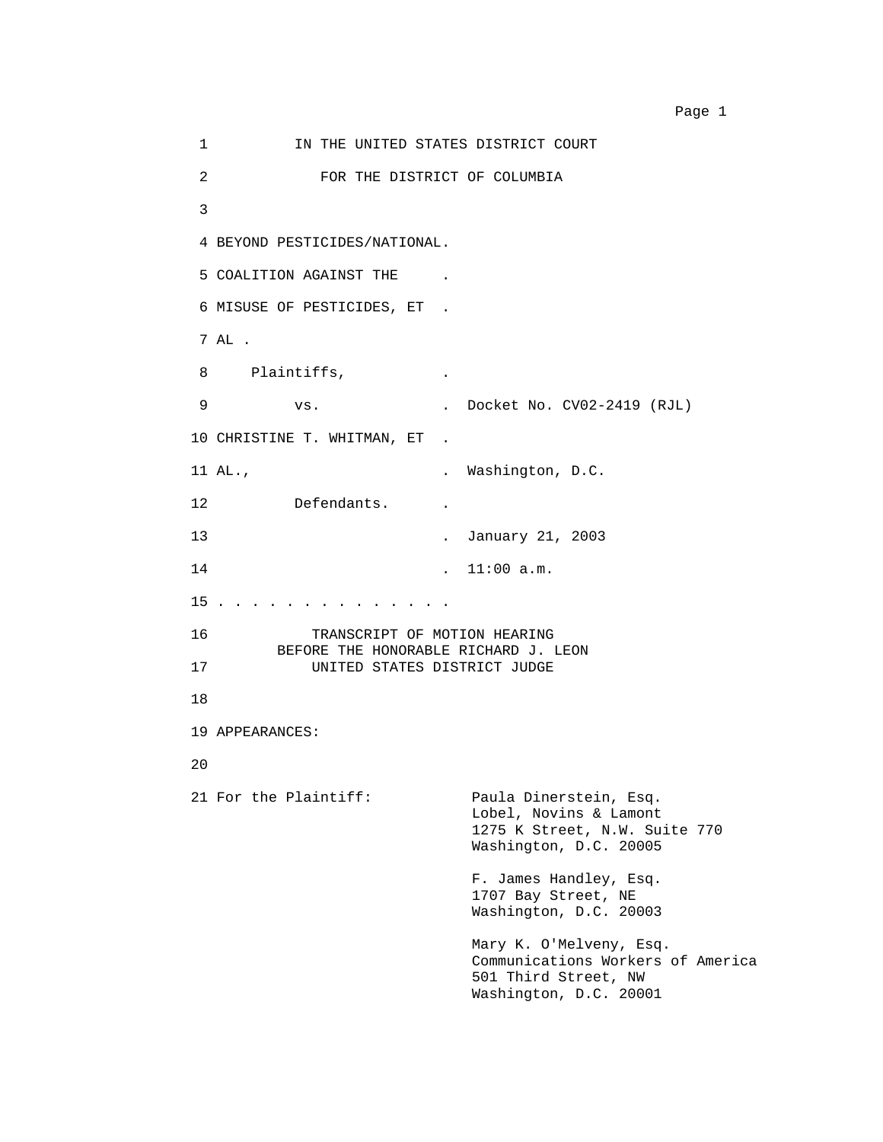1 **IN THE UNITED STATES DISTRICT COURT** 2 FOR THE DISTRICT OF COLUMBIA 3 4 BEYOND PESTICIDES/NATIONAL. 5 COALITION AGAINST THE . 6 MISUSE OF PESTICIDES, ET . 7 AL . 8 Plaintiffs, . 9 vs. . Docket No. CV02-2419 (RJL) 10 CHRISTINE T. WHITMAN, ET . 11 AL., Nashington, D.C. 12 Defendants. . 13 . January 21, 2003 14 . 11:00 a.m. 15 . . . . . . . . . . . . . . 16 TRANSCRIPT OF MOTION HEARING BEFORE THE HONORABLE RICHARD J. LEON 17 UNITED STATES DISTRICT JUDGE 18 19 APPEARANCES: 20 21 For the Plaintiff: Paula Dinerstein, Esq. Lobel, Novins & Lamont 1275 K Street, N.W. Suite 770 Washington, D.C. 20005 F. James Handley, Esq. 1707 Bay Street, NE Washington, D.C. 20003 Mary K. O'Melveny, Esq. Communications Workers of America 501 Third Street, NW Washington, D.C. 20001

Page 1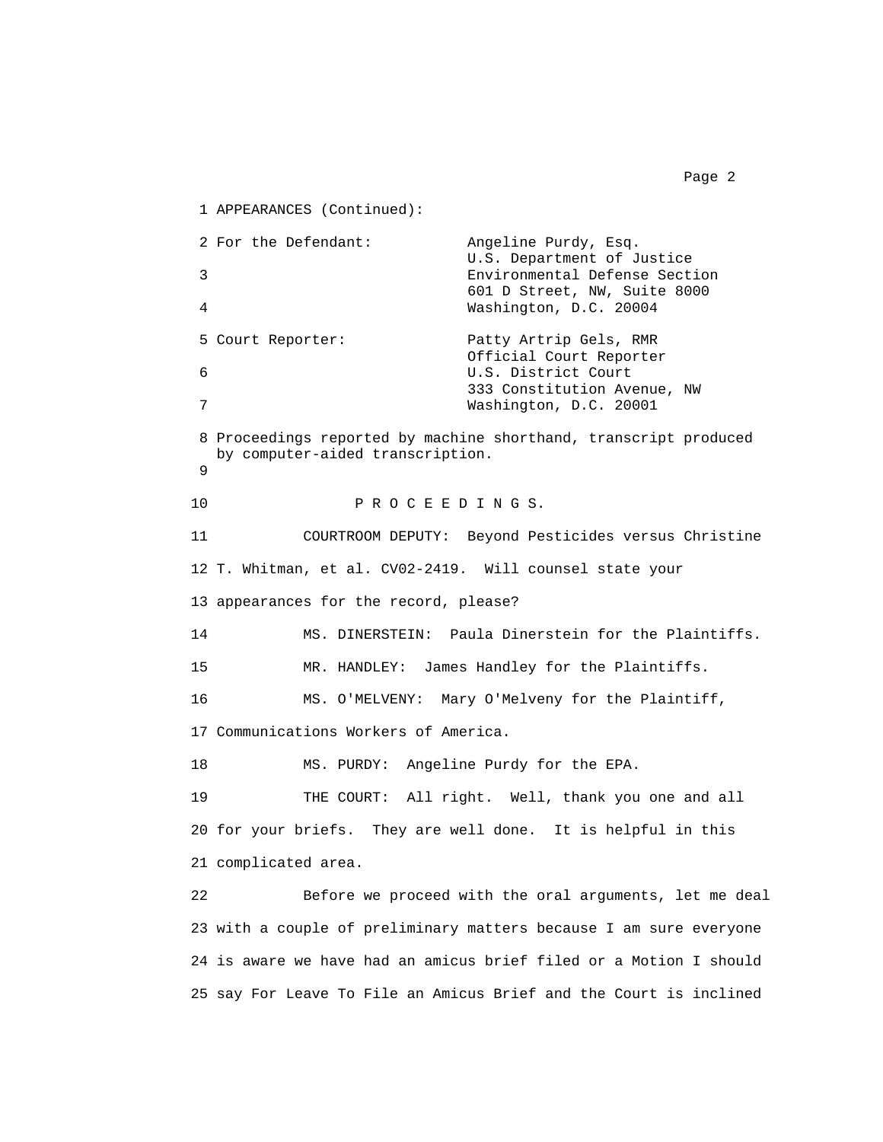1 APPEARANCES (Continued): 2 For the Defendant: Angeline Purdy, Esq. U.S. Department of Justice 3 Environmental Defense Section 601 D Street, NW, Suite 8000 4 Washington, D.C. 20004 5 Court Reporter: Patty Artrip Gels, RMR Official Court Reporter 6 U.S. District Court 333 Constitution Avenue, NW 7 Washington, D.C. 20001 8 Proceedings reported by machine shorthand, transcript produced by computer-aided transcription. 9 10 PROCEEDINGS. 11 COURTROOM DEPUTY: Beyond Pesticides versus Christine 12 T. Whitman, et al. CV02-2419. Will counsel state your 13 appearances for the record, please? 14 MS. DINERSTEIN: Paula Dinerstein for the Plaintiffs. 15 MR. HANDLEY: James Handley for the Plaintiffs. 16 MS. O'MELVENY: Mary O'Melveny for the Plaintiff, 17 Communications Workers of America. 18 MS. PURDY: Angeline Purdy for the EPA. 19 THE COURT: All right. Well, thank you one and all 20 for your briefs. They are well done. It is helpful in this 21 complicated area. 22 Before we proceed with the oral arguments, let me deal 23 with a couple of preliminary matters because I am sure everyone 24 is aware we have had an amicus brief filed or a Motion I should

25 say For Leave To File an Amicus Brief and the Court is inclined

Page 2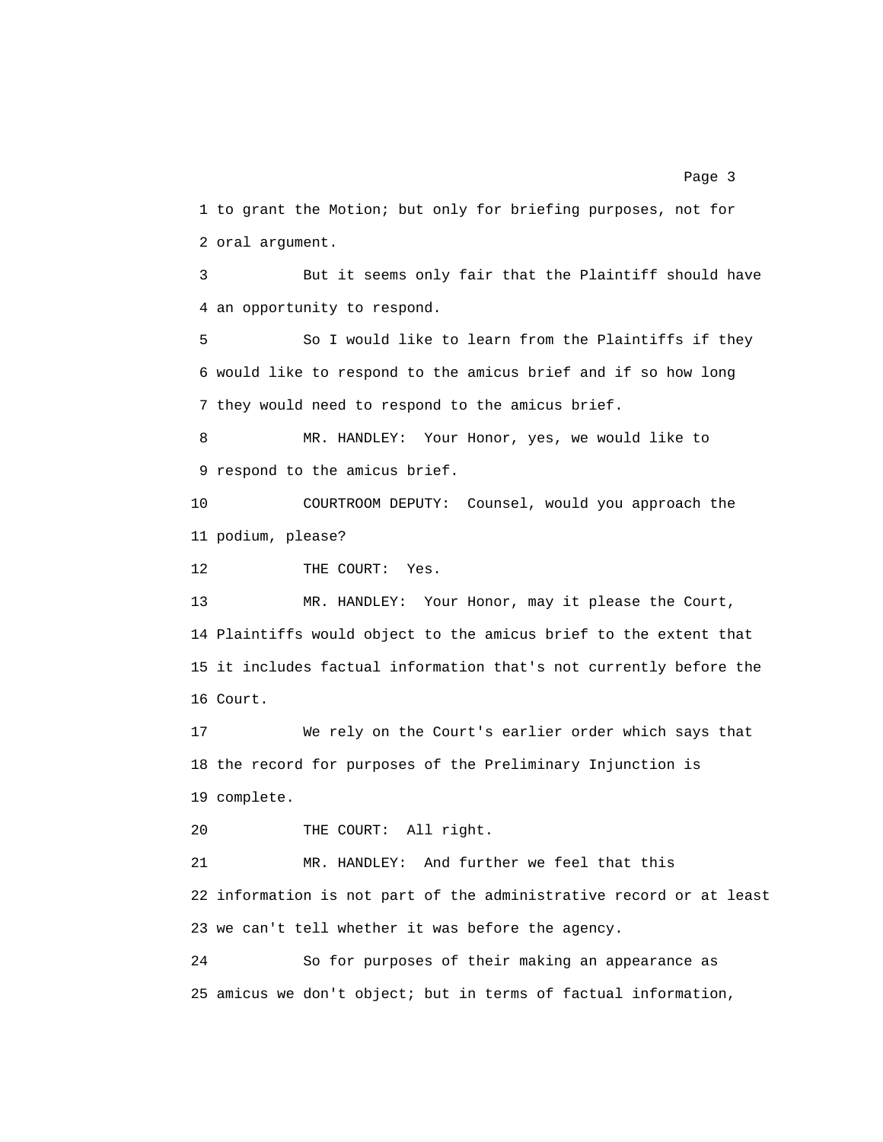1 to grant the Motion; but only for briefing purposes, not for 2 oral argument.

3 But it seems only fair that the Plaintiff should have 4 an opportunity to respond.

5 So I would like to learn from the Plaintiffs if they 6 would like to respond to the amicus brief and if so how long 7 they would need to respond to the amicus brief.

8 MR. HANDLEY: Your Honor, yes, we would like to 9 respond to the amicus brief.

10 COURTROOM DEPUTY: Counsel, would you approach the 11 podium, please?

12 THE COURT: Yes.

13 MR. HANDLEY: Your Honor, may it please the Court, 14 Plaintiffs would object to the amicus brief to the extent that 15 it includes factual information that's not currently before the 16 Court.

17 We rely on the Court's earlier order which says that 18 the record for purposes of the Preliminary Injunction is 19 complete.

20 THE COURT: All right.

21 MR. HANDLEY: And further we feel that this 22 information is not part of the administrative record or at least 23 we can't tell whether it was before the agency.

24 So for purposes of their making an appearance as 25 amicus we don't object; but in terms of factual information,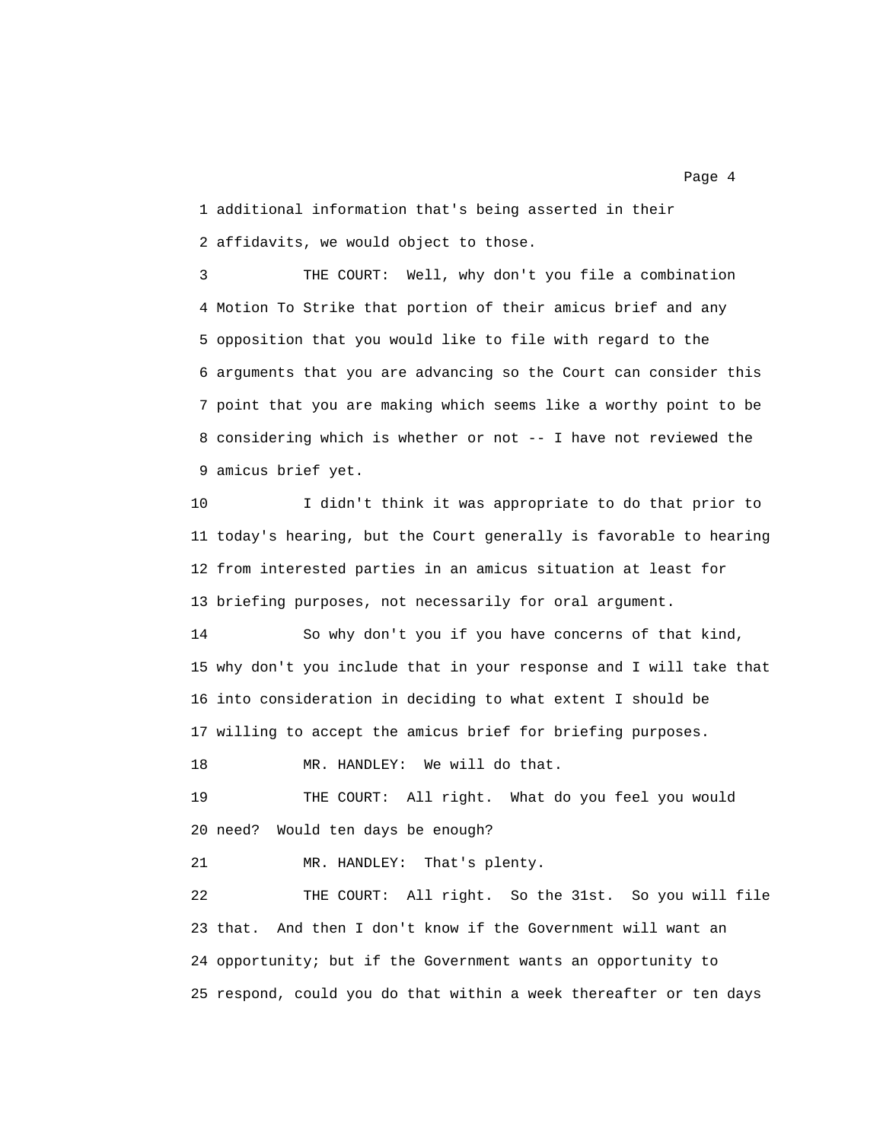1 additional information that's being asserted in their 2 affidavits, we would object to those.

3 THE COURT: Well, why don't you file a combination 4 Motion To Strike that portion of their amicus brief and any 5 opposition that you would like to file with regard to the 6 arguments that you are advancing so the Court can consider this 7 point that you are making which seems like a worthy point to be 8 considering which is whether or not -- I have not reviewed the 9 amicus brief yet.

10 I didn't think it was appropriate to do that prior to 11 today's hearing, but the Court generally is favorable to hearing 12 from interested parties in an amicus situation at least for 13 briefing purposes, not necessarily for oral argument.

14 So why don't you if you have concerns of that kind, 15 why don't you include that in your response and I will take that 16 into consideration in deciding to what extent I should be 17 willing to accept the amicus brief for briefing purposes.

18 MR. HANDLEY: We will do that.

19 THE COURT: All right. What do you feel you would 20 need? Would ten days be enough?

21 MR. HANDLEY: That's plenty.

22 THE COURT: All right. So the 31st. So you will file 23 that. And then I don't know if the Government will want an 24 opportunity; but if the Government wants an opportunity to 25 respond, could you do that within a week thereafter or ten days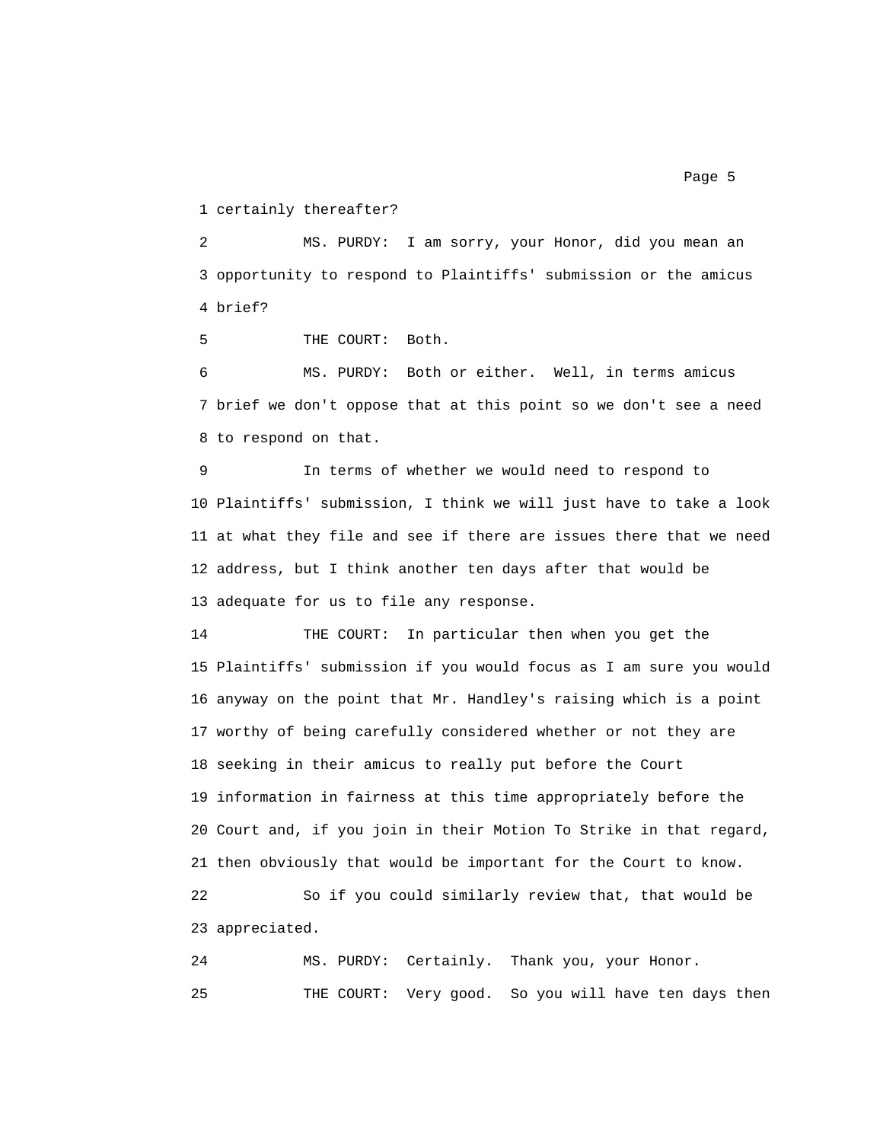1 certainly thereafter?

2 MS. PURDY: I am sorry, your Honor, did you mean an 3 opportunity to respond to Plaintiffs' submission or the amicus 4 brief?

5 THE COURT: Both.

6 MS. PURDY: Both or either. Well, in terms amicus 7 brief we don't oppose that at this point so we don't see a need 8 to respond on that.

9 In terms of whether we would need to respond to 10 Plaintiffs' submission, I think we will just have to take a look 11 at what they file and see if there are issues there that we need 12 address, but I think another ten days after that would be 13 adequate for us to file any response.

14 THE COURT: In particular then when you get the 15 Plaintiffs' submission if you would focus as I am sure you would 16 anyway on the point that Mr. Handley's raising which is a point 17 worthy of being carefully considered whether or not they are 18 seeking in their amicus to really put before the Court 19 information in fairness at this time appropriately before the 20 Court and, if you join in their Motion To Strike in that regard, 21 then obviously that would be important for the Court to know.

22 So if you could similarly review that, that would be 23 appreciated.

24 MS. PURDY: Certainly. Thank you, your Honor. 25 THE COURT: Very good. So you will have ten days then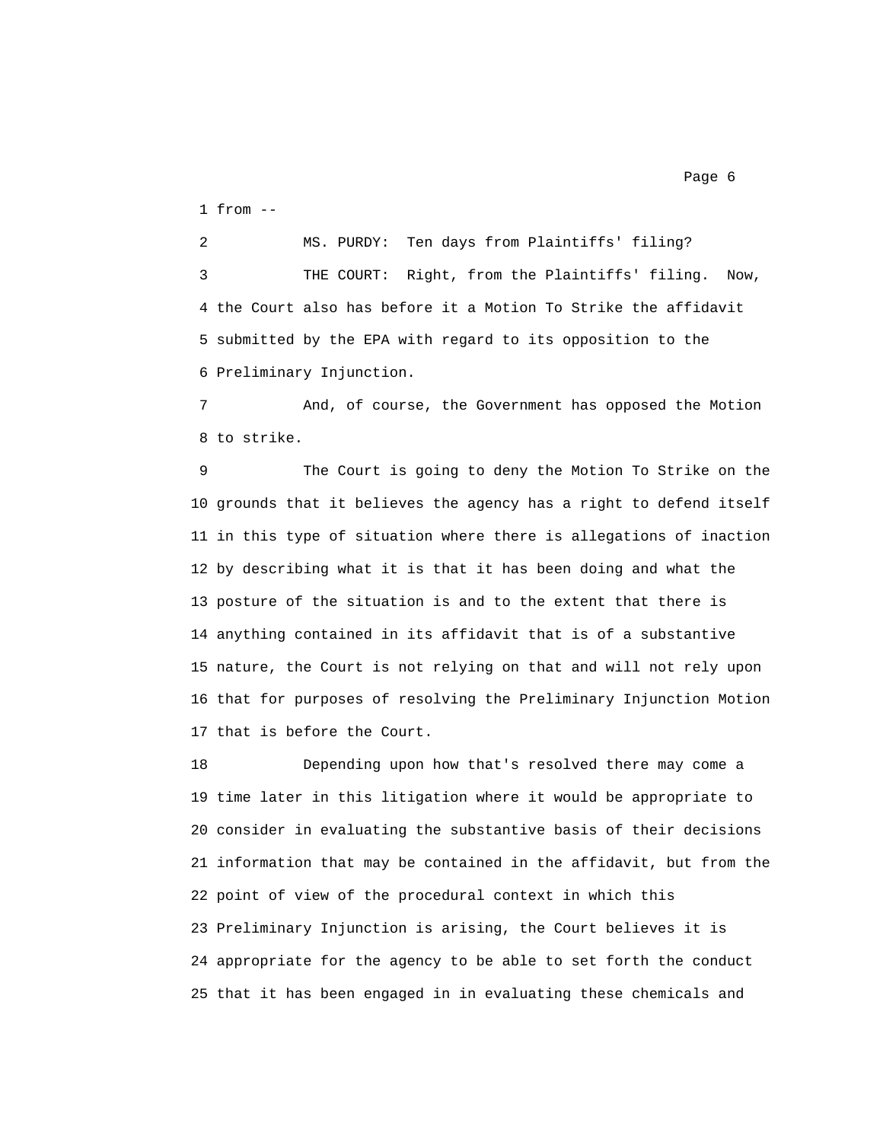1 from --

2 MS. PURDY: Ten days from Plaintiffs' filing? 3 THE COURT: Right, from the Plaintiffs' filing. Now, 4 the Court also has before it a Motion To Strike the affidavit 5 submitted by the EPA with regard to its opposition to the 6 Preliminary Injunction.

7 And, of course, the Government has opposed the Motion 8 to strike.

9 The Court is going to deny the Motion To Strike on the 10 grounds that it believes the agency has a right to defend itself 11 in this type of situation where there is allegations of inaction 12 by describing what it is that it has been doing and what the 13 posture of the situation is and to the extent that there is 14 anything contained in its affidavit that is of a substantive 15 nature, the Court is not relying on that and will not rely upon 16 that for purposes of resolving the Preliminary Injunction Motion 17 that is before the Court.

18 Depending upon how that's resolved there may come a 19 time later in this litigation where it would be appropriate to 20 consider in evaluating the substantive basis of their decisions 21 information that may be contained in the affidavit, but from the 22 point of view of the procedural context in which this 23 Preliminary Injunction is arising, the Court believes it is 24 appropriate for the agency to be able to set forth the conduct 25 that it has been engaged in in evaluating these chemicals and

Page 6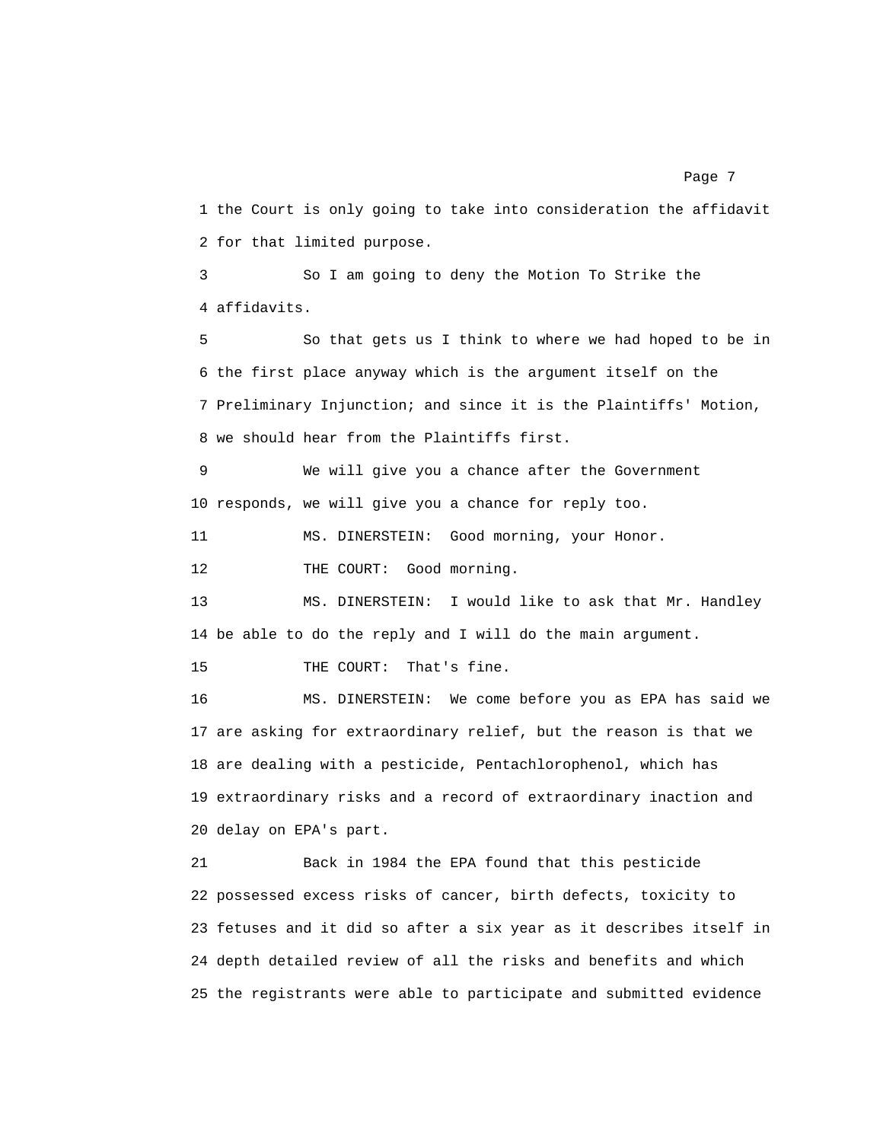1 the Court is only going to take into consideration the affidavit 2 for that limited purpose.

3 So I am going to deny the Motion To Strike the 4 affidavits.

5 So that gets us I think to where we had hoped to be in 6 the first place anyway which is the argument itself on the 7 Preliminary Injunction; and since it is the Plaintiffs' Motion, 8 we should hear from the Plaintiffs first.

9 We will give you a chance after the Government 10 responds, we will give you a chance for reply too.

11 MS. DINERSTEIN: Good morning, your Honor.

12 THE COURT: Good morning.

13 MS. DINERSTEIN: I would like to ask that Mr. Handley 14 be able to do the reply and I will do the main argument.

15 THE COURT: That's fine.

16 MS. DINERSTEIN: We come before you as EPA has said we 17 are asking for extraordinary relief, but the reason is that we 18 are dealing with a pesticide, Pentachlorophenol, which has 19 extraordinary risks and a record of extraordinary inaction and 20 delay on EPA's part.

21 Back in 1984 the EPA found that this pesticide 22 possessed excess risks of cancer, birth defects, toxicity to 23 fetuses and it did so after a six year as it describes itself in 24 depth detailed review of all the risks and benefits and which 25 the registrants were able to participate and submitted evidence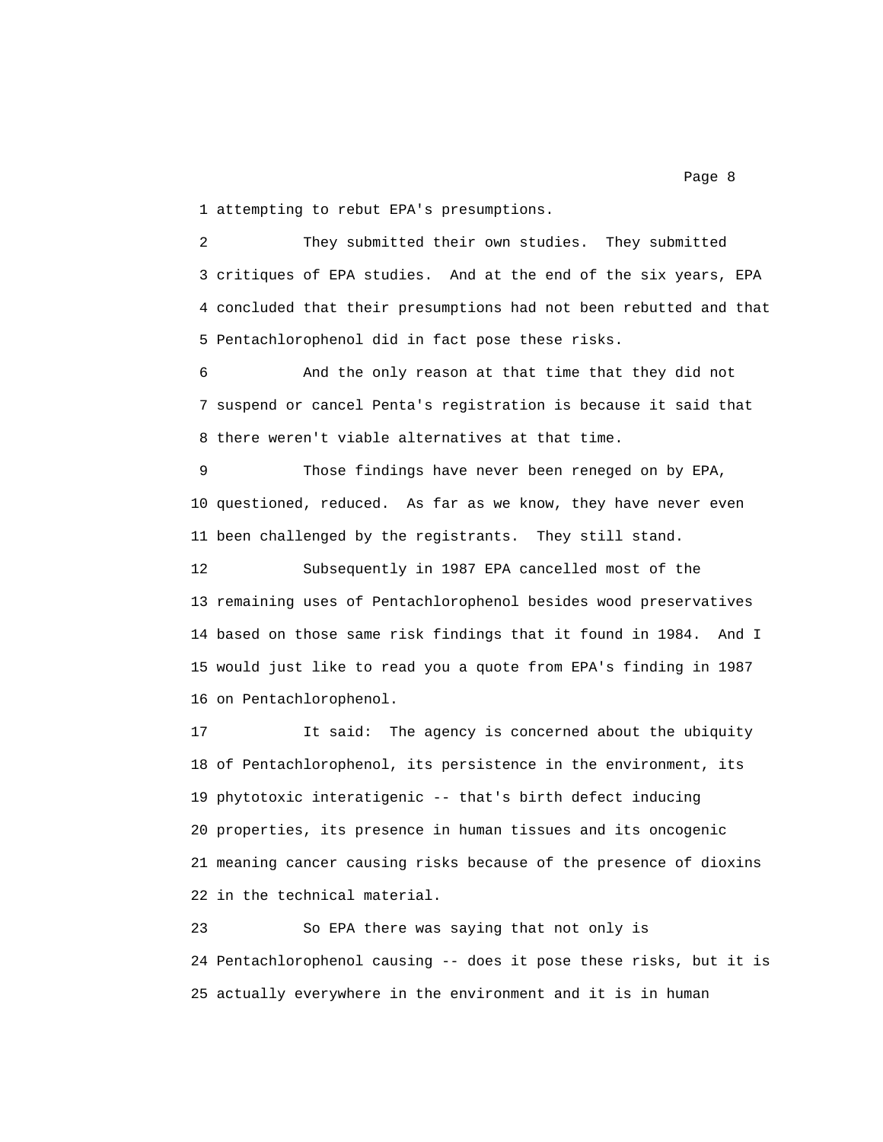1 attempting to rebut EPA's presumptions.

2 They submitted their own studies. They submitted 3 critiques of EPA studies. And at the end of the six years, EPA 4 concluded that their presumptions had not been rebutted and that 5 Pentachlorophenol did in fact pose these risks.

6 And the only reason at that time that they did not 7 suspend or cancel Penta's registration is because it said that 8 there weren't viable alternatives at that time.

9 Those findings have never been reneged on by EPA, 10 questioned, reduced. As far as we know, they have never even 11 been challenged by the registrants. They still stand.

12 Subsequently in 1987 EPA cancelled most of the 13 remaining uses of Pentachlorophenol besides wood preservatives 14 based on those same risk findings that it found in 1984. And I 15 would just like to read you a quote from EPA's finding in 1987 16 on Pentachlorophenol.

17 It said: The agency is concerned about the ubiquity 18 of Pentachlorophenol, its persistence in the environment, its 19 phytotoxic interatigenic -- that's birth defect inducing 20 properties, its presence in human tissues and its oncogenic 21 meaning cancer causing risks because of the presence of dioxins 22 in the technical material.

23 So EPA there was saying that not only is 24 Pentachlorophenol causing -- does it pose these risks, but it is 25 actually everywhere in the environment and it is in human

Page 8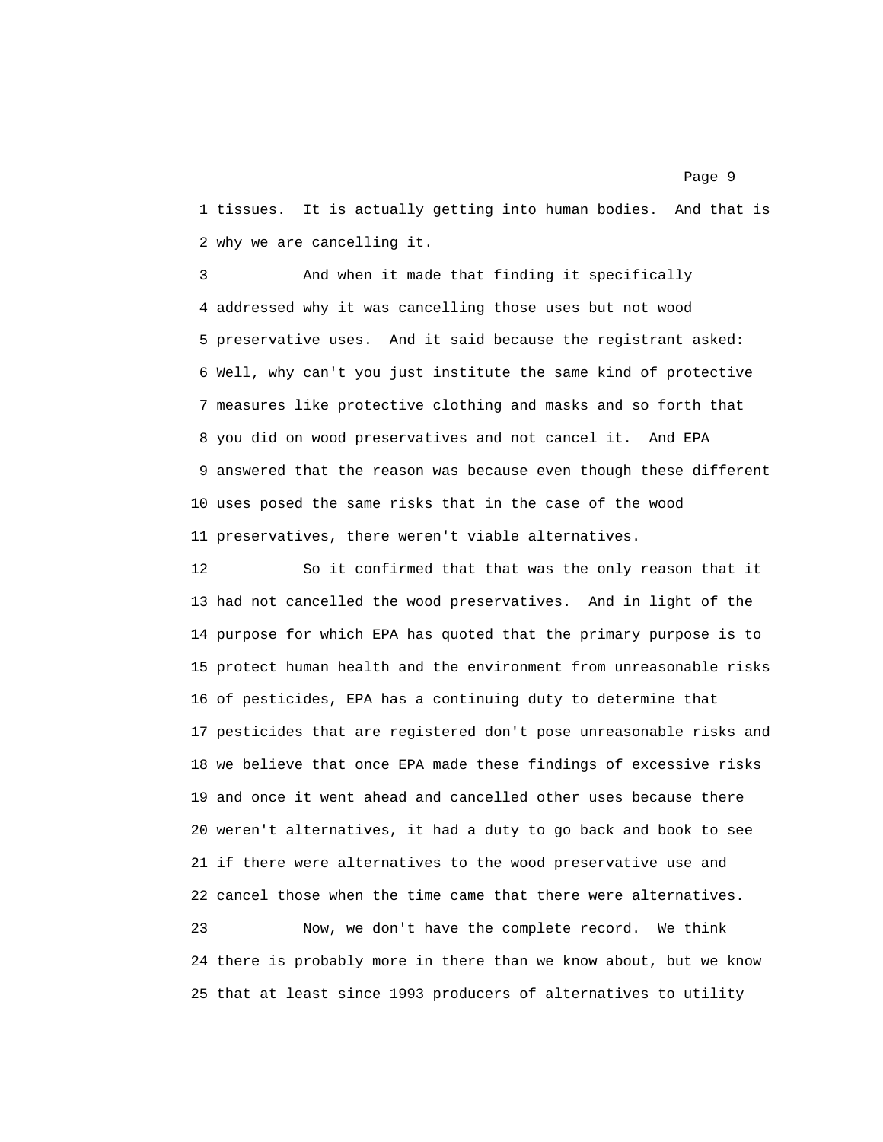1 tissues. It is actually getting into human bodies. And that is 2 why we are cancelling it.

3 And when it made that finding it specifically 4 addressed why it was cancelling those uses but not wood 5 preservative uses. And it said because the registrant asked: 6 Well, why can't you just institute the same kind of protective 7 measures like protective clothing and masks and so forth that 8 you did on wood preservatives and not cancel it. And EPA 9 answered that the reason was because even though these different 10 uses posed the same risks that in the case of the wood 11 preservatives, there weren't viable alternatives.

12 So it confirmed that that was the only reason that it 13 had not cancelled the wood preservatives. And in light of the 14 purpose for which EPA has quoted that the primary purpose is to 15 protect human health and the environment from unreasonable risks 16 of pesticides, EPA has a continuing duty to determine that 17 pesticides that are registered don't pose unreasonable risks and 18 we believe that once EPA made these findings of excessive risks 19 and once it went ahead and cancelled other uses because there 20 weren't alternatives, it had a duty to go back and book to see 21 if there were alternatives to the wood preservative use and 22 cancel those when the time came that there were alternatives.

23 Now, we don't have the complete record. We think 24 there is probably more in there than we know about, but we know 25 that at least since 1993 producers of alternatives to utility

## Page 9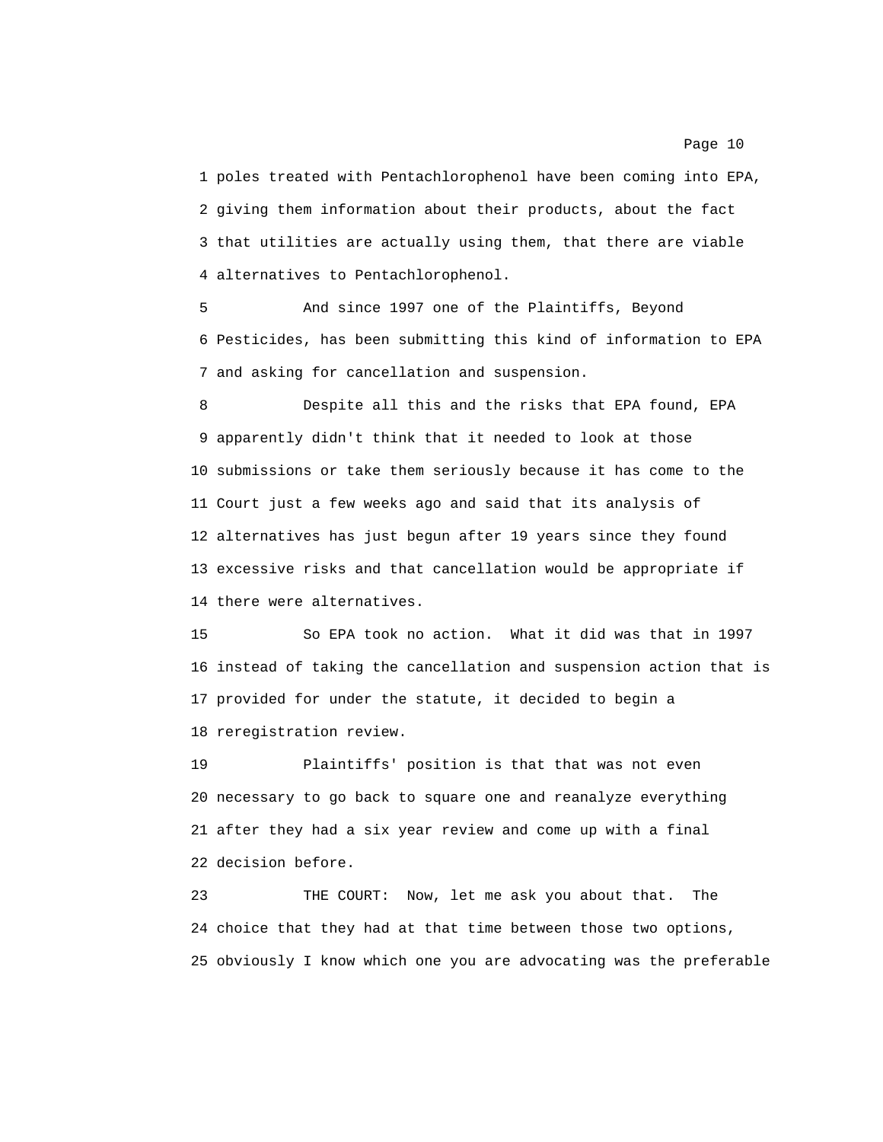1 poles treated with Pentachlorophenol have been coming into EPA, 2 giving them information about their products, about the fact 3 that utilities are actually using them, that there are viable 4 alternatives to Pentachlorophenol.

5 And since 1997 one of the Plaintiffs, Beyond 6 Pesticides, has been submitting this kind of information to EPA 7 and asking for cancellation and suspension.

8 Despite all this and the risks that EPA found, EPA 9 apparently didn't think that it needed to look at those 10 submissions or take them seriously because it has come to the 11 Court just a few weeks ago and said that its analysis of 12 alternatives has just begun after 19 years since they found 13 excessive risks and that cancellation would be appropriate if 14 there were alternatives.

15 So EPA took no action. What it did was that in 1997 16 instead of taking the cancellation and suspension action that is 17 provided for under the statute, it decided to begin a 18 reregistration review.

19 Plaintiffs' position is that that was not even 20 necessary to go back to square one and reanalyze everything 21 after they had a six year review and come up with a final 22 decision before.

23 THE COURT: Now, let me ask you about that. The 24 choice that they had at that time between those two options, 25 obviously I know which one you are advocating was the preferable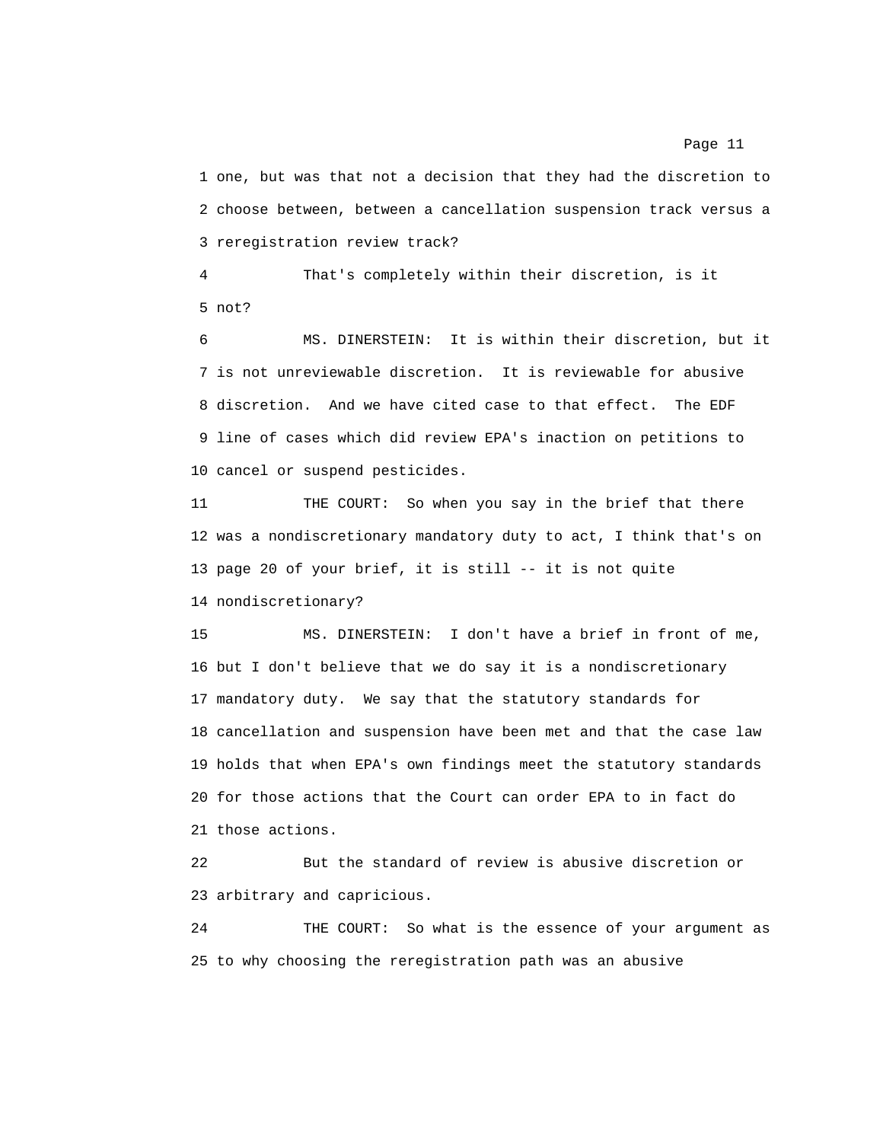1 one, but was that not a decision that they had the discretion to 2 choose between, between a cancellation suspension track versus a 3 reregistration review track?

4 That's completely within their discretion, is it 5 not?

6 MS. DINERSTEIN: It is within their discretion, but it 7 is not unreviewable discretion. It is reviewable for abusive 8 discretion. And we have cited case to that effect. The EDF 9 line of cases which did review EPA's inaction on petitions to 10 cancel or suspend pesticides.

11 THE COURT: So when you say in the brief that there 12 was a nondiscretionary mandatory duty to act, I think that's on 13 page 20 of your brief, it is still -- it is not quite 14 nondiscretionary?

15 MS. DINERSTEIN: I don't have a brief in front of me, 16 but I don't believe that we do say it is a nondiscretionary 17 mandatory duty. We say that the statutory standards for 18 cancellation and suspension have been met and that the case law 19 holds that when EPA's own findings meet the statutory standards 20 for those actions that the Court can order EPA to in fact do 21 those actions.

22 But the standard of review is abusive discretion or 23 arbitrary and capricious.

24 THE COURT: So what is the essence of your argument as 25 to why choosing the reregistration path was an abusive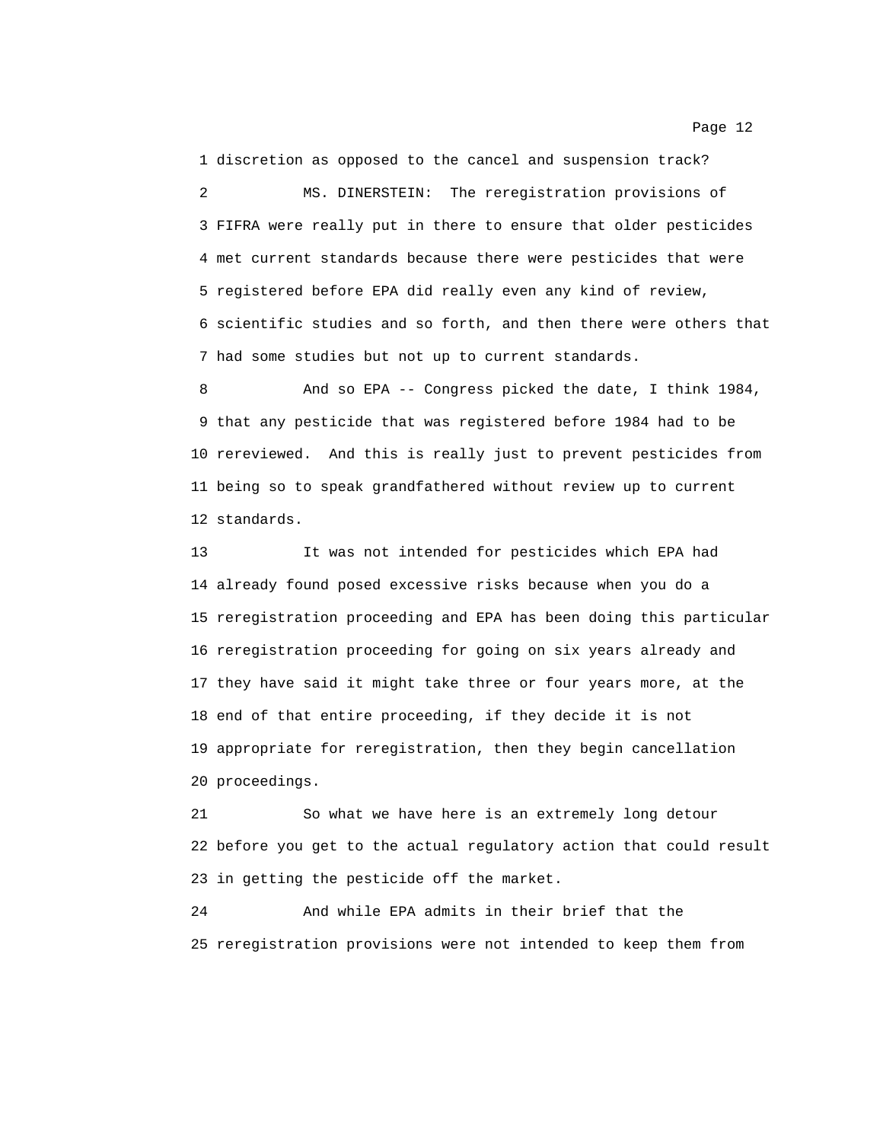1 discretion as opposed to the cancel and suspension track?

2 MS. DINERSTEIN: The reregistration provisions of 3 FIFRA were really put in there to ensure that older pesticides 4 met current standards because there were pesticides that were 5 registered before EPA did really even any kind of review, 6 scientific studies and so forth, and then there were others that 7 had some studies but not up to current standards.

8 And so EPA -- Congress picked the date, I think 1984, 9 that any pesticide that was registered before 1984 had to be 10 rereviewed. And this is really just to prevent pesticides from 11 being so to speak grandfathered without review up to current 12 standards.

13 It was not intended for pesticides which EPA had 14 already found posed excessive risks because when you do a 15 reregistration proceeding and EPA has been doing this particular 16 reregistration proceeding for going on six years already and 17 they have said it might take three or four years more, at the 18 end of that entire proceeding, if they decide it is not 19 appropriate for reregistration, then they begin cancellation 20 proceedings.

21 So what we have here is an extremely long detour 22 before you get to the actual regulatory action that could result 23 in getting the pesticide off the market.

24 And while EPA admits in their brief that the 25 reregistration provisions were not intended to keep them from

Page 12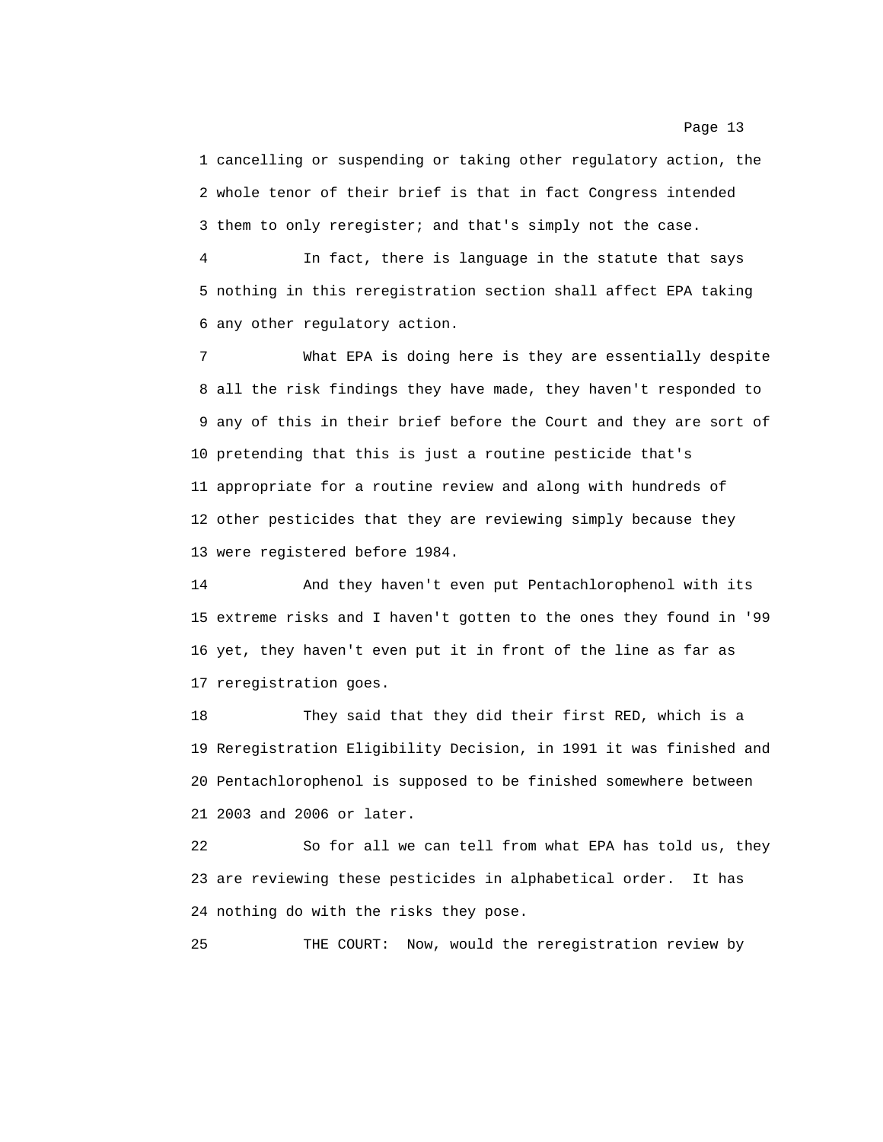1 cancelling or suspending or taking other regulatory action, the 2 whole tenor of their brief is that in fact Congress intended 3 them to only reregister; and that's simply not the case.

4 In fact, there is language in the statute that says 5 nothing in this reregistration section shall affect EPA taking 6 any other regulatory action.

7 What EPA is doing here is they are essentially despite 8 all the risk findings they have made, they haven't responded to 9 any of this in their brief before the Court and they are sort of 10 pretending that this is just a routine pesticide that's 11 appropriate for a routine review and along with hundreds of 12 other pesticides that they are reviewing simply because they 13 were registered before 1984.

14 And they haven't even put Pentachlorophenol with its 15 extreme risks and I haven't gotten to the ones they found in '99 16 yet, they haven't even put it in front of the line as far as 17 reregistration goes.

18 They said that they did their first RED, which is a 19 Reregistration Eligibility Decision, in 1991 it was finished and 20 Pentachlorophenol is supposed to be finished somewhere between 21 2003 and 2006 or later.

22 So for all we can tell from what EPA has told us, they 23 are reviewing these pesticides in alphabetical order. It has 24 nothing do with the risks they pose.

25 THE COURT: Now, would the reregistration review by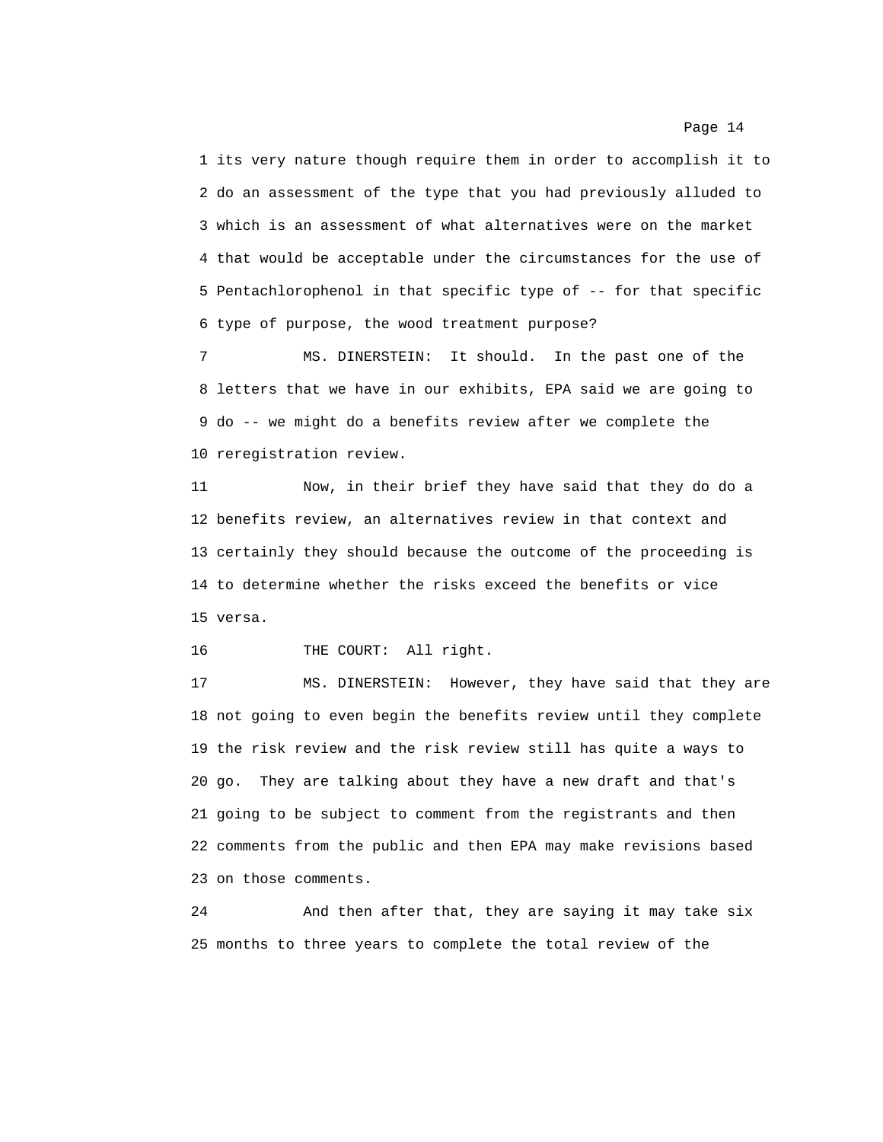1 its very nature though require them in order to accomplish it to 2 do an assessment of the type that you had previously alluded to 3 which is an assessment of what alternatives were on the market 4 that would be acceptable under the circumstances for the use of 5 Pentachlorophenol in that specific type of -- for that specific 6 type of purpose, the wood treatment purpose?

7 MS. DINERSTEIN: It should. In the past one of the 8 letters that we have in our exhibits, EPA said we are going to 9 do -- we might do a benefits review after we complete the 10 reregistration review.

11 Now, in their brief they have said that they do do a 12 benefits review, an alternatives review in that context and 13 certainly they should because the outcome of the proceeding is 14 to determine whether the risks exceed the benefits or vice 15 versa.

16 THE COURT: All right.

17 MS. DINERSTEIN: However, they have said that they are 18 not going to even begin the benefits review until they complete 19 the risk review and the risk review still has quite a ways to 20 go. They are talking about they have a new draft and that's 21 going to be subject to comment from the registrants and then 22 comments from the public and then EPA may make revisions based 23 on those comments.

24 And then after that, they are saying it may take six 25 months to three years to complete the total review of the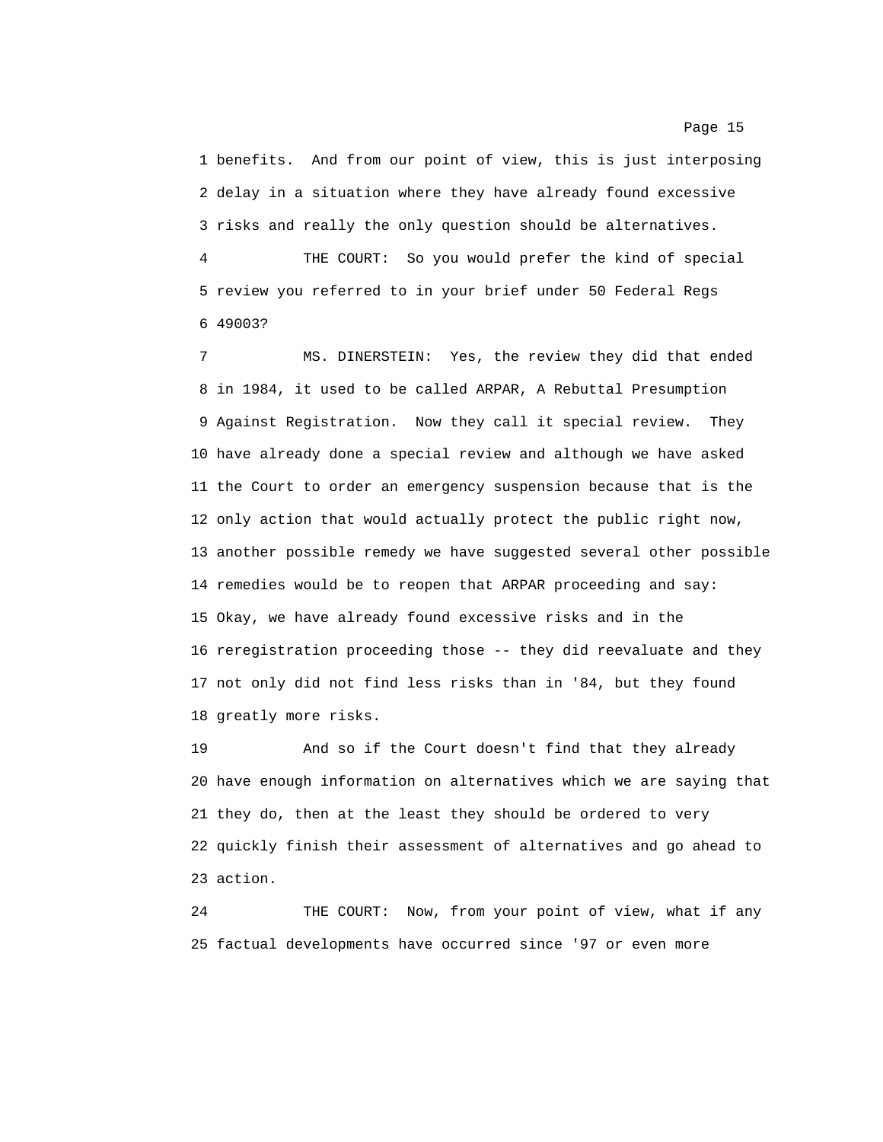1 benefits. And from our point of view, this is just interposing 2 delay in a situation where they have already found excessive 3 risks and really the only question should be alternatives.

4 THE COURT: So you would prefer the kind of special 5 review you referred to in your brief under 50 Federal Regs 6 49003?

7 MS. DINERSTEIN: Yes, the review they did that ended 8 in 1984, it used to be called ARPAR, A Rebuttal Presumption 9 Against Registration. Now they call it special review. They 10 have already done a special review and although we have asked 11 the Court to order an emergency suspension because that is the 12 only action that would actually protect the public right now, 13 another possible remedy we have suggested several other possible 14 remedies would be to reopen that ARPAR proceeding and say: 15 Okay, we have already found excessive risks and in the 16 reregistration proceeding those -- they did reevaluate and they 17 not only did not find less risks than in '84, but they found 18 greatly more risks.

19 And so if the Court doesn't find that they already 20 have enough information on alternatives which we are saying that 21 they do, then at the least they should be ordered to very 22 quickly finish their assessment of alternatives and go ahead to 23 action.

24 THE COURT: Now, from your point of view, what if any 25 factual developments have occurred since '97 or even more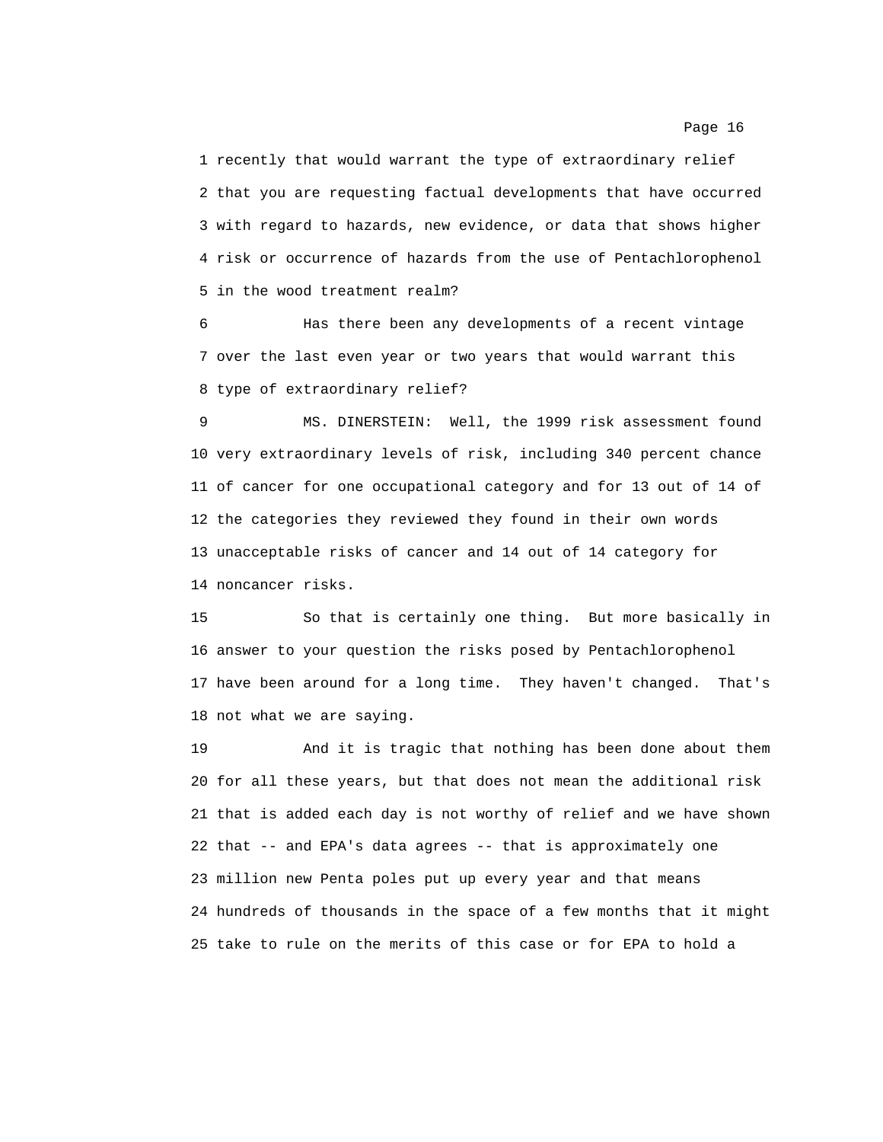1 recently that would warrant the type of extraordinary relief 2 that you are requesting factual developments that have occurred 3 with regard to hazards, new evidence, or data that shows higher 4 risk or occurrence of hazards from the use of Pentachlorophenol 5 in the wood treatment realm?

6 Has there been any developments of a recent vintage 7 over the last even year or two years that would warrant this 8 type of extraordinary relief?

9 MS. DINERSTEIN: Well, the 1999 risk assessment found 10 very extraordinary levels of risk, including 340 percent chance 11 of cancer for one occupational category and for 13 out of 14 of 12 the categories they reviewed they found in their own words 13 unacceptable risks of cancer and 14 out of 14 category for 14 noncancer risks.

15 So that is certainly one thing. But more basically in 16 answer to your question the risks posed by Pentachlorophenol 17 have been around for a long time. They haven't changed. That's 18 not what we are saying.

19 And it is tragic that nothing has been done about them 20 for all these years, but that does not mean the additional risk 21 that is added each day is not worthy of relief and we have shown 22 that -- and EPA's data agrees -- that is approximately one 23 million new Penta poles put up every year and that means 24 hundreds of thousands in the space of a few months that it might 25 take to rule on the merits of this case or for EPA to hold a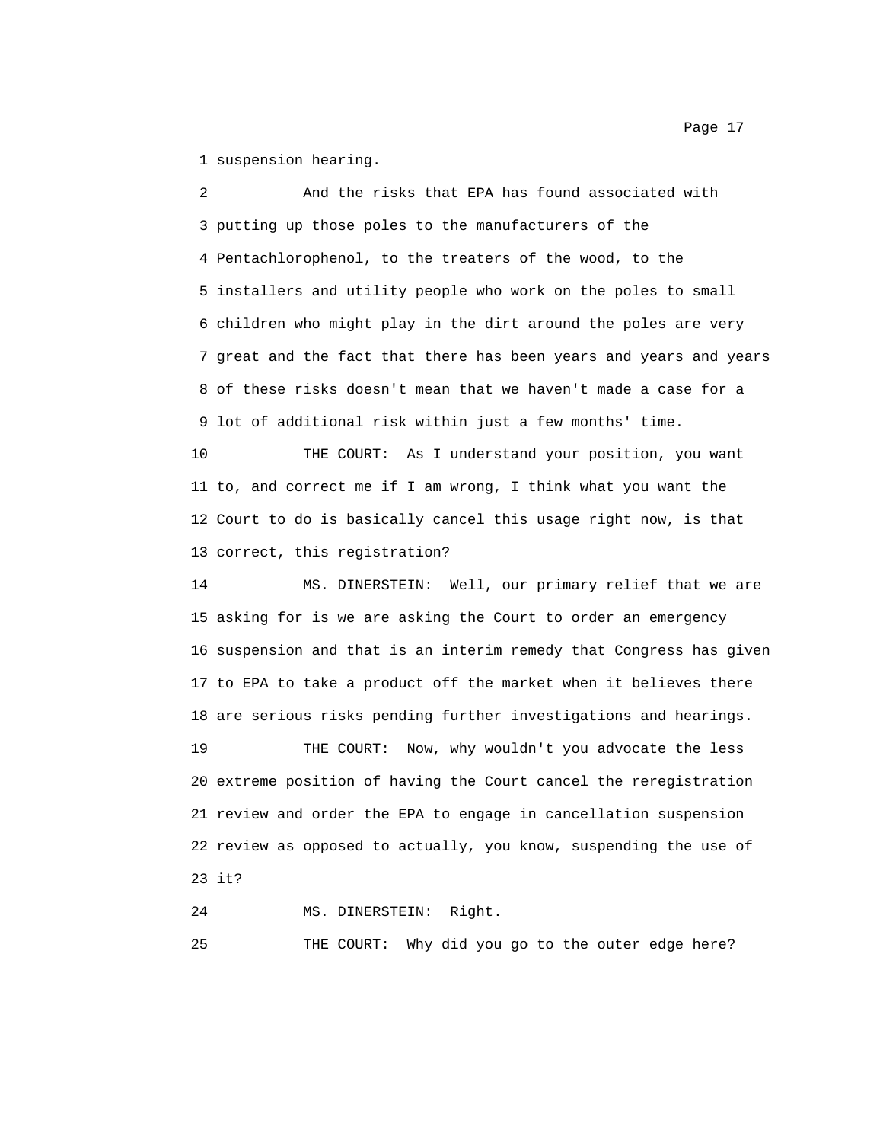1 suspension hearing.

2 And the risks that EPA has found associated with 3 putting up those poles to the manufacturers of the 4 Pentachlorophenol, to the treaters of the wood, to the 5 installers and utility people who work on the poles to small 6 children who might play in the dirt around the poles are very 7 great and the fact that there has been years and years and years 8 of these risks doesn't mean that we haven't made a case for a 9 lot of additional risk within just a few months' time.

10 THE COURT: As I understand your position, you want 11 to, and correct me if I am wrong, I think what you want the 12 Court to do is basically cancel this usage right now, is that 13 correct, this registration?

14 MS. DINERSTEIN: Well, our primary relief that we are 15 asking for is we are asking the Court to order an emergency 16 suspension and that is an interim remedy that Congress has given 17 to EPA to take a product off the market when it believes there 18 are serious risks pending further investigations and hearings.

19 THE COURT: Now, why wouldn't you advocate the less 20 extreme position of having the Court cancel the reregistration 21 review and order the EPA to engage in cancellation suspension 22 review as opposed to actually, you know, suspending the use of 23 it?

24 MS. DINERSTEIN: Right.

25 THE COURT: Why did you go to the outer edge here?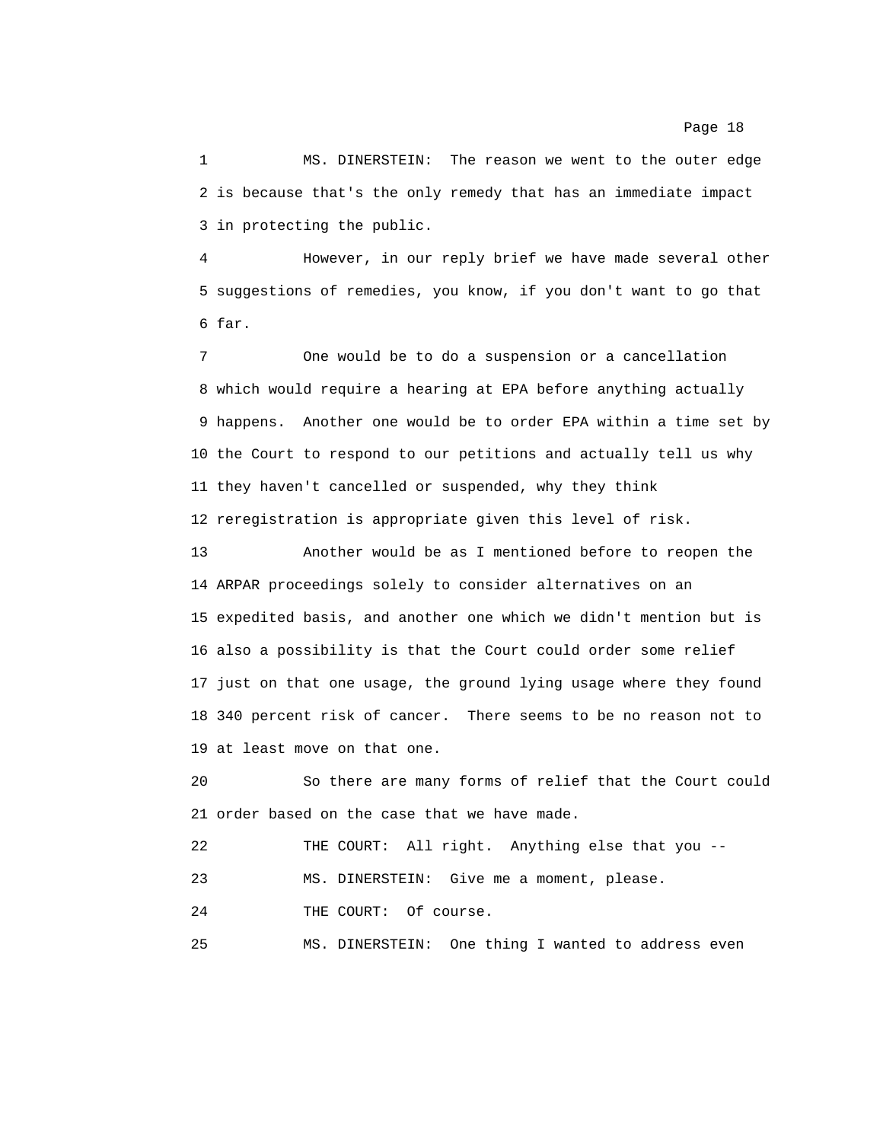1 MS. DINERSTEIN: The reason we went to the outer edge 2 is because that's the only remedy that has an immediate impact 3 in protecting the public.

4 However, in our reply brief we have made several other 5 suggestions of remedies, you know, if you don't want to go that 6 far.

7 One would be to do a suspension or a cancellation 8 which would require a hearing at EPA before anything actually 9 happens. Another one would be to order EPA within a time set by 10 the Court to respond to our petitions and actually tell us why 11 they haven't cancelled or suspended, why they think 12 reregistration is appropriate given this level of risk.

13 Another would be as I mentioned before to reopen the 14 ARPAR proceedings solely to consider alternatives on an 15 expedited basis, and another one which we didn't mention but is 16 also a possibility is that the Court could order some relief 17 just on that one usage, the ground lying usage where they found 18 340 percent risk of cancer. There seems to be no reason not to 19 at least move on that one.

20 So there are many forms of relief that the Court could 21 order based on the case that we have made.

22 THE COURT: All right. Anything else that you --

23 MS. DINERSTEIN: Give me a moment, please.

24 THE COURT: Of course.

25 MS. DINERSTEIN: One thing I wanted to address even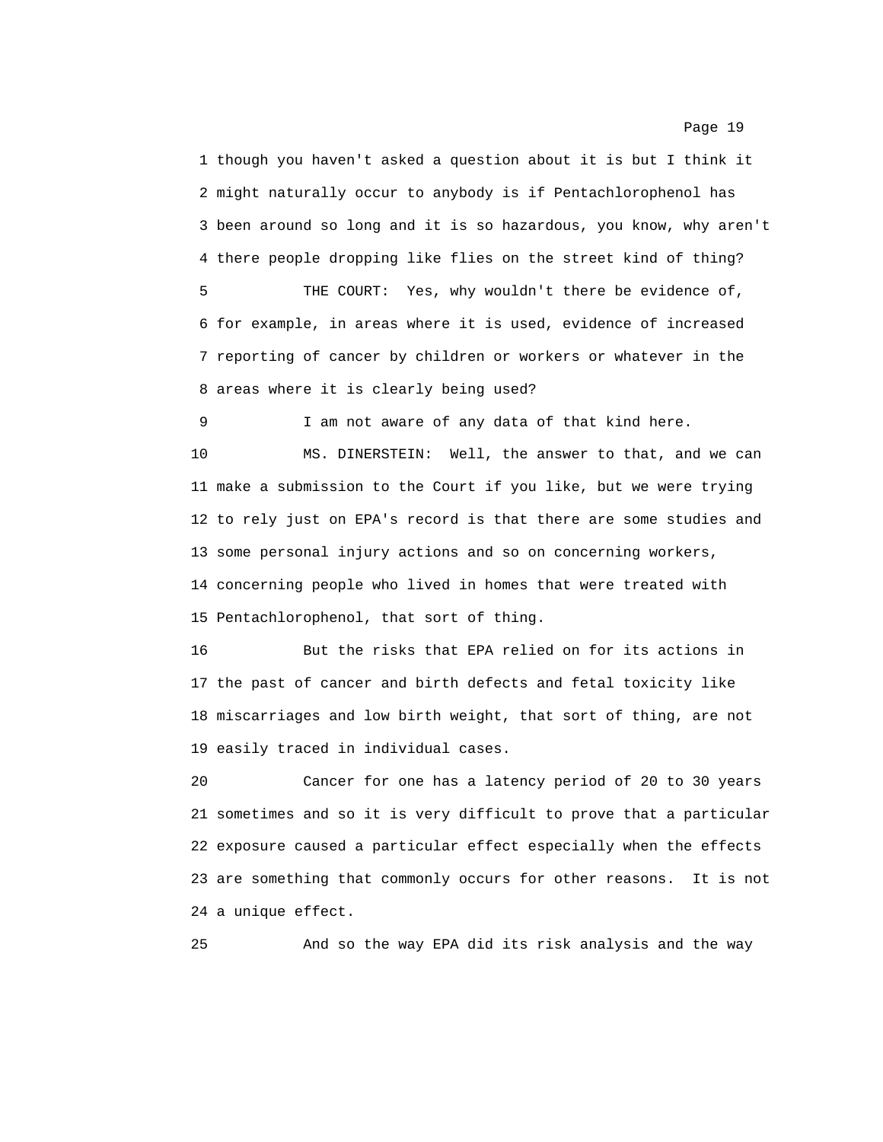1 though you haven't asked a question about it is but I think it 2 might naturally occur to anybody is if Pentachlorophenol has 3 been around so long and it is so hazardous, you know, why aren't 4 there people dropping like flies on the street kind of thing? 5 THE COURT: Yes, why wouldn't there be evidence of, 6 for example, in areas where it is used, evidence of increased 7 reporting of cancer by children or workers or whatever in the 8 areas where it is clearly being used?

9 I am not aware of any data of that kind here.

10 MS. DINERSTEIN: Well, the answer to that, and we can 11 make a submission to the Court if you like, but we were trying 12 to rely just on EPA's record is that there are some studies and 13 some personal injury actions and so on concerning workers, 14 concerning people who lived in homes that were treated with 15 Pentachlorophenol, that sort of thing.

16 But the risks that EPA relied on for its actions in 17 the past of cancer and birth defects and fetal toxicity like 18 miscarriages and low birth weight, that sort of thing, are not 19 easily traced in individual cases.

20 Cancer for one has a latency period of 20 to 30 years 21 sometimes and so it is very difficult to prove that a particular 22 exposure caused a particular effect especially when the effects 23 are something that commonly occurs for other reasons. It is not 24 a unique effect.

25 And so the way EPA did its risk analysis and the way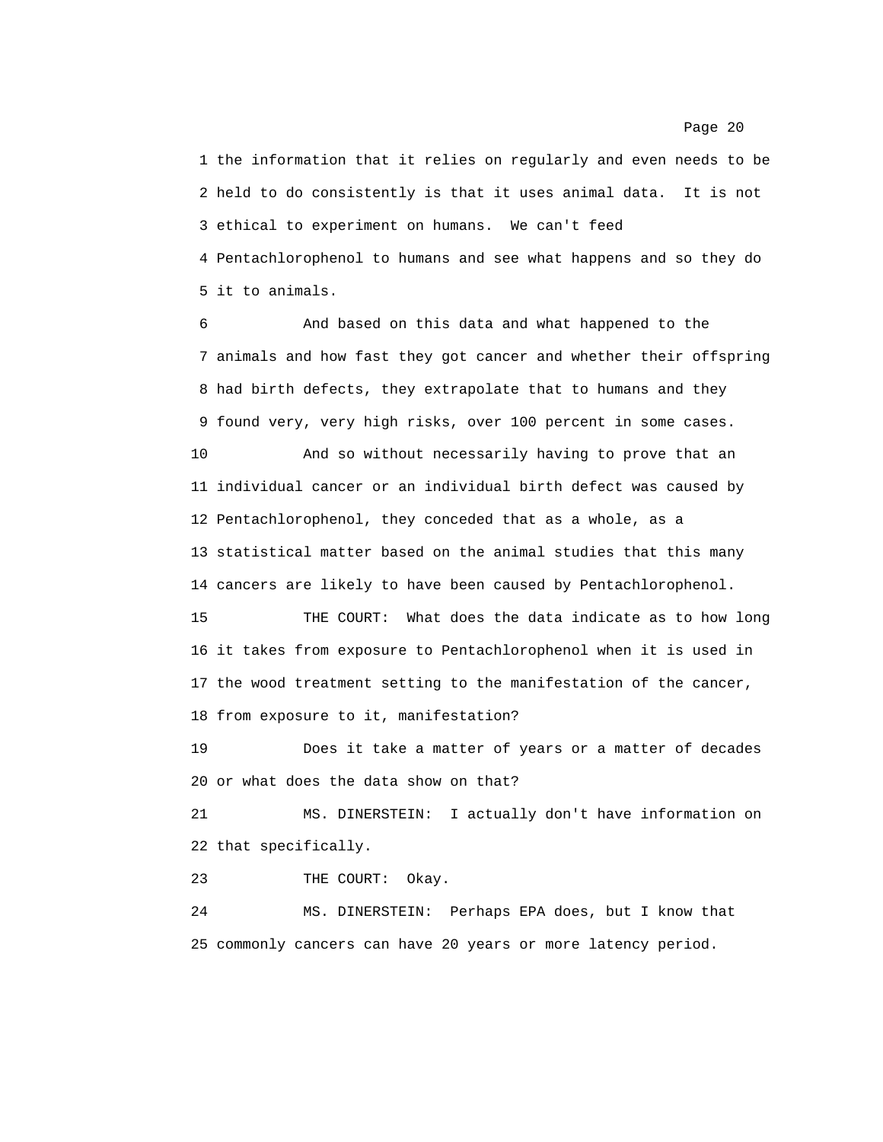1 the information that it relies on regularly and even needs to be 2 held to do consistently is that it uses animal data. It is not 3 ethical to experiment on humans. We can't feed 4 Pentachlorophenol to humans and see what happens and so they do 5 it to animals.

6 And based on this data and what happened to the 7 animals and how fast they got cancer and whether their offspring 8 had birth defects, they extrapolate that to humans and they 9 found very, very high risks, over 100 percent in some cases.

10 And so without necessarily having to prove that an 11 individual cancer or an individual birth defect was caused by 12 Pentachlorophenol, they conceded that as a whole, as a 13 statistical matter based on the animal studies that this many 14 cancers are likely to have been caused by Pentachlorophenol.

15 THE COURT: What does the data indicate as to how long 16 it takes from exposure to Pentachlorophenol when it is used in 17 the wood treatment setting to the manifestation of the cancer, 18 from exposure to it, manifestation?

19 Does it take a matter of years or a matter of decades 20 or what does the data show on that?

21 MS. DINERSTEIN: I actually don't have information on 22 that specifically.

23 THE COURT: Okay.

24 MS. DINERSTEIN: Perhaps EPA does, but I know that 25 commonly cancers can have 20 years or more latency period.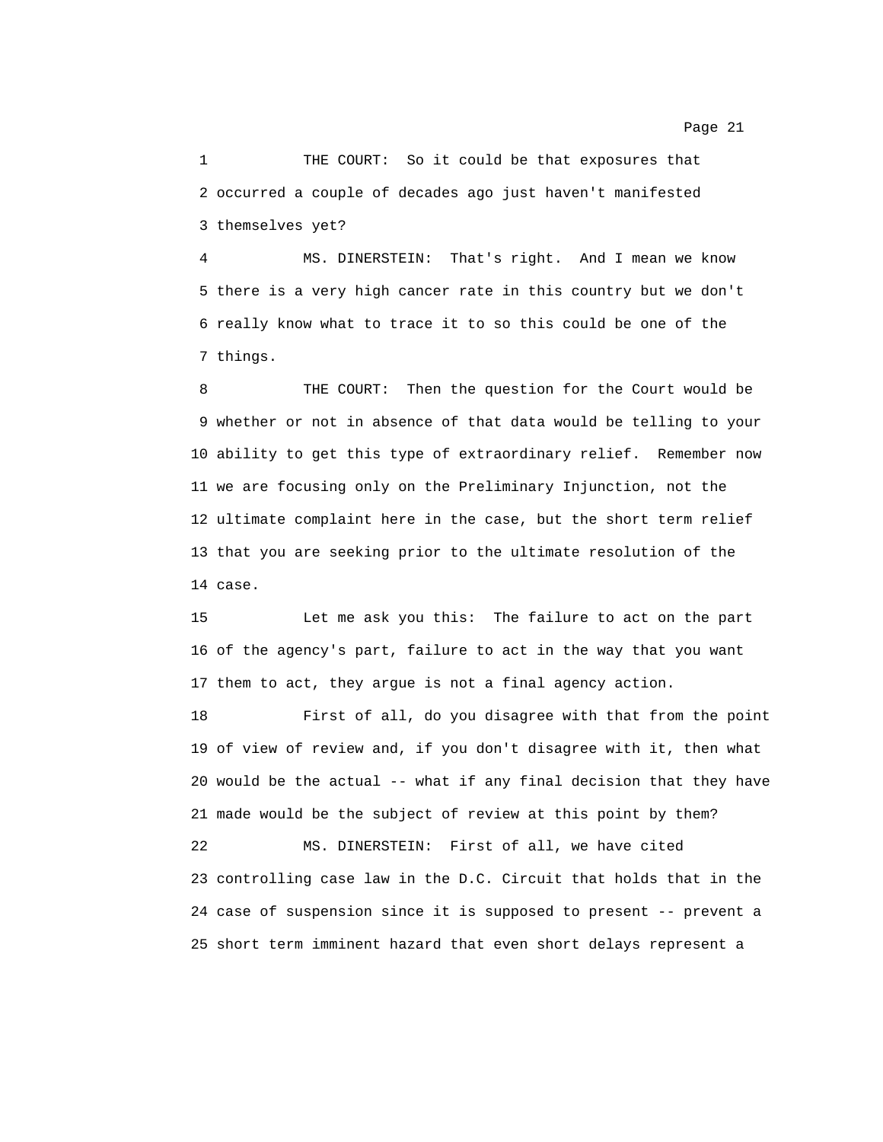1 THE COURT: So it could be that exposures that 2 occurred a couple of decades ago just haven't manifested 3 themselves yet?

4 MS. DINERSTEIN: That's right. And I mean we know 5 there is a very high cancer rate in this country but we don't 6 really know what to trace it to so this could be one of the 7 things.

8 THE COURT: Then the question for the Court would be 9 whether or not in absence of that data would be telling to your 10 ability to get this type of extraordinary relief. Remember now 11 we are focusing only on the Preliminary Injunction, not the 12 ultimate complaint here in the case, but the short term relief 13 that you are seeking prior to the ultimate resolution of the 14 case.

15 Let me ask you this: The failure to act on the part 16 of the agency's part, failure to act in the way that you want 17 them to act, they argue is not a final agency action.

18 First of all, do you disagree with that from the point 19 of view of review and, if you don't disagree with it, then what 20 would be the actual -- what if any final decision that they have 21 made would be the subject of review at this point by them?

22 MS. DINERSTEIN: First of all, we have cited 23 controlling case law in the D.C. Circuit that holds that in the 24 case of suspension since it is supposed to present -- prevent a 25 short term imminent hazard that even short delays represent a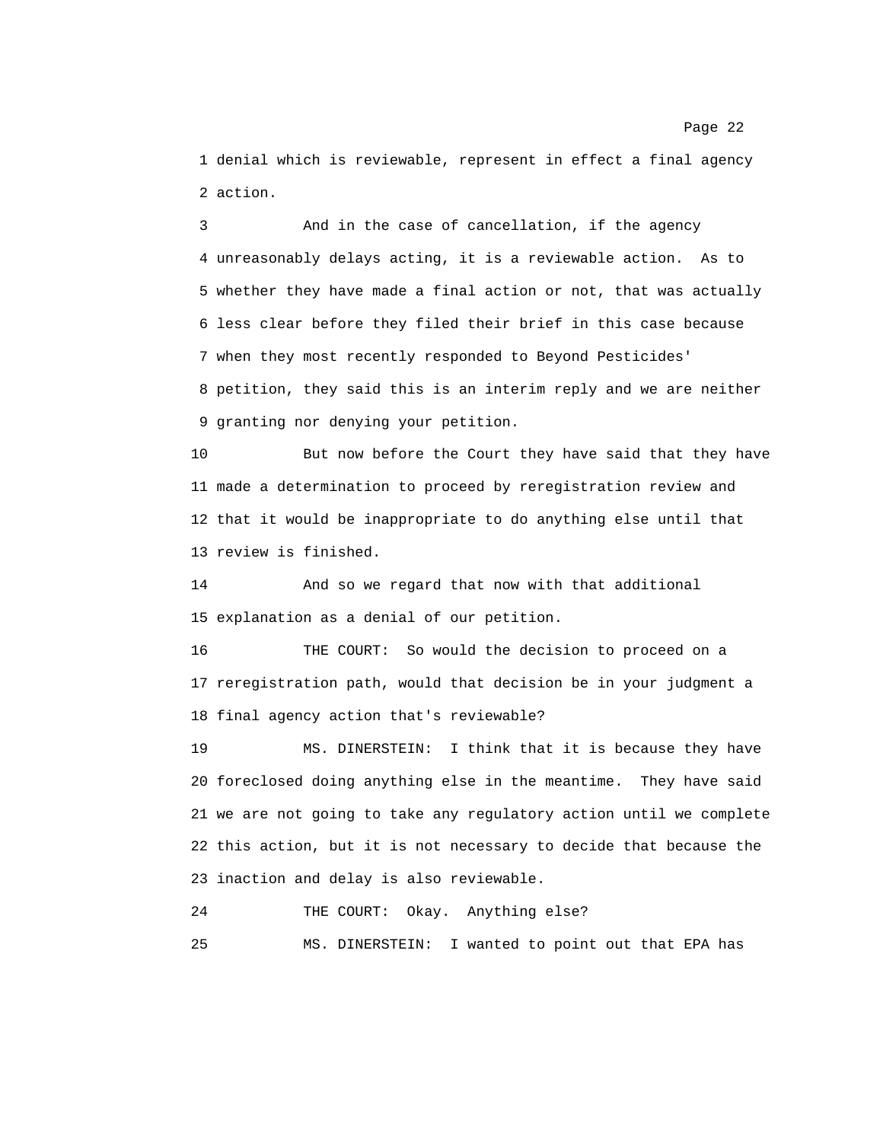1 denial which is reviewable, represent in effect a final agency 2 action.

3 And in the case of cancellation, if the agency 4 unreasonably delays acting, it is a reviewable action. As to 5 whether they have made a final action or not, that was actually 6 less clear before they filed their brief in this case because 7 when they most recently responded to Beyond Pesticides' 8 petition, they said this is an interim reply and we are neither 9 granting nor denying your petition.

10 But now before the Court they have said that they have 11 made a determination to proceed by reregistration review and 12 that it would be inappropriate to do anything else until that 13 review is finished.

14 And so we regard that now with that additional 15 explanation as a denial of our petition.

16 THE COURT: So would the decision to proceed on a 17 reregistration path, would that decision be in your judgment a 18 final agency action that's reviewable?

19 MS. DINERSTEIN: I think that it is because they have 20 foreclosed doing anything else in the meantime. They have said 21 we are not going to take any regulatory action until we complete 22 this action, but it is not necessary to decide that because the 23 inaction and delay is also reviewable.

24 THE COURT: Okay. Anything else?

25 MS. DINERSTEIN: I wanted to point out that EPA has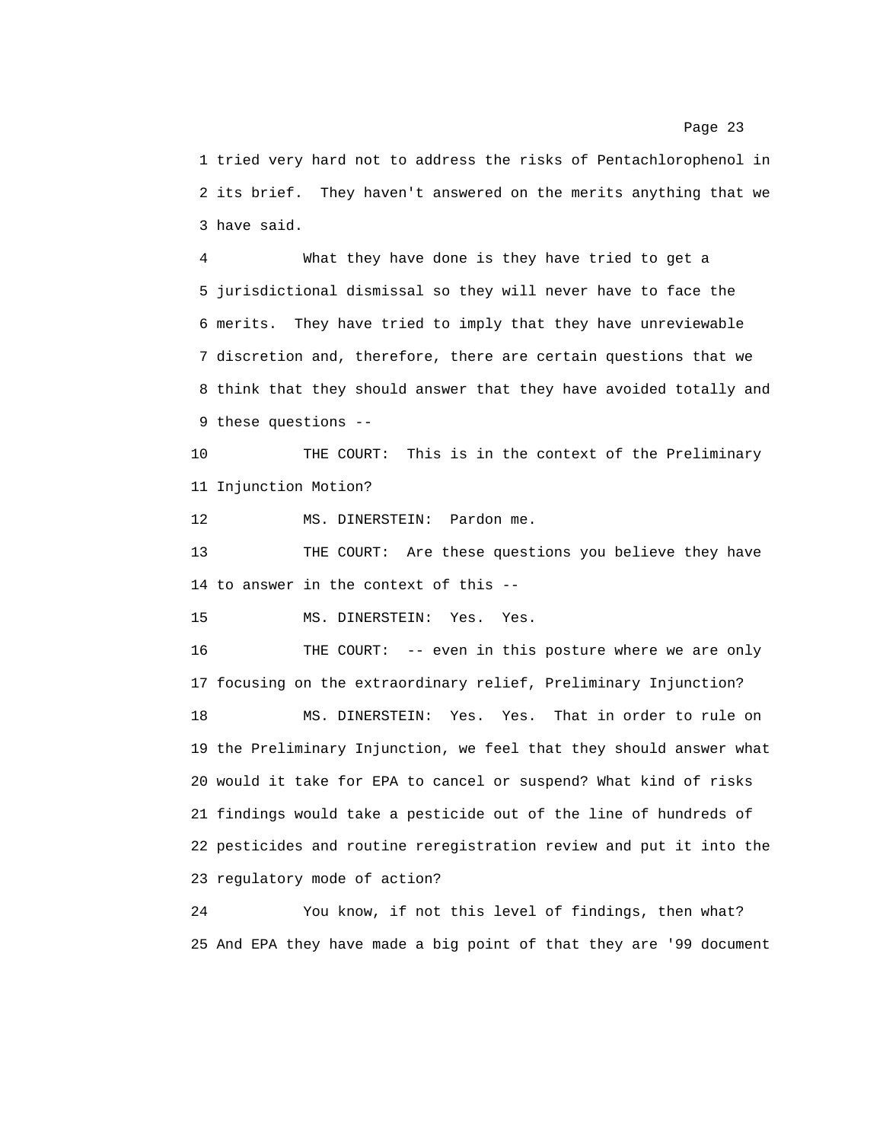1 tried very hard not to address the risks of Pentachlorophenol in 2 its brief. They haven't answered on the merits anything that we 3 have said.

4 What they have done is they have tried to get a 5 jurisdictional dismissal so they will never have to face the 6 merits. They have tried to imply that they have unreviewable 7 discretion and, therefore, there are certain questions that we 8 think that they should answer that they have avoided totally and 9 these questions --

10 THE COURT: This is in the context of the Preliminary 11 Injunction Motion?

12 MS. DINERSTEIN: Pardon me.

13 THE COURT: Are these questions you believe they have 14 to answer in the context of this --

15 MS. DINERSTEIN: Yes. Yes.

16 THE COURT: -- even in this posture where we are only 17 focusing on the extraordinary relief, Preliminary Injunction?

18 MS. DINERSTEIN: Yes. Yes. That in order to rule on 19 the Preliminary Injunction, we feel that they should answer what 20 would it take for EPA to cancel or suspend? What kind of risks 21 findings would take a pesticide out of the line of hundreds of 22 pesticides and routine reregistration review and put it into the 23 regulatory mode of action?

24 You know, if not this level of findings, then what? 25 And EPA they have made a big point of that they are '99 document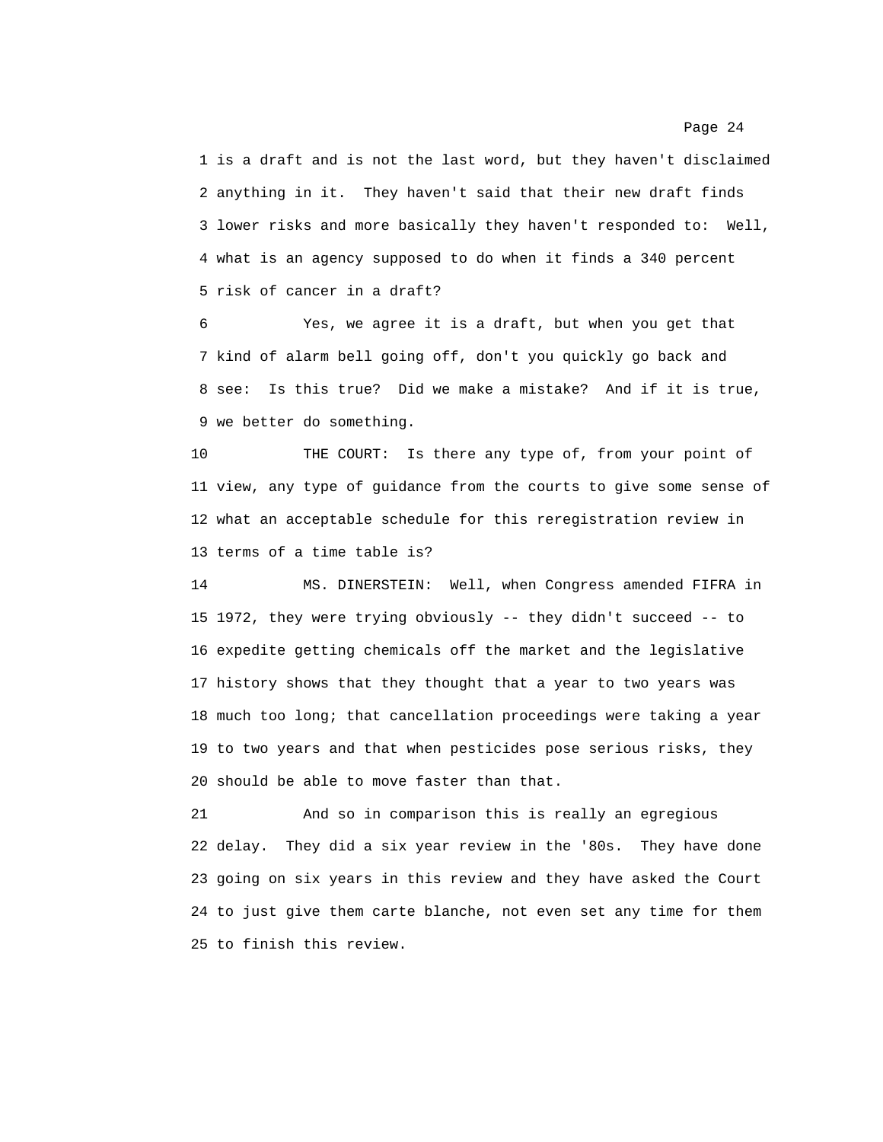1 is a draft and is not the last word, but they haven't disclaimed 2 anything in it. They haven't said that their new draft finds 3 lower risks and more basically they haven't responded to: Well, 4 what is an agency supposed to do when it finds a 340 percent 5 risk of cancer in a draft?

6 Yes, we agree it is a draft, but when you get that 7 kind of alarm bell going off, don't you quickly go back and 8 see: Is this true? Did we make a mistake? And if it is true, 9 we better do something.

10 THE COURT: Is there any type of, from your point of 11 view, any type of guidance from the courts to give some sense of 12 what an acceptable schedule for this reregistration review in 13 terms of a time table is?

14 MS. DINERSTEIN: Well, when Congress amended FIFRA in 15 1972, they were trying obviously -- they didn't succeed -- to 16 expedite getting chemicals off the market and the legislative 17 history shows that they thought that a year to two years was 18 much too long; that cancellation proceedings were taking a year 19 to two years and that when pesticides pose serious risks, they 20 should be able to move faster than that.

21 And so in comparison this is really an egregious 22 delay. They did a six year review in the '80s. They have done 23 going on six years in this review and they have asked the Court 24 to just give them carte blanche, not even set any time for them 25 to finish this review.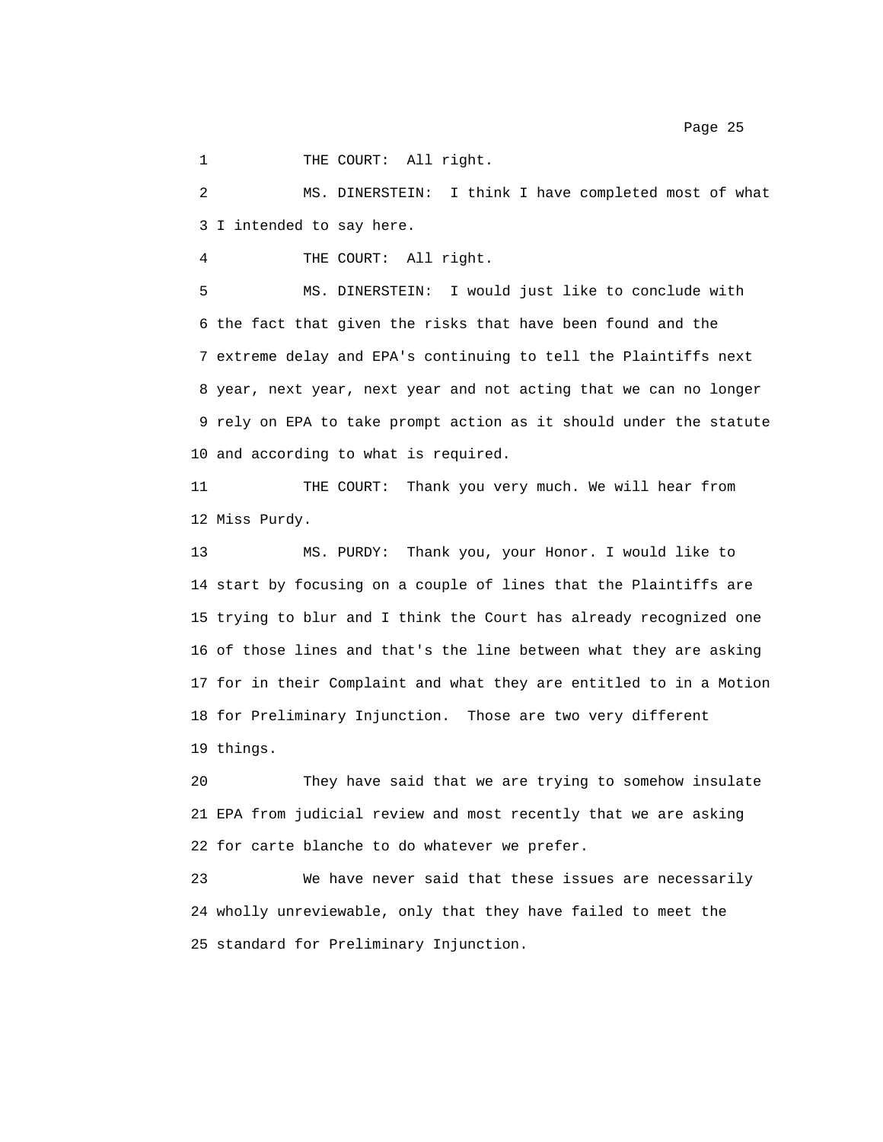1 THE COURT: All right.

2 MS. DINERSTEIN: I think I have completed most of what 3 I intended to say here.

4 THE COURT: All right.

5 MS. DINERSTEIN: I would just like to conclude with 6 the fact that given the risks that have been found and the 7 extreme delay and EPA's continuing to tell the Plaintiffs next 8 year, next year, next year and not acting that we can no longer 9 rely on EPA to take prompt action as it should under the statute 10 and according to what is required.

11 THE COURT: Thank you very much. We will hear from 12 Miss Purdy.

13 MS. PURDY: Thank you, your Honor. I would like to 14 start by focusing on a couple of lines that the Plaintiffs are 15 trying to blur and I think the Court has already recognized one 16 of those lines and that's the line between what they are asking 17 for in their Complaint and what they are entitled to in a Motion 18 for Preliminary Injunction. Those are two very different 19 things.

20 They have said that we are trying to somehow insulate 21 EPA from judicial review and most recently that we are asking 22 for carte blanche to do whatever we prefer.

23 We have never said that these issues are necessarily 24 wholly unreviewable, only that they have failed to meet the 25 standard for Preliminary Injunction.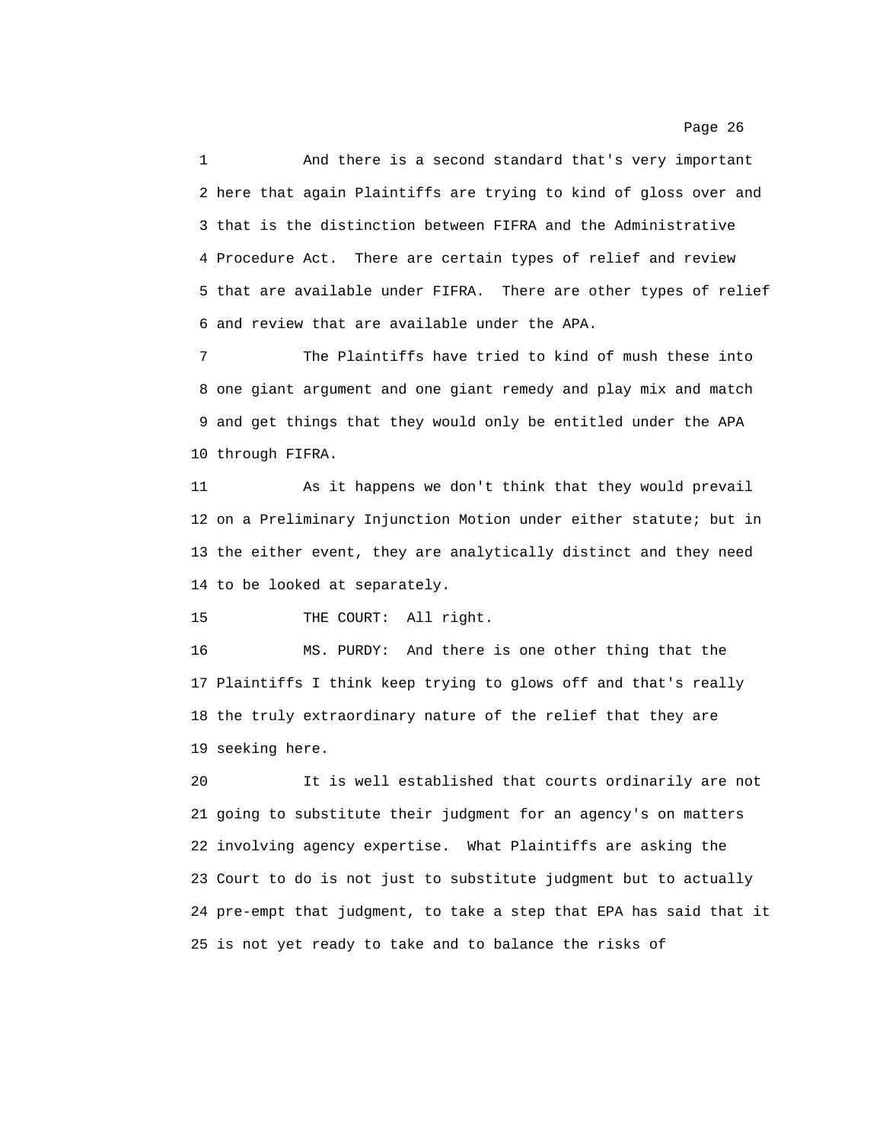1 And there is a second standard that's very important 2 here that again Plaintiffs are trying to kind of gloss over and 3 that is the distinction between FIFRA and the Administrative 4 Procedure Act. There are certain types of relief and review 5 that are available under FIFRA. There are other types of relief 6 and review that are available under the APA.

7 The Plaintiffs have tried to kind of mush these into 8 one giant argument and one giant remedy and play mix and match 9 and get things that they would only be entitled under the APA 10 through FIFRA.

11 As it happens we don't think that they would prevail 12 on a Preliminary Injunction Motion under either statute; but in 13 the either event, they are analytically distinct and they need 14 to be looked at separately.

15 THE COURT: All right.

16 MS. PURDY: And there is one other thing that the 17 Plaintiffs I think keep trying to glows off and that's really 18 the truly extraordinary nature of the relief that they are 19 seeking here.

20 It is well established that courts ordinarily are not 21 going to substitute their judgment for an agency's on matters 22 involving agency expertise. What Plaintiffs are asking the 23 Court to do is not just to substitute judgment but to actually 24 pre-empt that judgment, to take a step that EPA has said that it 25 is not yet ready to take and to balance the risks of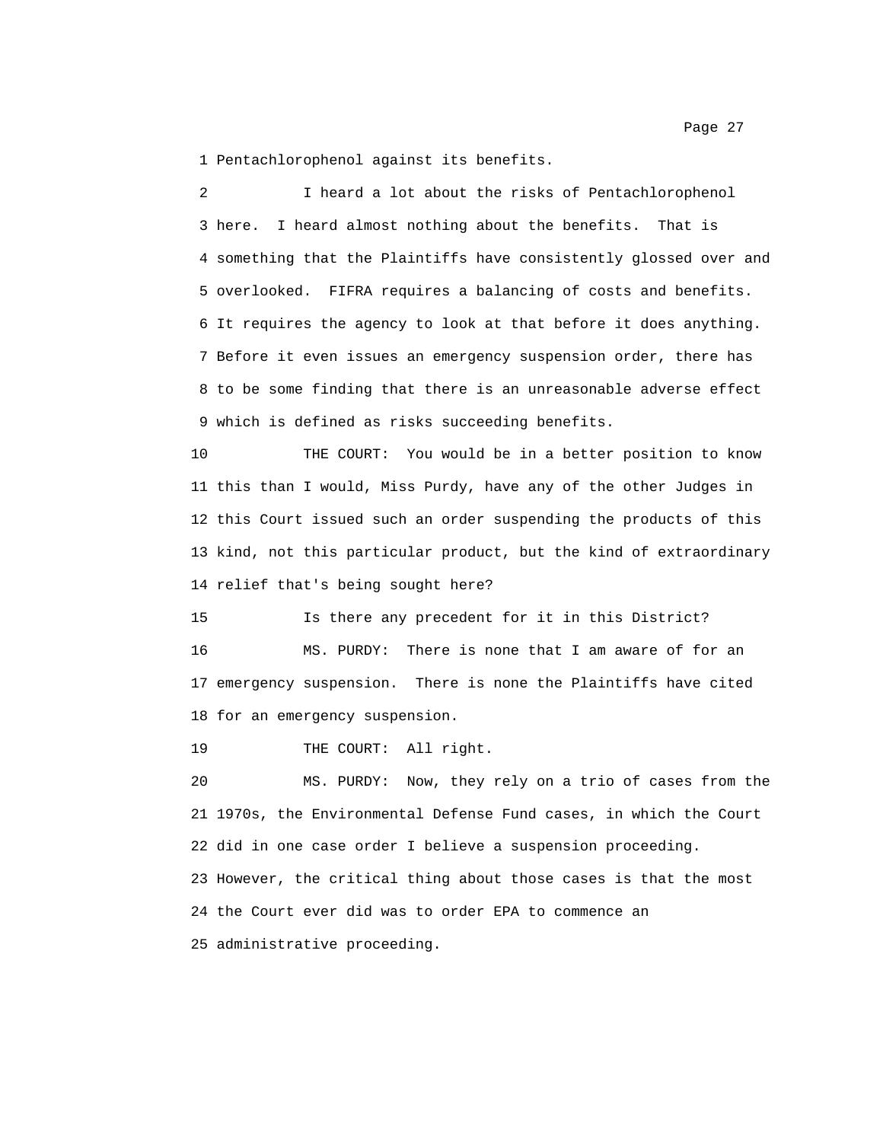1 Pentachlorophenol against its benefits.

2 I heard a lot about the risks of Pentachlorophenol 3 here. I heard almost nothing about the benefits. That is 4 something that the Plaintiffs have consistently glossed over and 5 overlooked. FIFRA requires a balancing of costs and benefits. 6 It requires the agency to look at that before it does anything. 7 Before it even issues an emergency suspension order, there has 8 to be some finding that there is an unreasonable adverse effect 9 which is defined as risks succeeding benefits.

10 THE COURT: You would be in a better position to know 11 this than I would, Miss Purdy, have any of the other Judges in 12 this Court issued such an order suspending the products of this 13 kind, not this particular product, but the kind of extraordinary 14 relief that's being sought here?

15 Is there any precedent for it in this District? 16 MS. PURDY: There is none that I am aware of for an 17 emergency suspension. There is none the Plaintiffs have cited 18 for an emergency suspension.

19 THE COURT: All right.

20 MS. PURDY: Now, they rely on a trio of cases from the 21 1970s, the Environmental Defense Fund cases, in which the Court 22 did in one case order I believe a suspension proceeding. 23 However, the critical thing about those cases is that the most 24 the Court ever did was to order EPA to commence an 25 administrative proceeding.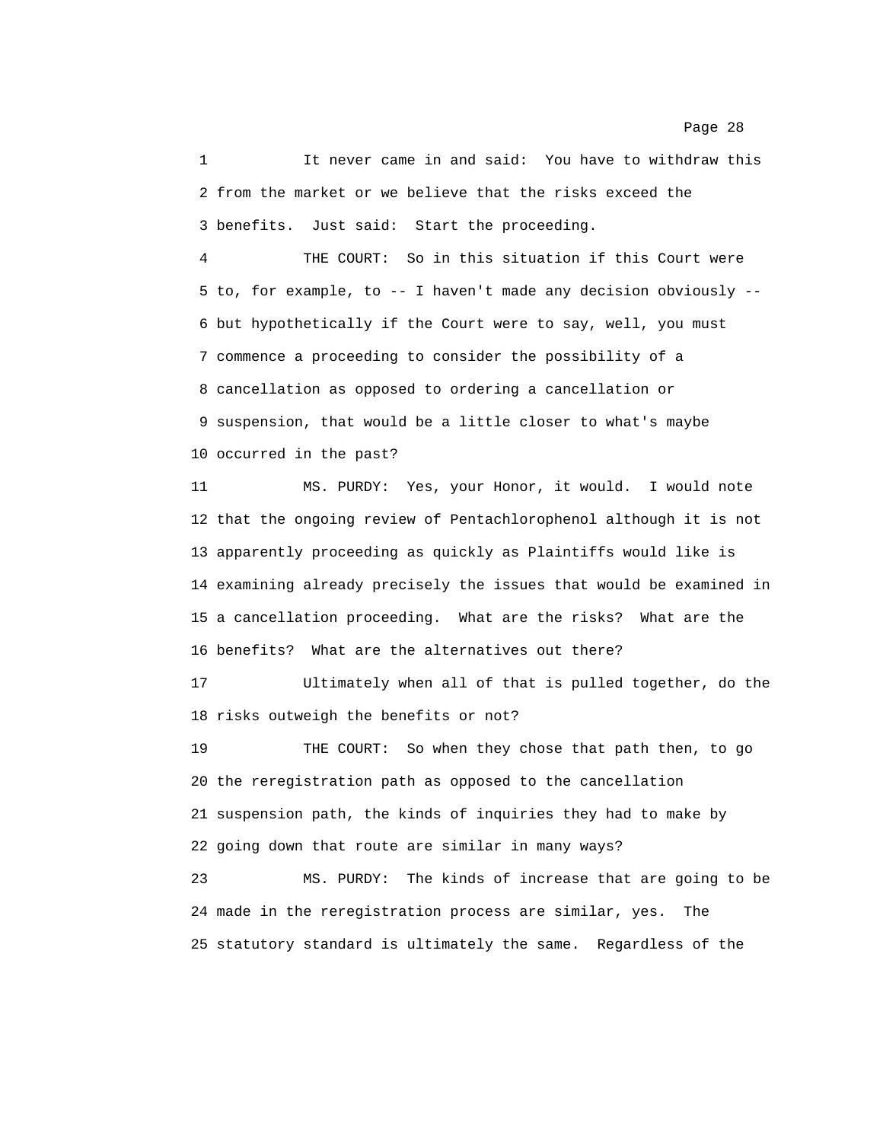1 It never came in and said: You have to withdraw this 2 from the market or we believe that the risks exceed the 3 benefits. Just said: Start the proceeding.

4 THE COURT: So in this situation if this Court were 5 to, for example, to -- I haven't made any decision obviously -- 6 but hypothetically if the Court were to say, well, you must 7 commence a proceeding to consider the possibility of a 8 cancellation as opposed to ordering a cancellation or 9 suspension, that would be a little closer to what's maybe 10 occurred in the past?

11 MS. PURDY: Yes, your Honor, it would. I would note 12 that the ongoing review of Pentachlorophenol although it is not 13 apparently proceeding as quickly as Plaintiffs would like is 14 examining already precisely the issues that would be examined in 15 a cancellation proceeding. What are the risks? What are the 16 benefits? What are the alternatives out there?

17 Ultimately when all of that is pulled together, do the 18 risks outweigh the benefits or not?

19 THE COURT: So when they chose that path then, to go 20 the reregistration path as opposed to the cancellation 21 suspension path, the kinds of inquiries they had to make by 22 going down that route are similar in many ways?

23 MS. PURDY: The kinds of increase that are going to be 24 made in the reregistration process are similar, yes. The 25 statutory standard is ultimately the same. Regardless of the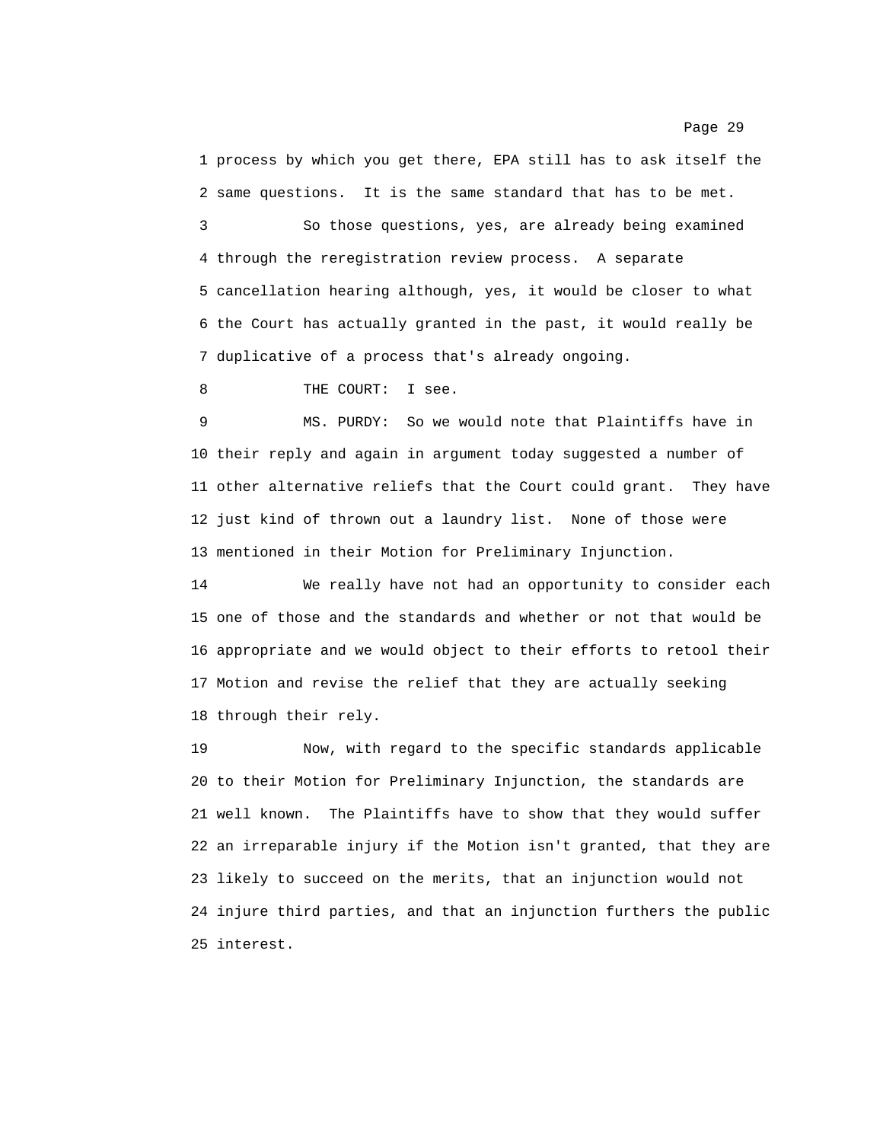1 process by which you get there, EPA still has to ask itself the 2 same questions. It is the same standard that has to be met.

3 So those questions, yes, are already being examined 4 through the reregistration review process. A separate 5 cancellation hearing although, yes, it would be closer to what 6 the Court has actually granted in the past, it would really be 7 duplicative of a process that's already ongoing.

8 THE COURT: I see.

9 MS. PURDY: So we would note that Plaintiffs have in 10 their reply and again in argument today suggested a number of 11 other alternative reliefs that the Court could grant. They have 12 just kind of thrown out a laundry list. None of those were 13 mentioned in their Motion for Preliminary Injunction.

14 We really have not had an opportunity to consider each 15 one of those and the standards and whether or not that would be 16 appropriate and we would object to their efforts to retool their 17 Motion and revise the relief that they are actually seeking 18 through their rely.

19 Now, with regard to the specific standards applicable 20 to their Motion for Preliminary Injunction, the standards are 21 well known. The Plaintiffs have to show that they would suffer 22 an irreparable injury if the Motion isn't granted, that they are 23 likely to succeed on the merits, that an injunction would not 24 injure third parties, and that an injunction furthers the public 25 interest.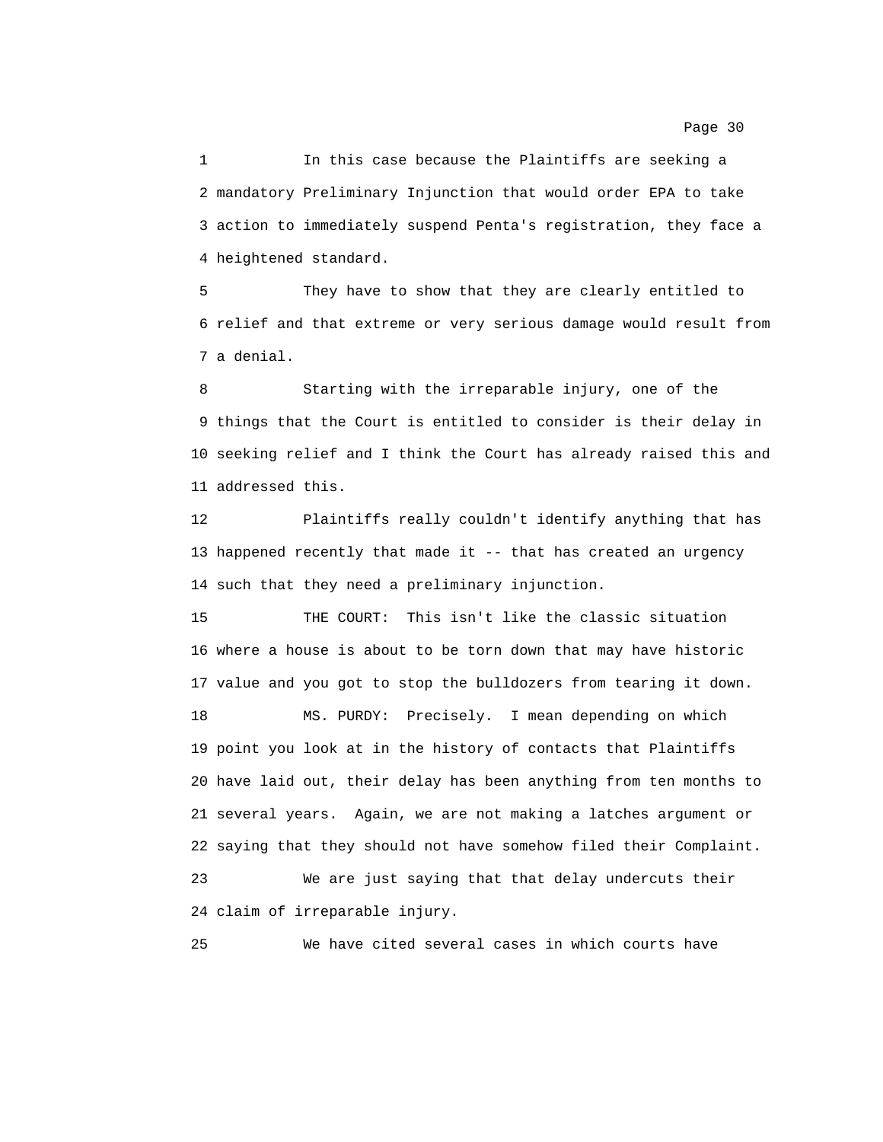1 In this case because the Plaintiffs are seeking a 2 mandatory Preliminary Injunction that would order EPA to take 3 action to immediately suspend Penta's registration, they face a 4 heightened standard.

5 They have to show that they are clearly entitled to 6 relief and that extreme or very serious damage would result from 7 a denial.

8 Starting with the irreparable injury, one of the 9 things that the Court is entitled to consider is their delay in 10 seeking relief and I think the Court has already raised this and 11 addressed this.

12 Plaintiffs really couldn't identify anything that has 13 happened recently that made it -- that has created an urgency 14 such that they need a preliminary injunction.

15 THE COURT: This isn't like the classic situation 16 where a house is about to be torn down that may have historic 17 value and you got to stop the bulldozers from tearing it down.

18 MS. PURDY: Precisely. I mean depending on which 19 point you look at in the history of contacts that Plaintiffs 20 have laid out, their delay has been anything from ten months to 21 several years. Again, we are not making a latches argument or 22 saying that they should not have somehow filed their Complaint.

23 We are just saying that that delay undercuts their 24 claim of irreparable injury.

25 We have cited several cases in which courts have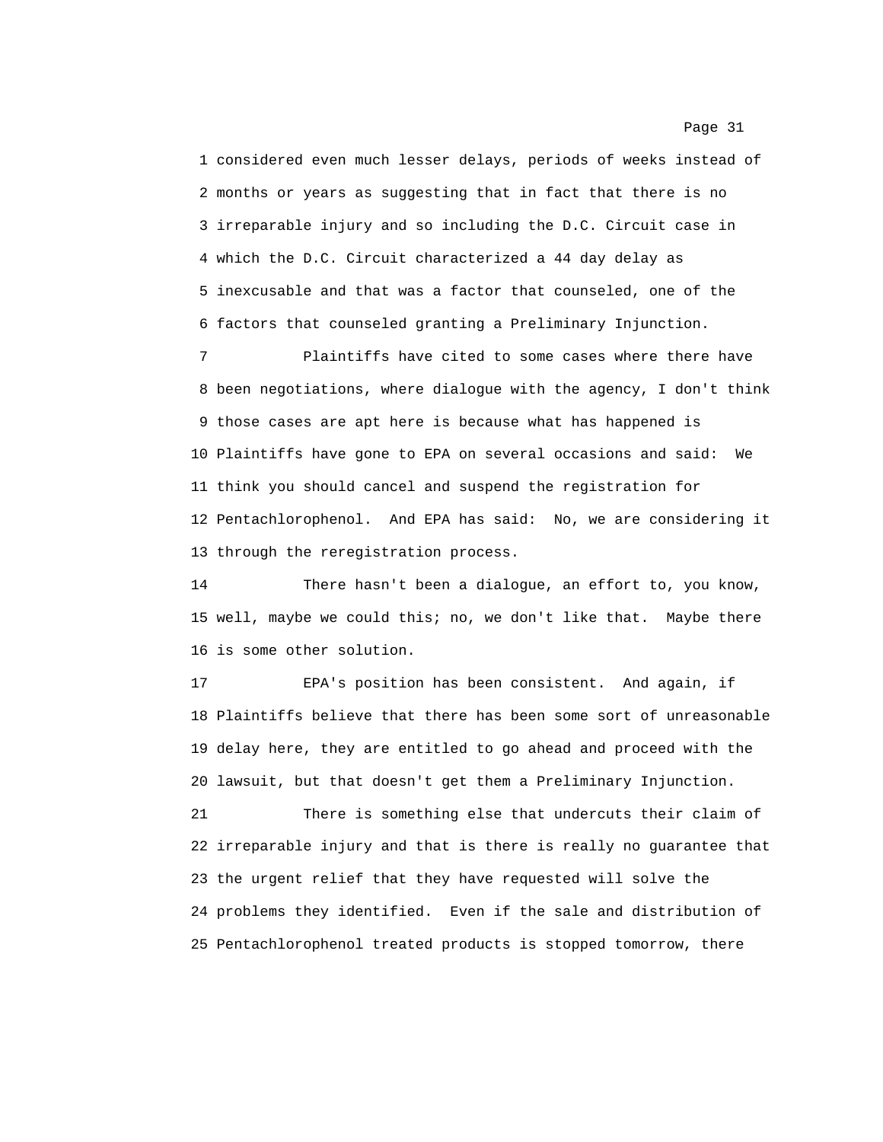1 considered even much lesser delays, periods of weeks instead of 2 months or years as suggesting that in fact that there is no 3 irreparable injury and so including the D.C. Circuit case in 4 which the D.C. Circuit characterized a 44 day delay as 5 inexcusable and that was a factor that counseled, one of the 6 factors that counseled granting a Preliminary Injunction.

7 Plaintiffs have cited to some cases where there have 8 been negotiations, where dialogue with the agency, I don't think 9 those cases are apt here is because what has happened is 10 Plaintiffs have gone to EPA on several occasions and said: We 11 think you should cancel and suspend the registration for 12 Pentachlorophenol. And EPA has said: No, we are considering it 13 through the reregistration process.

14 There hasn't been a dialogue, an effort to, you know, 15 well, maybe we could this; no, we don't like that. Maybe there 16 is some other solution.

17 EPA's position has been consistent. And again, if 18 Plaintiffs believe that there has been some sort of unreasonable 19 delay here, they are entitled to go ahead and proceed with the 20 lawsuit, but that doesn't get them a Preliminary Injunction.

21 There is something else that undercuts their claim of 22 irreparable injury and that is there is really no guarantee that 23 the urgent relief that they have requested will solve the 24 problems they identified. Even if the sale and distribution of 25 Pentachlorophenol treated products is stopped tomorrow, there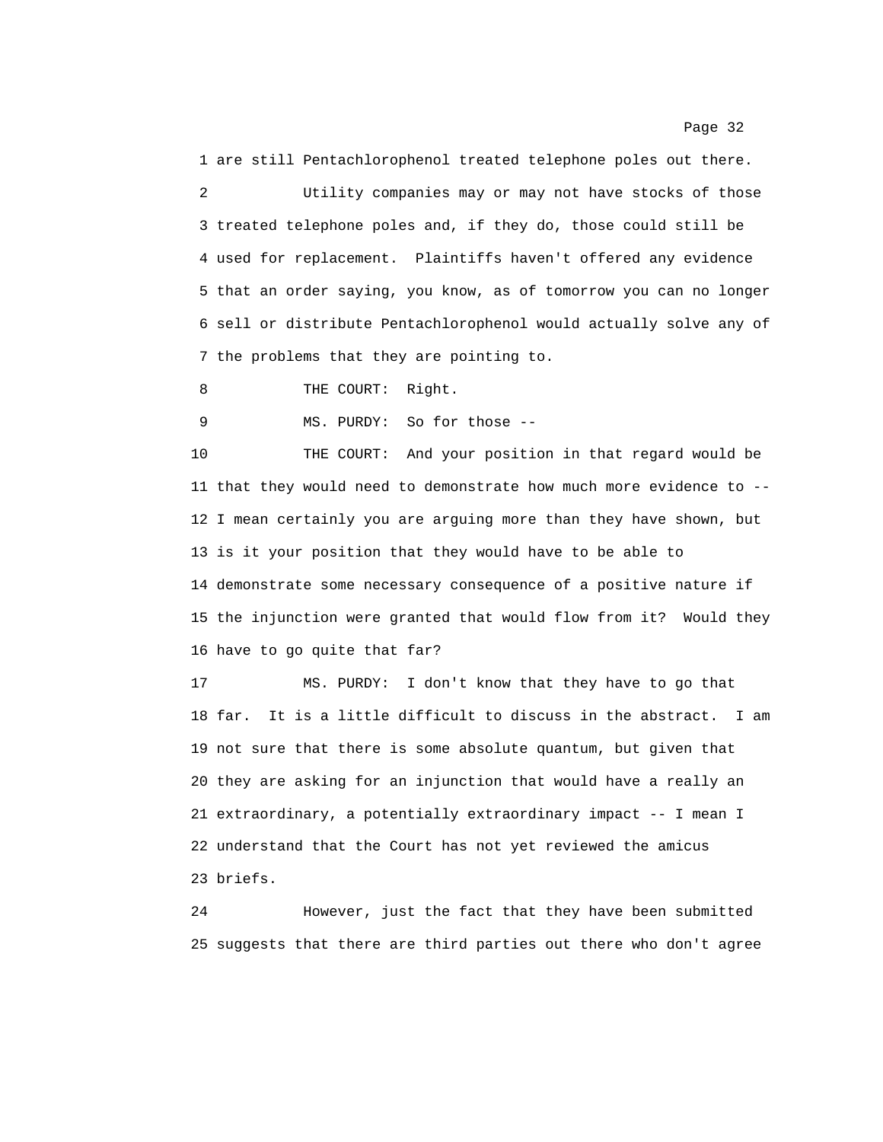1 are still Pentachlorophenol treated telephone poles out there. 2 Utility companies may or may not have stocks of those 3 treated telephone poles and, if they do, those could still be 4 used for replacement. Plaintiffs haven't offered any evidence 5 that an order saying, you know, as of tomorrow you can no longer 6 sell or distribute Pentachlorophenol would actually solve any of 7 the problems that they are pointing to.

8 THE COURT: Right.

9 MS. PURDY: So for those --

10 THE COURT: And your position in that regard would be 11 that they would need to demonstrate how much more evidence to -- 12 I mean certainly you are arguing more than they have shown, but 13 is it your position that they would have to be able to 14 demonstrate some necessary consequence of a positive nature if 15 the injunction were granted that would flow from it? Would they 16 have to go quite that far?

17 MS. PURDY: I don't know that they have to go that 18 far. It is a little difficult to discuss in the abstract. I am 19 not sure that there is some absolute quantum, but given that 20 they are asking for an injunction that would have a really an 21 extraordinary, a potentially extraordinary impact -- I mean I 22 understand that the Court has not yet reviewed the amicus 23 briefs.

24 However, just the fact that they have been submitted 25 suggests that there are third parties out there who don't agree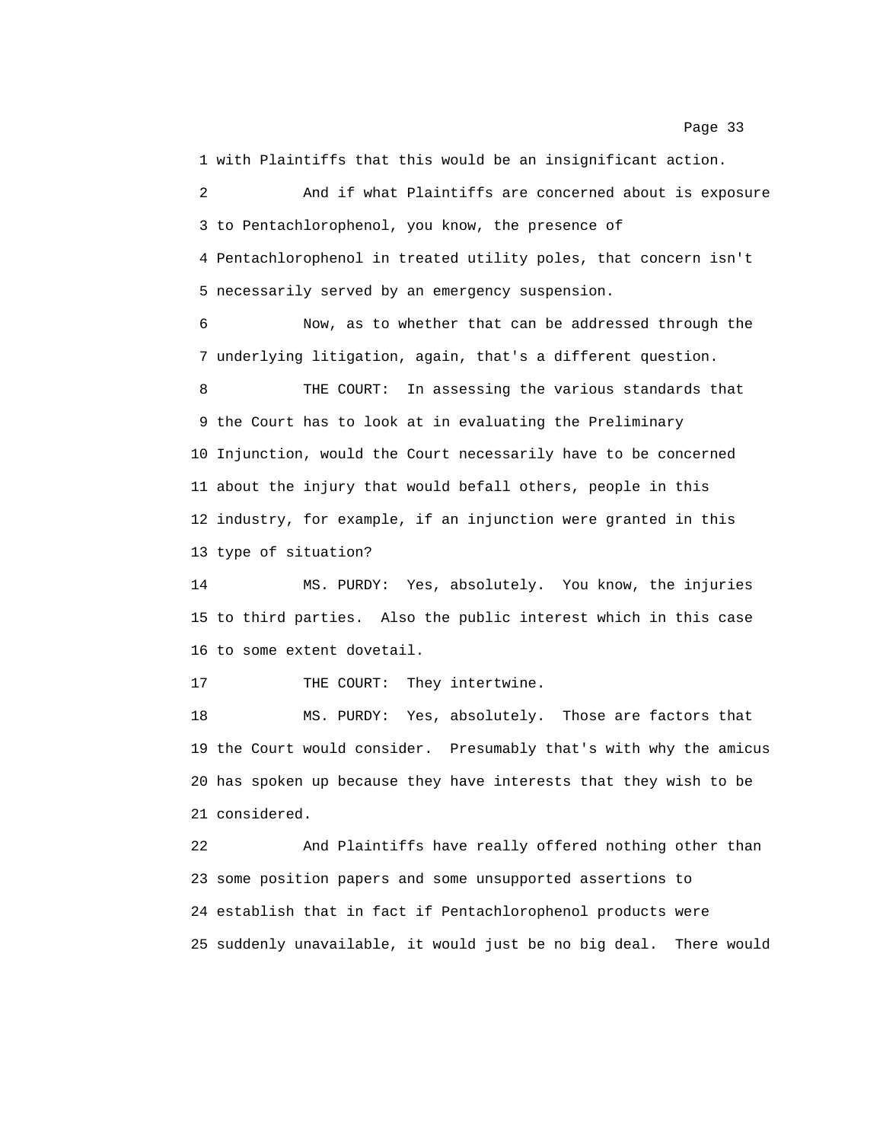1 with Plaintiffs that this would be an insignificant action.

2 And if what Plaintiffs are concerned about is exposure 3 to Pentachlorophenol, you know, the presence of 4 Pentachlorophenol in treated utility poles, that concern isn't 5 necessarily served by an emergency suspension.

6 Now, as to whether that can be addressed through the 7 underlying litigation, again, that's a different question.

8 THE COURT: In assessing the various standards that 9 the Court has to look at in evaluating the Preliminary 10 Injunction, would the Court necessarily have to be concerned 11 about the injury that would befall others, people in this 12 industry, for example, if an injunction were granted in this 13 type of situation?

14 MS. PURDY: Yes, absolutely. You know, the injuries 15 to third parties. Also the public interest which in this case 16 to some extent dovetail.

17 THE COURT: They intertwine.

18 MS. PURDY: Yes, absolutely. Those are factors that 19 the Court would consider. Presumably that's with why the amicus 20 has spoken up because they have interests that they wish to be 21 considered.

22 And Plaintiffs have really offered nothing other than 23 some position papers and some unsupported assertions to 24 establish that in fact if Pentachlorophenol products were 25 suddenly unavailable, it would just be no big deal. There would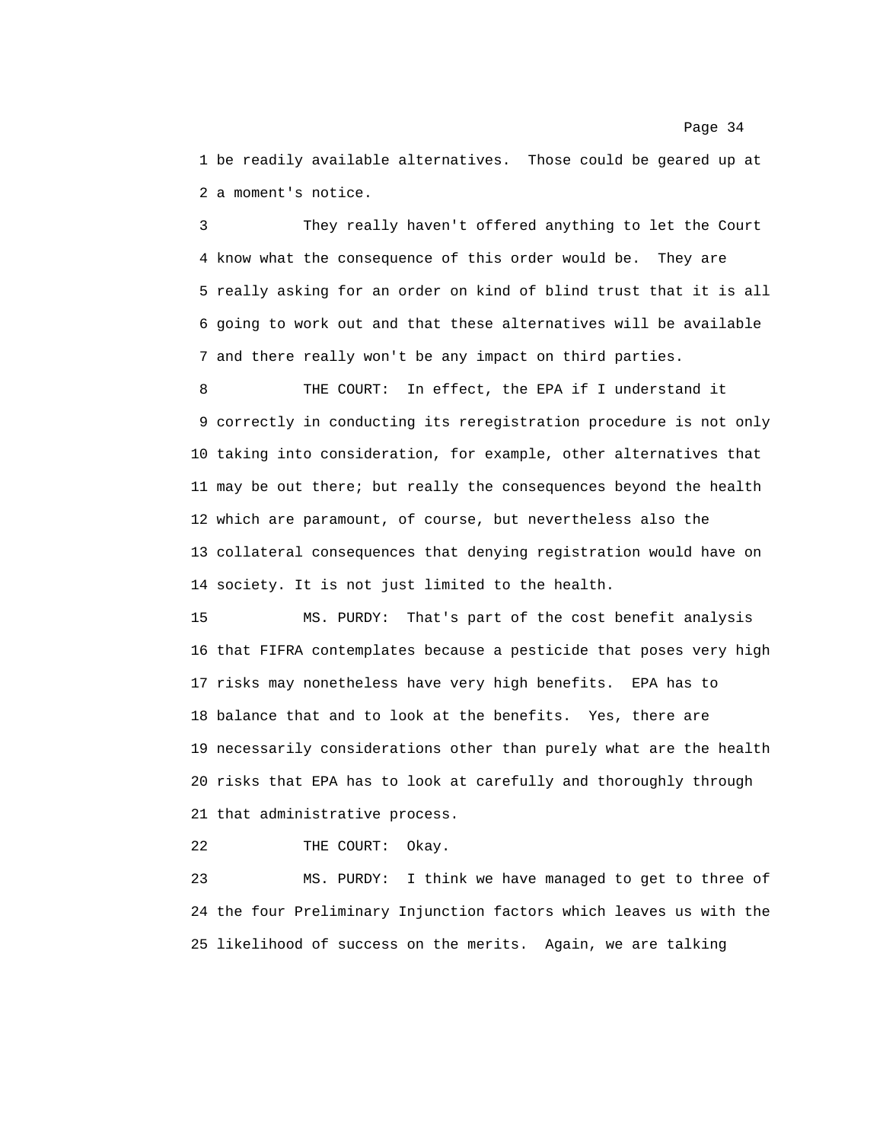1 be readily available alternatives. Those could be geared up at 2 a moment's notice.

3 They really haven't offered anything to let the Court 4 know what the consequence of this order would be. They are 5 really asking for an order on kind of blind trust that it is all 6 going to work out and that these alternatives will be available 7 and there really won't be any impact on third parties.

8 THE COURT: In effect, the EPA if I understand it 9 correctly in conducting its reregistration procedure is not only 10 taking into consideration, for example, other alternatives that 11 may be out there; but really the consequences beyond the health 12 which are paramount, of course, but nevertheless also the 13 collateral consequences that denying registration would have on 14 society. It is not just limited to the health.

15 MS. PURDY: That's part of the cost benefit analysis 16 that FIFRA contemplates because a pesticide that poses very high 17 risks may nonetheless have very high benefits. EPA has to 18 balance that and to look at the benefits. Yes, there are 19 necessarily considerations other than purely what are the health 20 risks that EPA has to look at carefully and thoroughly through 21 that administrative process.

22 THE COURT: Okay.

23 MS. PURDY: I think we have managed to get to three of 24 the four Preliminary Injunction factors which leaves us with the 25 likelihood of success on the merits. Again, we are talking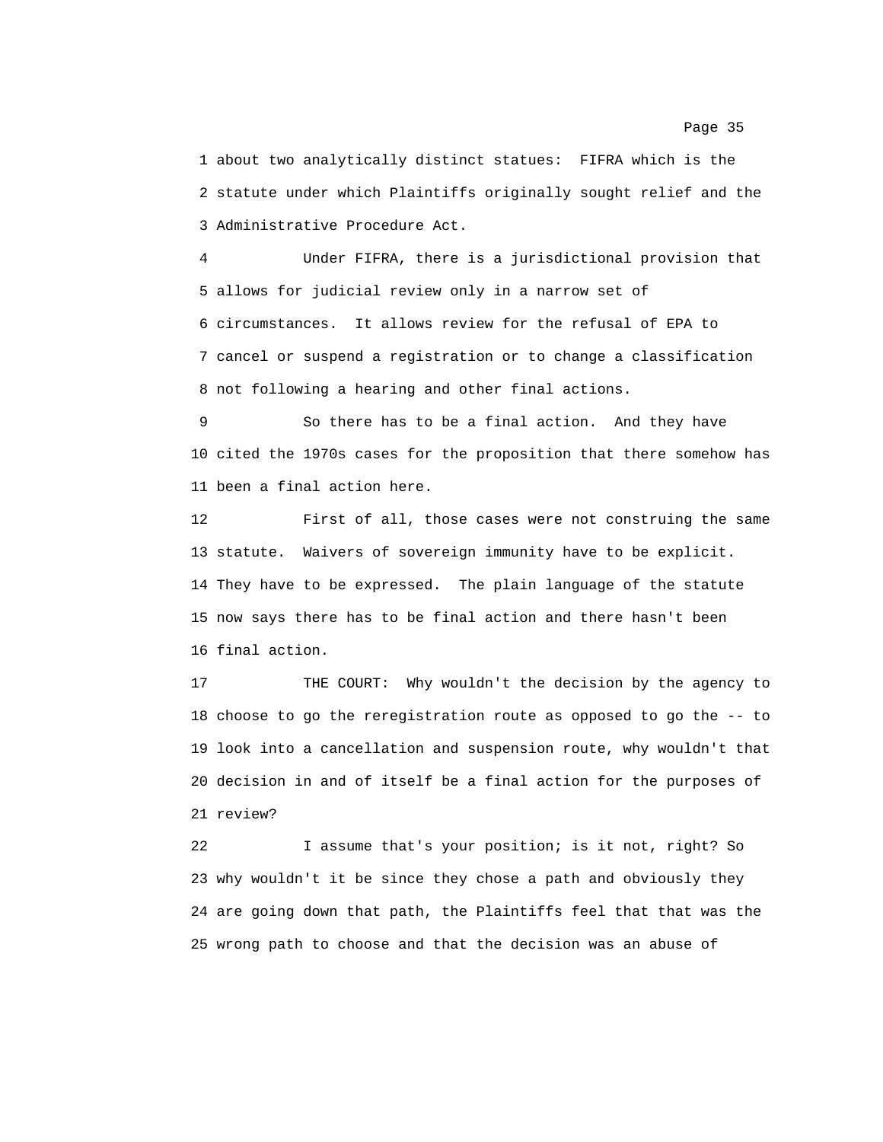1 about two analytically distinct statues: FIFRA which is the 2 statute under which Plaintiffs originally sought relief and the 3 Administrative Procedure Act.

4 Under FIFRA, there is a jurisdictional provision that 5 allows for judicial review only in a narrow set of 6 circumstances. It allows review for the refusal of EPA to 7 cancel or suspend a registration or to change a classification 8 not following a hearing and other final actions.

9 So there has to be a final action. And they have 10 cited the 1970s cases for the proposition that there somehow has 11 been a final action here.

12 First of all, those cases were not construing the same 13 statute. Waivers of sovereign immunity have to be explicit. 14 They have to be expressed. The plain language of the statute 15 now says there has to be final action and there hasn't been 16 final action.

17 THE COURT: Why wouldn't the decision by the agency to 18 choose to go the reregistration route as opposed to go the -- to 19 look into a cancellation and suspension route, why wouldn't that 20 decision in and of itself be a final action for the purposes of 21 review?

22 I assume that's your position; is it not, right? So 23 why wouldn't it be since they chose a path and obviously they 24 are going down that path, the Plaintiffs feel that that was the 25 wrong path to choose and that the decision was an abuse of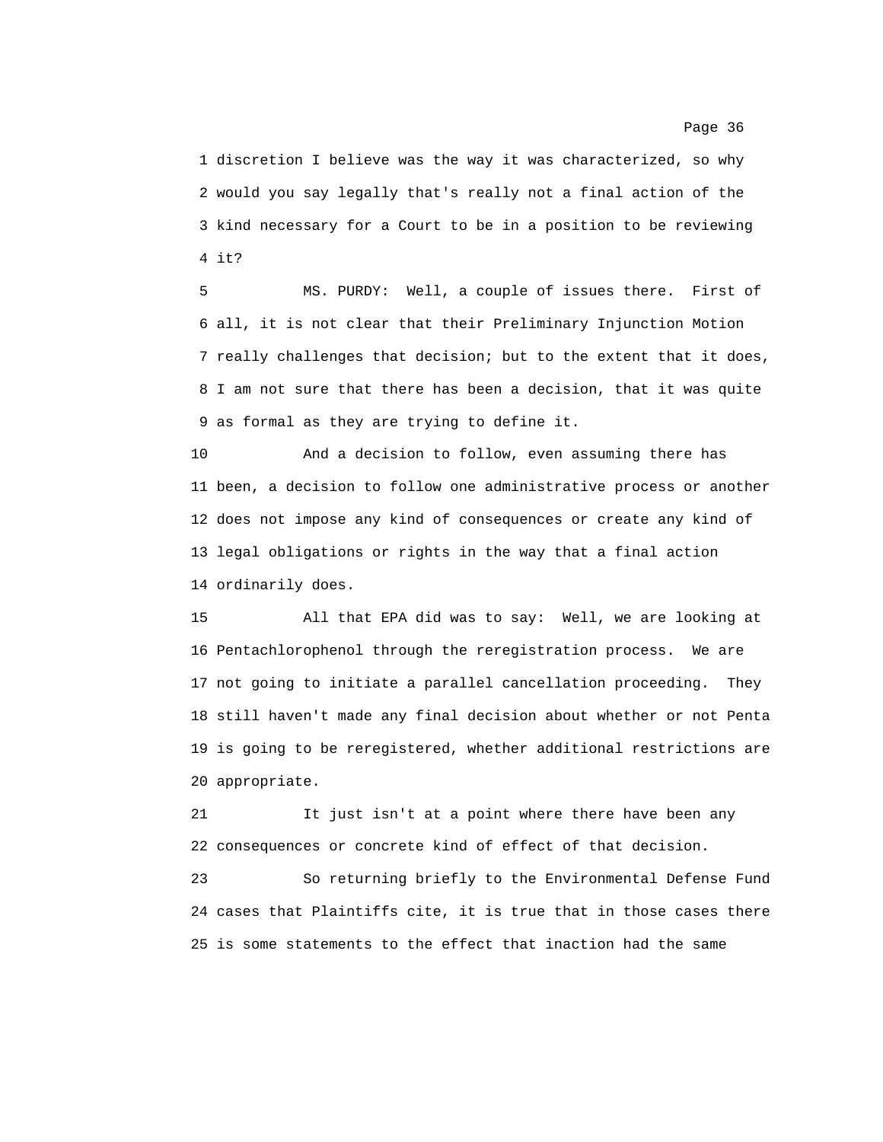1 discretion I believe was the way it was characterized, so why 2 would you say legally that's really not a final action of the 3 kind necessary for a Court to be in a position to be reviewing 4 it?

5 MS. PURDY: Well, a couple of issues there. First of 6 all, it is not clear that their Preliminary Injunction Motion 7 really challenges that decision; but to the extent that it does, 8 I am not sure that there has been a decision, that it was quite 9 as formal as they are trying to define it.

10 And a decision to follow, even assuming there has 11 been, a decision to follow one administrative process or another 12 does not impose any kind of consequences or create any kind of 13 legal obligations or rights in the way that a final action 14 ordinarily does.

15 All that EPA did was to say: Well, we are looking at 16 Pentachlorophenol through the reregistration process. We are 17 not going to initiate a parallel cancellation proceeding. They 18 still haven't made any final decision about whether or not Penta 19 is going to be reregistered, whether additional restrictions are 20 appropriate.

21 It just isn't at a point where there have been any 22 consequences or concrete kind of effect of that decision.

23 So returning briefly to the Environmental Defense Fund 24 cases that Plaintiffs cite, it is true that in those cases there 25 is some statements to the effect that inaction had the same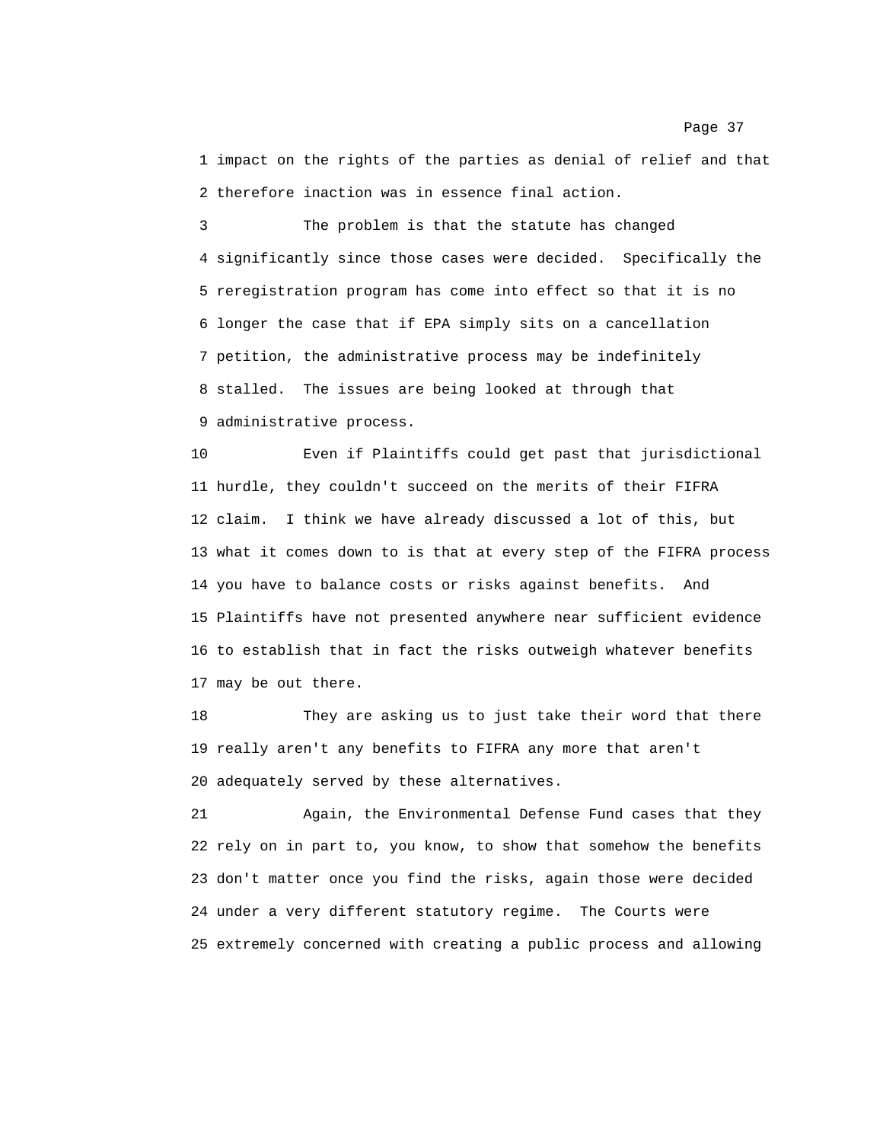1 impact on the rights of the parties as denial of relief and that 2 therefore inaction was in essence final action.

3 The problem is that the statute has changed 4 significantly since those cases were decided. Specifically the 5 reregistration program has come into effect so that it is no 6 longer the case that if EPA simply sits on a cancellation 7 petition, the administrative process may be indefinitely 8 stalled. The issues are being looked at through that 9 administrative process.

10 Even if Plaintiffs could get past that jurisdictional 11 hurdle, they couldn't succeed on the merits of their FIFRA 12 claim. I think we have already discussed a lot of this, but 13 what it comes down to is that at every step of the FIFRA process 14 you have to balance costs or risks against benefits. And 15 Plaintiffs have not presented anywhere near sufficient evidence 16 to establish that in fact the risks outweigh whatever benefits 17 may be out there.

18 They are asking us to just take their word that there 19 really aren't any benefits to FIFRA any more that aren't 20 adequately served by these alternatives.

21 Again, the Environmental Defense Fund cases that they 22 rely on in part to, you know, to show that somehow the benefits 23 don't matter once you find the risks, again those were decided 24 under a very different statutory regime. The Courts were 25 extremely concerned with creating a public process and allowing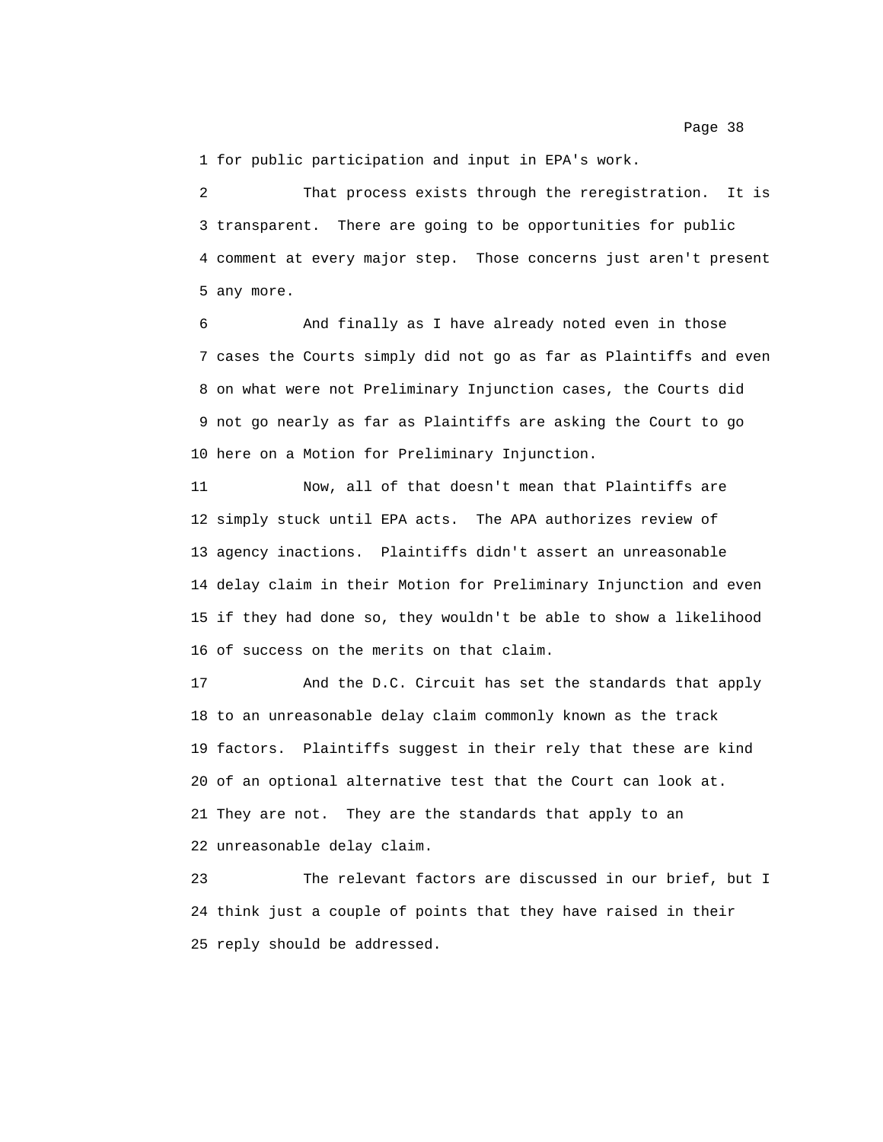1 for public participation and input in EPA's work.

2 That process exists through the reregistration. It is 3 transparent. There are going to be opportunities for public 4 comment at every major step. Those concerns just aren't present 5 any more.

6 And finally as I have already noted even in those 7 cases the Courts simply did not go as far as Plaintiffs and even 8 on what were not Preliminary Injunction cases, the Courts did 9 not go nearly as far as Plaintiffs are asking the Court to go 10 here on a Motion for Preliminary Injunction.

11 Now, all of that doesn't mean that Plaintiffs are 12 simply stuck until EPA acts. The APA authorizes review of 13 agency inactions. Plaintiffs didn't assert an unreasonable 14 delay claim in their Motion for Preliminary Injunction and even 15 if they had done so, they wouldn't be able to show a likelihood 16 of success on the merits on that claim.

17 And the D.C. Circuit has set the standards that apply 18 to an unreasonable delay claim commonly known as the track 19 factors. Plaintiffs suggest in their rely that these are kind 20 of an optional alternative test that the Court can look at. 21 They are not. They are the standards that apply to an 22 unreasonable delay claim.

23 The relevant factors are discussed in our brief, but I 24 think just a couple of points that they have raised in their 25 reply should be addressed.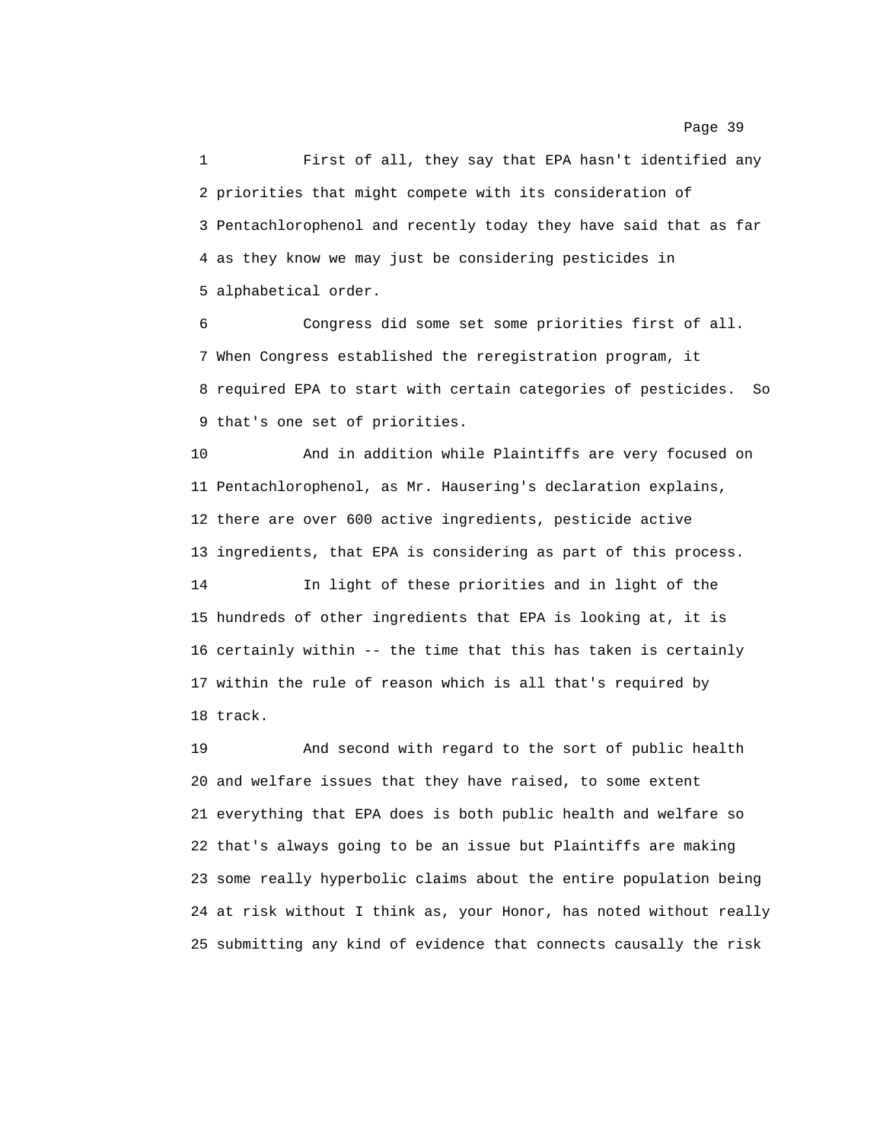1 First of all, they say that EPA hasn't identified any 2 priorities that might compete with its consideration of 3 Pentachlorophenol and recently today they have said that as far 4 as they know we may just be considering pesticides in 5 alphabetical order.

6 Congress did some set some priorities first of all. 7 When Congress established the reregistration program, it 8 required EPA to start with certain categories of pesticides. So 9 that's one set of priorities.

10 And in addition while Plaintiffs are very focused on 11 Pentachlorophenol, as Mr. Hausering's declaration explains, 12 there are over 600 active ingredients, pesticide active 13 ingredients, that EPA is considering as part of this process.

14 In light of these priorities and in light of the 15 hundreds of other ingredients that EPA is looking at, it is 16 certainly within -- the time that this has taken is certainly 17 within the rule of reason which is all that's required by 18 track.

19 And second with regard to the sort of public health 20 and welfare issues that they have raised, to some extent 21 everything that EPA does is both public health and welfare so 22 that's always going to be an issue but Plaintiffs are making 23 some really hyperbolic claims about the entire population being 24 at risk without I think as, your Honor, has noted without really 25 submitting any kind of evidence that connects causally the risk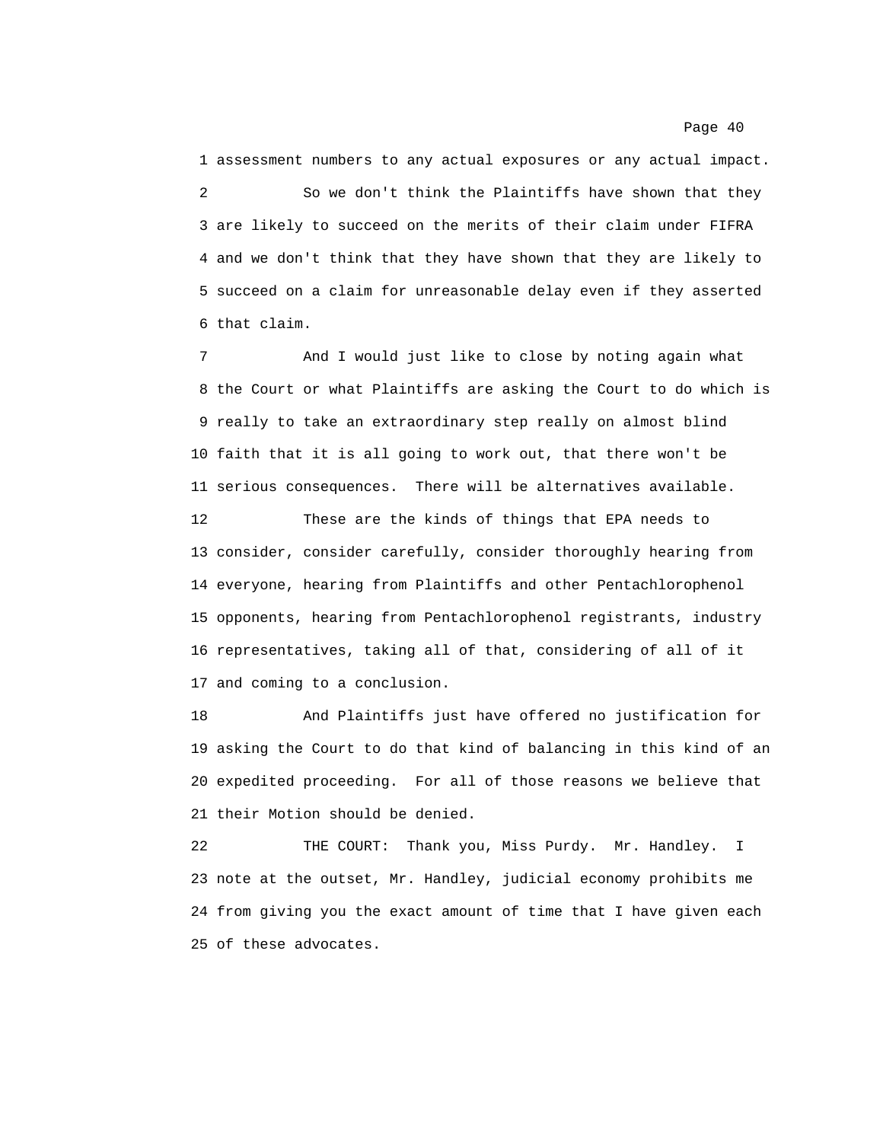1 assessment numbers to any actual exposures or any actual impact. 2 So we don't think the Plaintiffs have shown that they 3 are likely to succeed on the merits of their claim under FIFRA 4 and we don't think that they have shown that they are likely to 5 succeed on a claim for unreasonable delay even if they asserted 6 that claim.

7 And I would just like to close by noting again what 8 the Court or what Plaintiffs are asking the Court to do which is 9 really to take an extraordinary step really on almost blind 10 faith that it is all going to work out, that there won't be 11 serious consequences. There will be alternatives available.

12 These are the kinds of things that EPA needs to 13 consider, consider carefully, consider thoroughly hearing from 14 everyone, hearing from Plaintiffs and other Pentachlorophenol 15 opponents, hearing from Pentachlorophenol registrants, industry 16 representatives, taking all of that, considering of all of it 17 and coming to a conclusion.

18 And Plaintiffs just have offered no justification for 19 asking the Court to do that kind of balancing in this kind of an 20 expedited proceeding. For all of those reasons we believe that 21 their Motion should be denied.

22 THE COURT: Thank you, Miss Purdy. Mr. Handley. I 23 note at the outset, Mr. Handley, judicial economy prohibits me 24 from giving you the exact amount of time that I have given each 25 of these advocates.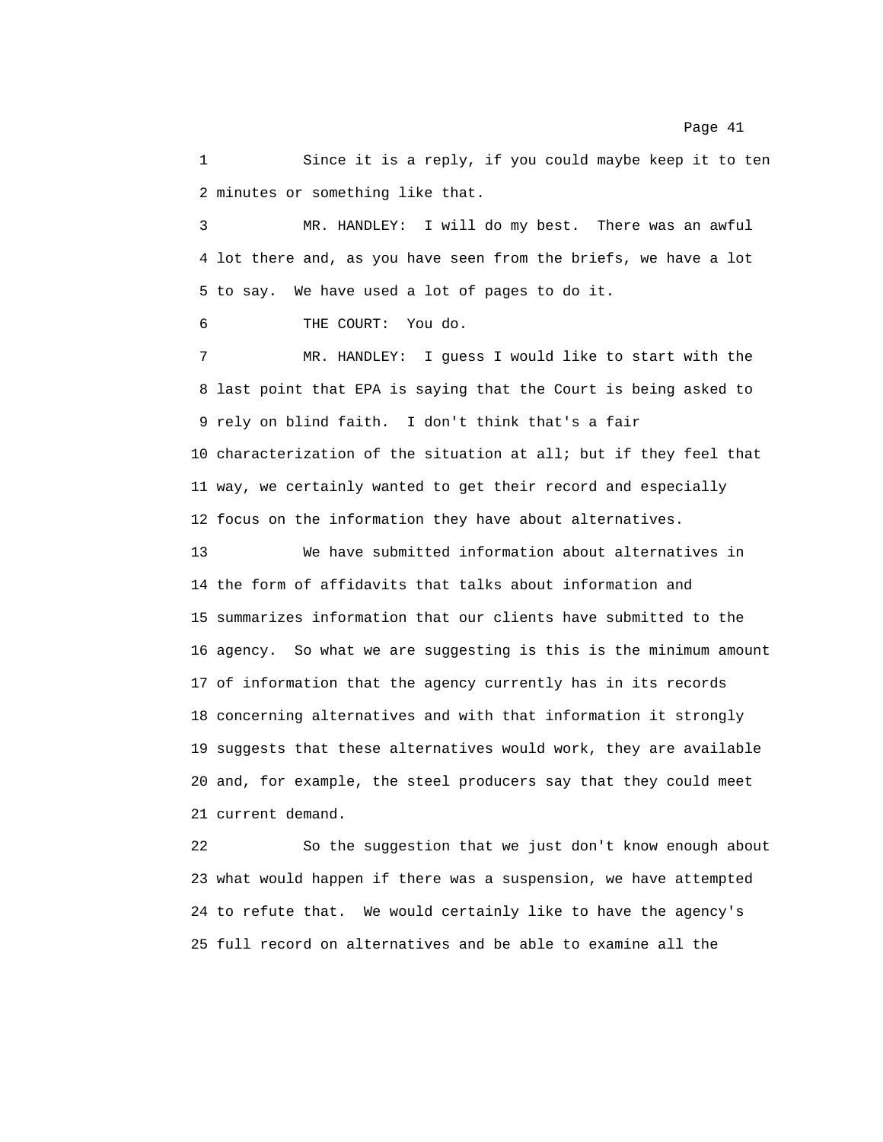1 Since it is a reply, if you could maybe keep it to ten 2 minutes or something like that.

3 MR. HANDLEY: I will do my best. There was an awful 4 lot there and, as you have seen from the briefs, we have a lot 5 to say. We have used a lot of pages to do it.

6 THE COURT: You do.

7 MR. HANDLEY: I guess I would like to start with the 8 last point that EPA is saying that the Court is being asked to 9 rely on blind faith. I don't think that's a fair 10 characterization of the situation at all; but if they feel that 11 way, we certainly wanted to get their record and especially 12 focus on the information they have about alternatives.

13 We have submitted information about alternatives in 14 the form of affidavits that talks about information and 15 summarizes information that our clients have submitted to the 16 agency. So what we are suggesting is this is the minimum amount 17 of information that the agency currently has in its records 18 concerning alternatives and with that information it strongly 19 suggests that these alternatives would work, they are available 20 and, for example, the steel producers say that they could meet 21 current demand.

22 So the suggestion that we just don't know enough about 23 what would happen if there was a suspension, we have attempted 24 to refute that. We would certainly like to have the agency's 25 full record on alternatives and be able to examine all the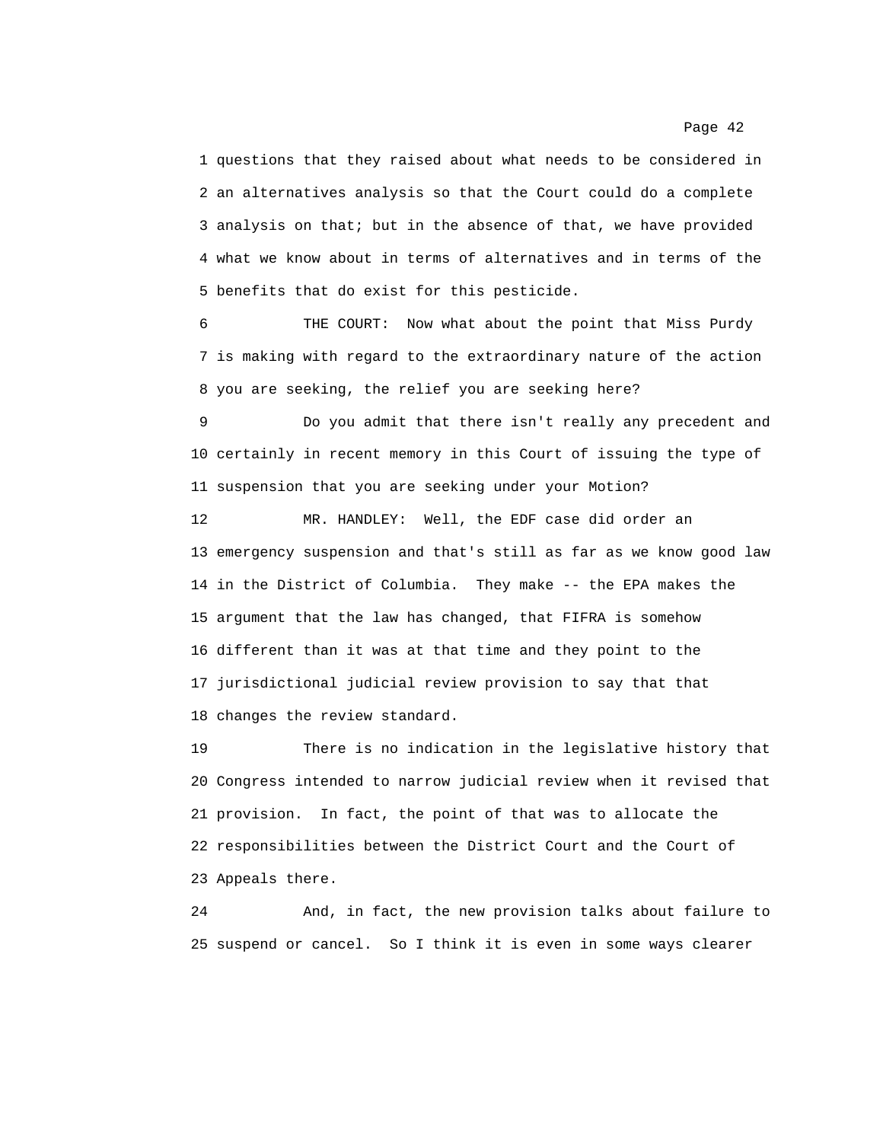1 questions that they raised about what needs to be considered in 2 an alternatives analysis so that the Court could do a complete 3 analysis on that; but in the absence of that, we have provided 4 what we know about in terms of alternatives and in terms of the 5 benefits that do exist for this pesticide.

6 THE COURT: Now what about the point that Miss Purdy 7 is making with regard to the extraordinary nature of the action 8 you are seeking, the relief you are seeking here?

9 Do you admit that there isn't really any precedent and 10 certainly in recent memory in this Court of issuing the type of 11 suspension that you are seeking under your Motion?

12 MR. HANDLEY: Well, the EDF case did order an 13 emergency suspension and that's still as far as we know good law 14 in the District of Columbia. They make -- the EPA makes the 15 argument that the law has changed, that FIFRA is somehow 16 different than it was at that time and they point to the 17 jurisdictional judicial review provision to say that that 18 changes the review standard.

19 There is no indication in the legislative history that 20 Congress intended to narrow judicial review when it revised that 21 provision. In fact, the point of that was to allocate the 22 responsibilities between the District Court and the Court of 23 Appeals there.

24 And, in fact, the new provision talks about failure to 25 suspend or cancel. So I think it is even in some ways clearer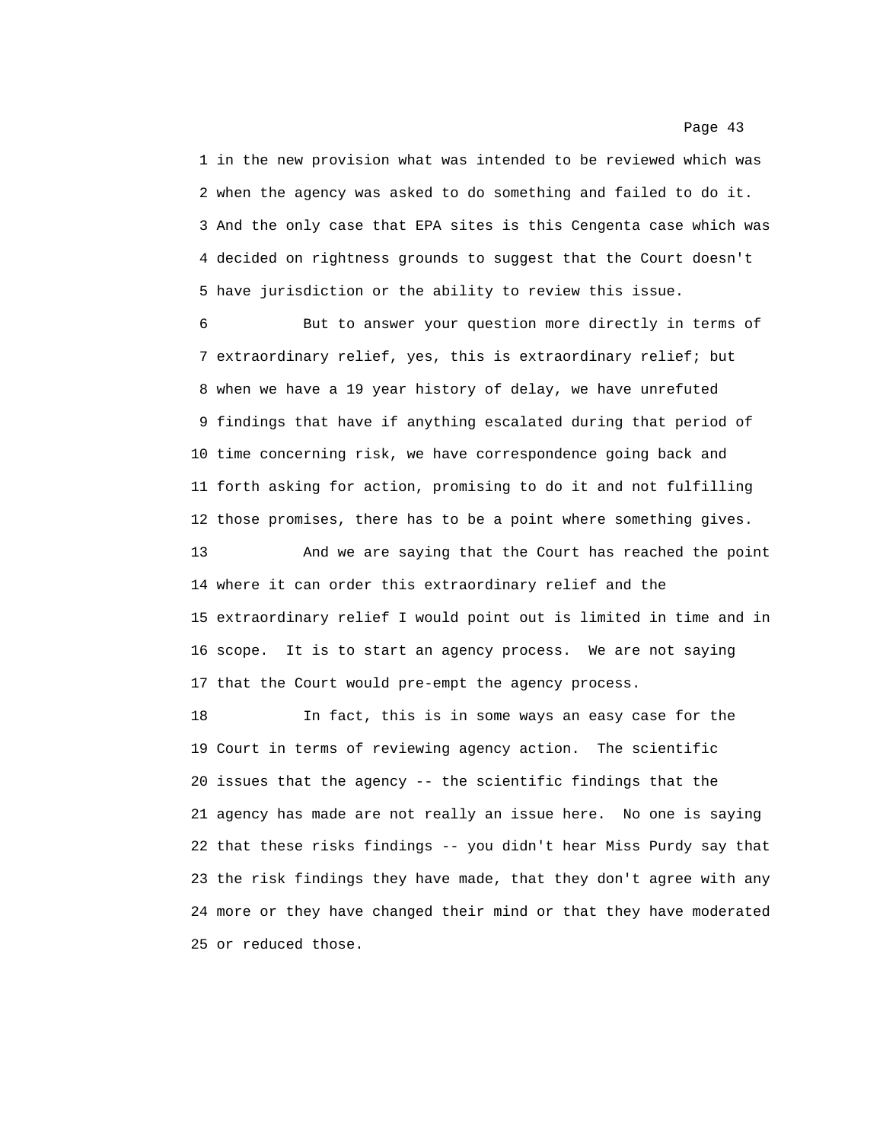1 in the new provision what was intended to be reviewed which was 2 when the agency was asked to do something and failed to do it. 3 And the only case that EPA sites is this Cengenta case which was 4 decided on rightness grounds to suggest that the Court doesn't 5 have jurisdiction or the ability to review this issue.

6 But to answer your question more directly in terms of 7 extraordinary relief, yes, this is extraordinary relief; but 8 when we have a 19 year history of delay, we have unrefuted 9 findings that have if anything escalated during that period of 10 time concerning risk, we have correspondence going back and 11 forth asking for action, promising to do it and not fulfilling 12 those promises, there has to be a point where something gives.

13 And we are saying that the Court has reached the point 14 where it can order this extraordinary relief and the 15 extraordinary relief I would point out is limited in time and in 16 scope. It is to start an agency process. We are not saying 17 that the Court would pre-empt the agency process.

18 In fact, this is in some ways an easy case for the 19 Court in terms of reviewing agency action. The scientific 20 issues that the agency -- the scientific findings that the 21 agency has made are not really an issue here. No one is saying 22 that these risks findings -- you didn't hear Miss Purdy say that 23 the risk findings they have made, that they don't agree with any 24 more or they have changed their mind or that they have moderated 25 or reduced those.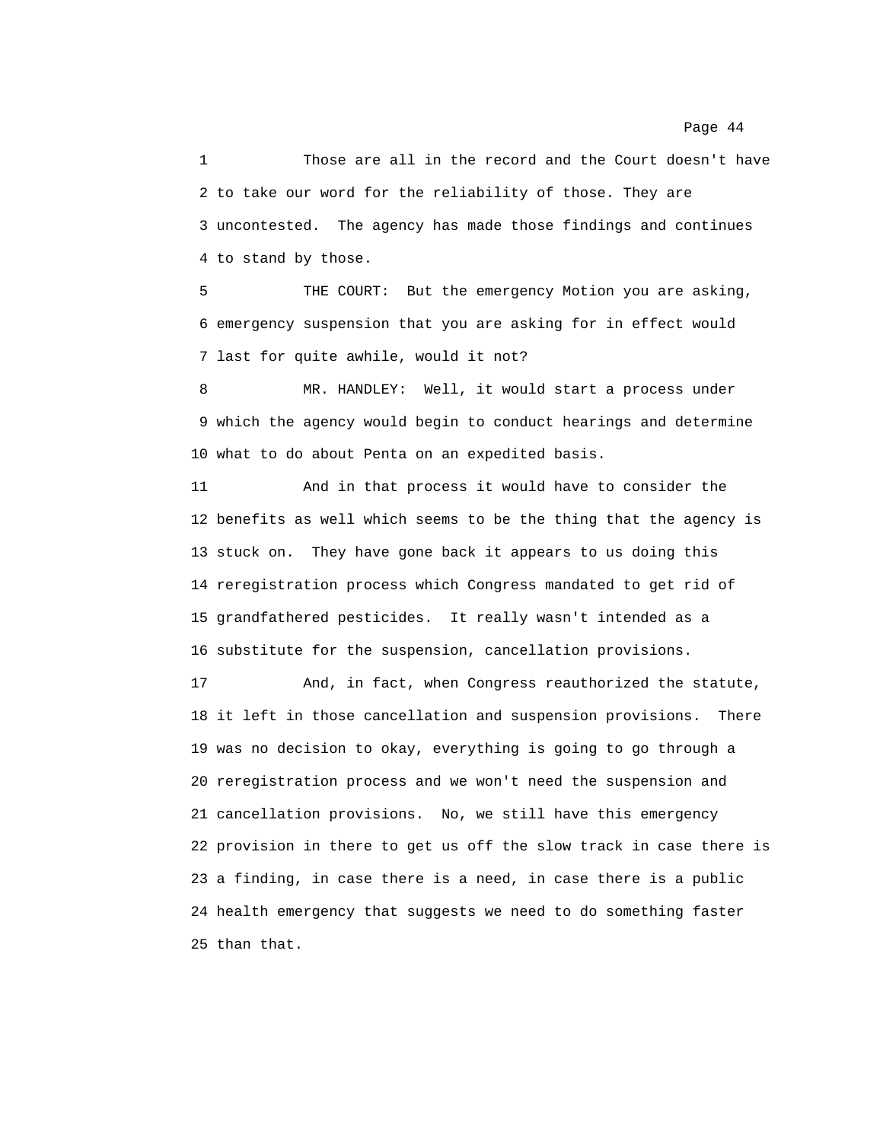1 Those are all in the record and the Court doesn't have 2 to take our word for the reliability of those. They are 3 uncontested. The agency has made those findings and continues 4 to stand by those.

5 THE COURT: But the emergency Motion you are asking, 6 emergency suspension that you are asking for in effect would 7 last for quite awhile, would it not?

8 MR. HANDLEY: Well, it would start a process under 9 which the agency would begin to conduct hearings and determine 10 what to do about Penta on an expedited basis.

11 And in that process it would have to consider the 12 benefits as well which seems to be the thing that the agency is 13 stuck on. They have gone back it appears to us doing this 14 reregistration process which Congress mandated to get rid of 15 grandfathered pesticides. It really wasn't intended as a 16 substitute for the suspension, cancellation provisions.

17 And, in fact, when Congress reauthorized the statute, 18 it left in those cancellation and suspension provisions. There 19 was no decision to okay, everything is going to go through a 20 reregistration process and we won't need the suspension and 21 cancellation provisions. No, we still have this emergency 22 provision in there to get us off the slow track in case there is 23 a finding, in case there is a need, in case there is a public 24 health emergency that suggests we need to do something faster 25 than that.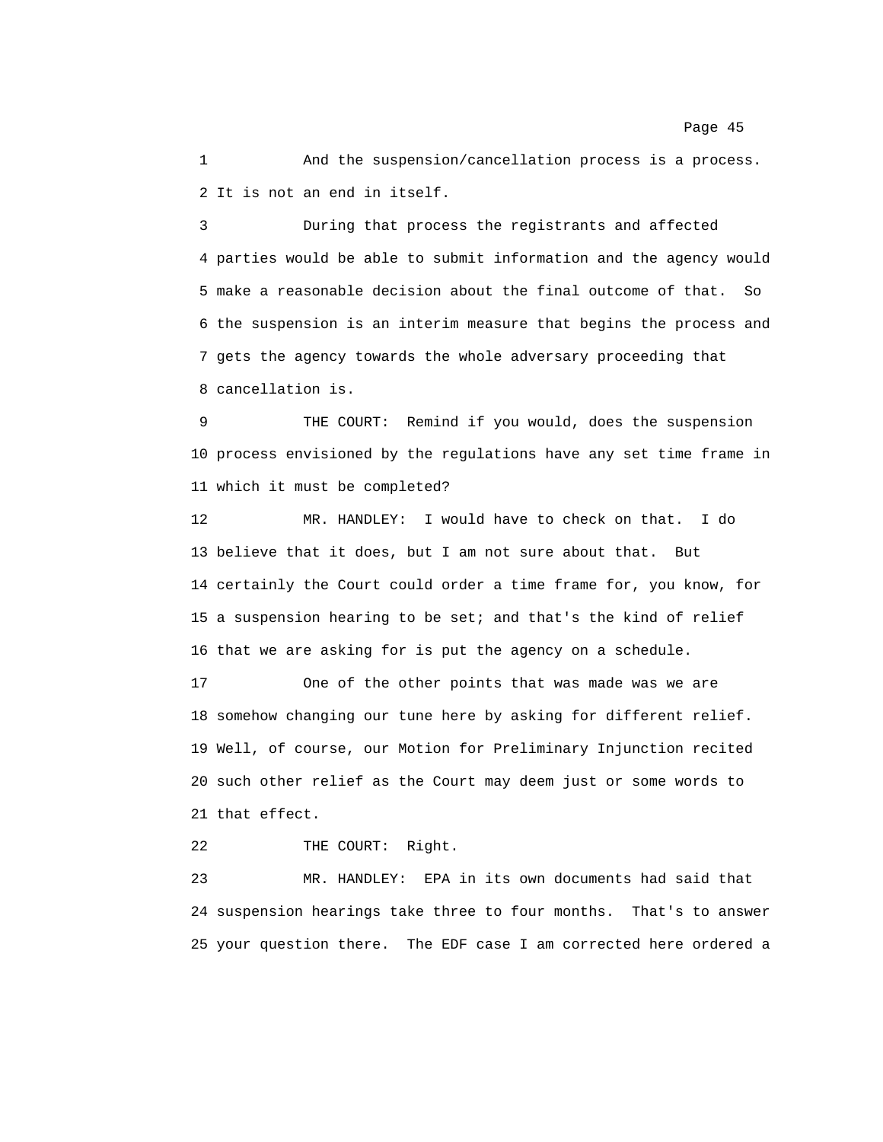1 And the suspension/cancellation process is a process. 2 It is not an end in itself.

3 During that process the registrants and affected 4 parties would be able to submit information and the agency would 5 make a reasonable decision about the final outcome of that. So 6 the suspension is an interim measure that begins the process and 7 gets the agency towards the whole adversary proceeding that 8 cancellation is.

9 THE COURT: Remind if you would, does the suspension 10 process envisioned by the regulations have any set time frame in 11 which it must be completed?

12 MR. HANDLEY: I would have to check on that. I do 13 believe that it does, but I am not sure about that. But 14 certainly the Court could order a time frame for, you know, for 15 a suspension hearing to be set; and that's the kind of relief 16 that we are asking for is put the agency on a schedule.

17 One of the other points that was made was we are 18 somehow changing our tune here by asking for different relief. 19 Well, of course, our Motion for Preliminary Injunction recited 20 such other relief as the Court may deem just or some words to 21 that effect.

22 THE COURT: Right.

23 MR. HANDLEY: EPA in its own documents had said that 24 suspension hearings take three to four months. That's to answer 25 your question there. The EDF case I am corrected here ordered a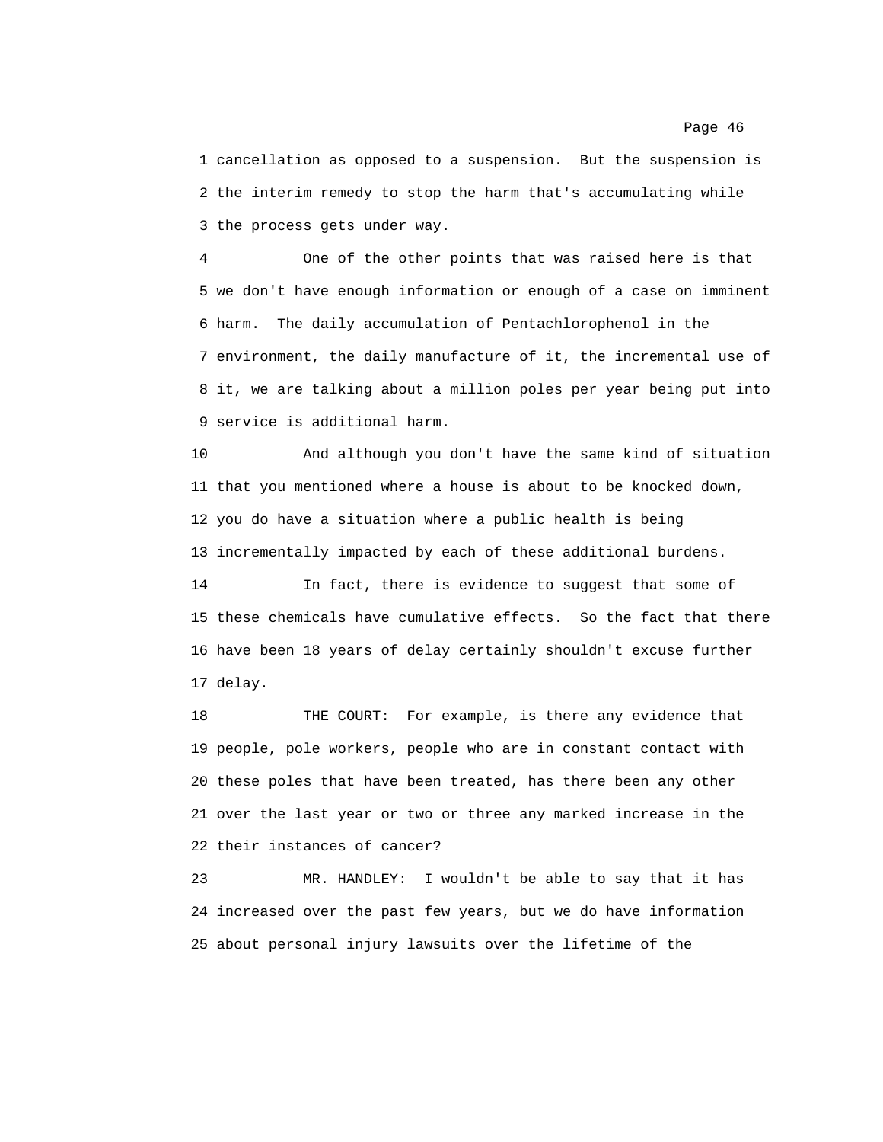1 cancellation as opposed to a suspension. But the suspension is 2 the interim remedy to stop the harm that's accumulating while 3 the process gets under way.

4 One of the other points that was raised here is that 5 we don't have enough information or enough of a case on imminent 6 harm. The daily accumulation of Pentachlorophenol in the 7 environment, the daily manufacture of it, the incremental use of 8 it, we are talking about a million poles per year being put into 9 service is additional harm.

10 And although you don't have the same kind of situation 11 that you mentioned where a house is about to be knocked down, 12 you do have a situation where a public health is being 13 incrementally impacted by each of these additional burdens.

14 In fact, there is evidence to suggest that some of 15 these chemicals have cumulative effects. So the fact that there 16 have been 18 years of delay certainly shouldn't excuse further 17 delay.

18 THE COURT: For example, is there any evidence that 19 people, pole workers, people who are in constant contact with 20 these poles that have been treated, has there been any other 21 over the last year or two or three any marked increase in the 22 their instances of cancer?

23 MR. HANDLEY: I wouldn't be able to say that it has 24 increased over the past few years, but we do have information 25 about personal injury lawsuits over the lifetime of the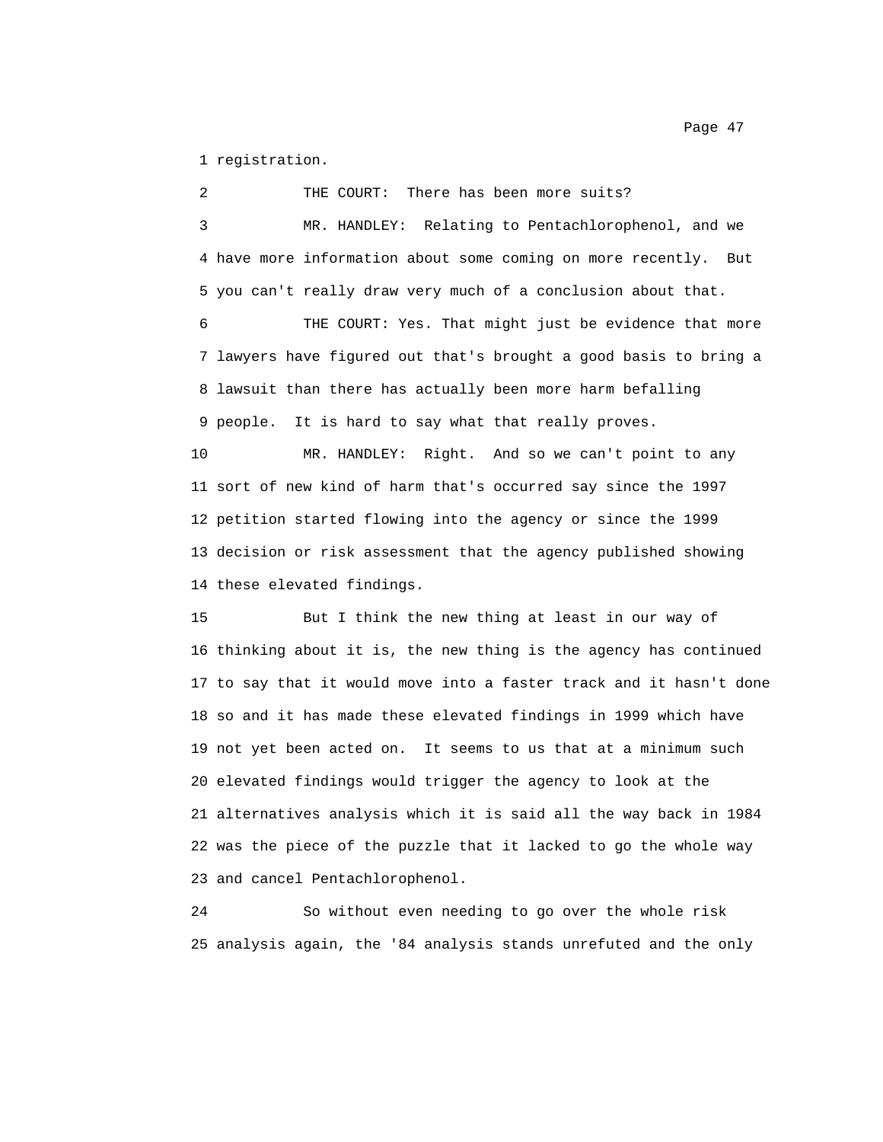1 registration.

2 THE COURT: There has been more suits? 3 MR. HANDLEY: Relating to Pentachlorophenol, and we 4 have more information about some coming on more recently. But 5 you can't really draw very much of a conclusion about that. 6 THE COURT: Yes. That might just be evidence that more 7 lawyers have figured out that's brought a good basis to bring a 8 lawsuit than there has actually been more harm befalling 9 people. It is hard to say what that really proves.

10 MR. HANDLEY: Right. And so we can't point to any 11 sort of new kind of harm that's occurred say since the 1997 12 petition started flowing into the agency or since the 1999 13 decision or risk assessment that the agency published showing 14 these elevated findings.

15 But I think the new thing at least in our way of 16 thinking about it is, the new thing is the agency has continued 17 to say that it would move into a faster track and it hasn't done 18 so and it has made these elevated findings in 1999 which have 19 not yet been acted on. It seems to us that at a minimum such 20 elevated findings would trigger the agency to look at the 21 alternatives analysis which it is said all the way back in 1984 22 was the piece of the puzzle that it lacked to go the whole way 23 and cancel Pentachlorophenol.

24 So without even needing to go over the whole risk 25 analysis again, the '84 analysis stands unrefuted and the only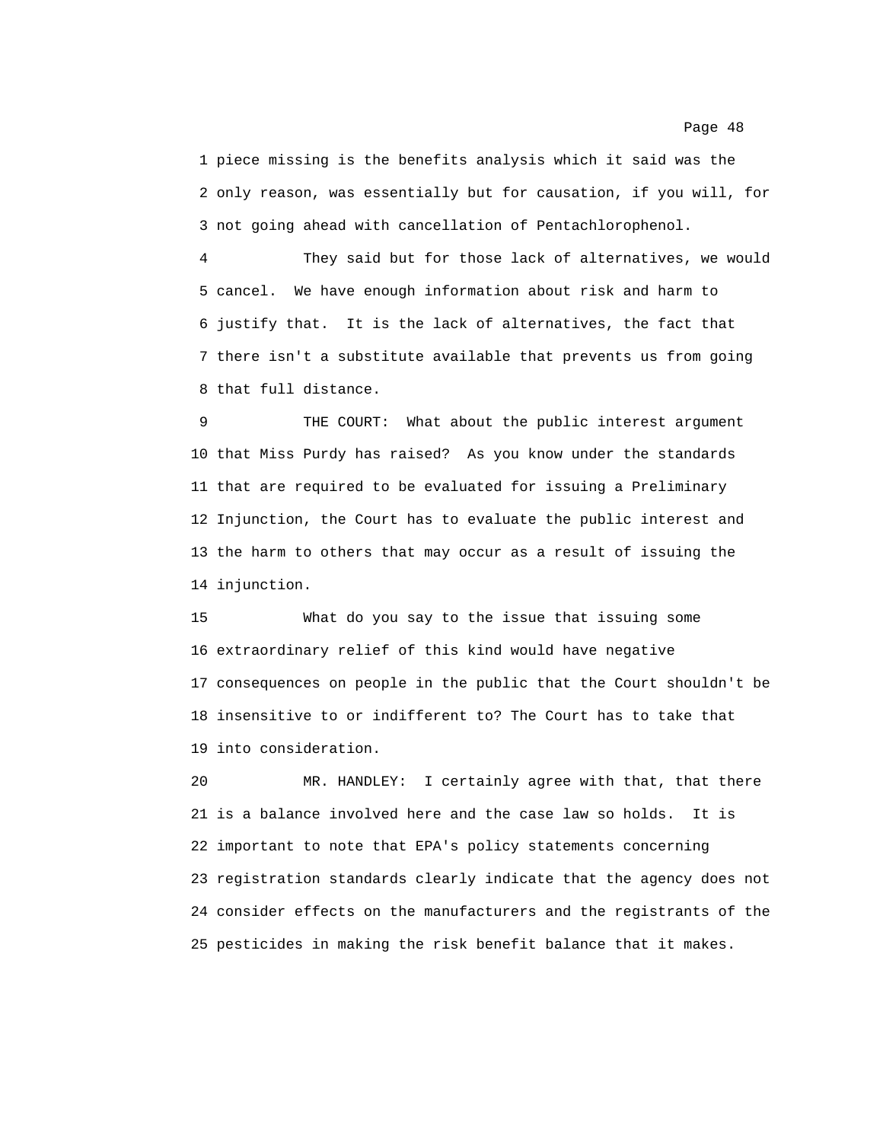1 piece missing is the benefits analysis which it said was the 2 only reason, was essentially but for causation, if you will, for 3 not going ahead with cancellation of Pentachlorophenol.

4 They said but for those lack of alternatives, we would 5 cancel. We have enough information about risk and harm to 6 justify that. It is the lack of alternatives, the fact that 7 there isn't a substitute available that prevents us from going 8 that full distance.

9 THE COURT: What about the public interest argument 10 that Miss Purdy has raised? As you know under the standards 11 that are required to be evaluated for issuing a Preliminary 12 Injunction, the Court has to evaluate the public interest and 13 the harm to others that may occur as a result of issuing the 14 injunction.

15 What do you say to the issue that issuing some 16 extraordinary relief of this kind would have negative 17 consequences on people in the public that the Court shouldn't be 18 insensitive to or indifferent to? The Court has to take that 19 into consideration.

20 MR. HANDLEY: I certainly agree with that, that there 21 is a balance involved here and the case law so holds. It is 22 important to note that EPA's policy statements concerning 23 registration standards clearly indicate that the agency does not 24 consider effects on the manufacturers and the registrants of the 25 pesticides in making the risk benefit balance that it makes.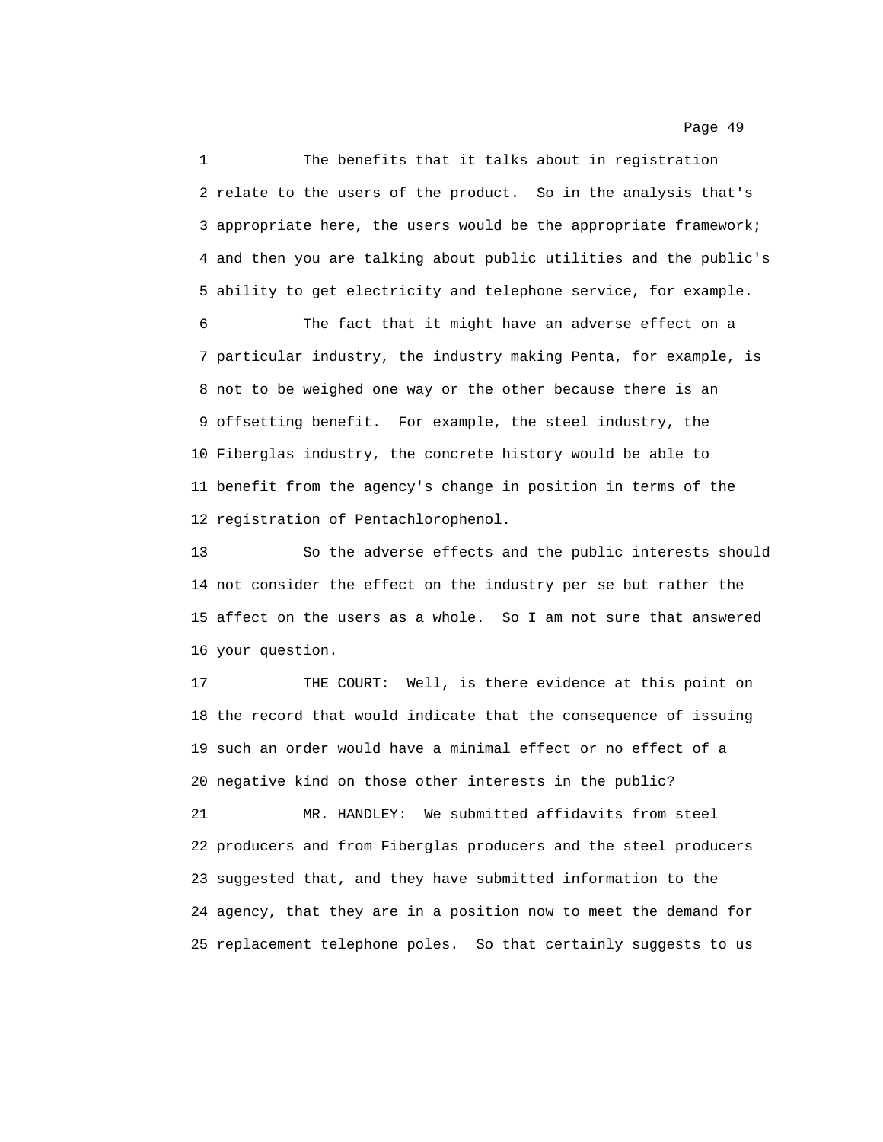1 The benefits that it talks about in registration 2 relate to the users of the product. So in the analysis that's 3 appropriate here, the users would be the appropriate framework; 4 and then you are talking about public utilities and the public's 5 ability to get electricity and telephone service, for example.

6 The fact that it might have an adverse effect on a 7 particular industry, the industry making Penta, for example, is 8 not to be weighed one way or the other because there is an 9 offsetting benefit. For example, the steel industry, the 10 Fiberglas industry, the concrete history would be able to 11 benefit from the agency's change in position in terms of the 12 registration of Pentachlorophenol.

13 So the adverse effects and the public interests should 14 not consider the effect on the industry per se but rather the 15 affect on the users as a whole. So I am not sure that answered 16 your question.

17 THE COURT: Well, is there evidence at this point on 18 the record that would indicate that the consequence of issuing 19 such an order would have a minimal effect or no effect of a 20 negative kind on those other interests in the public?

21 MR. HANDLEY: We submitted affidavits from steel 22 producers and from Fiberglas producers and the steel producers 23 suggested that, and they have submitted information to the 24 agency, that they are in a position now to meet the demand for 25 replacement telephone poles. So that certainly suggests to us

Page 49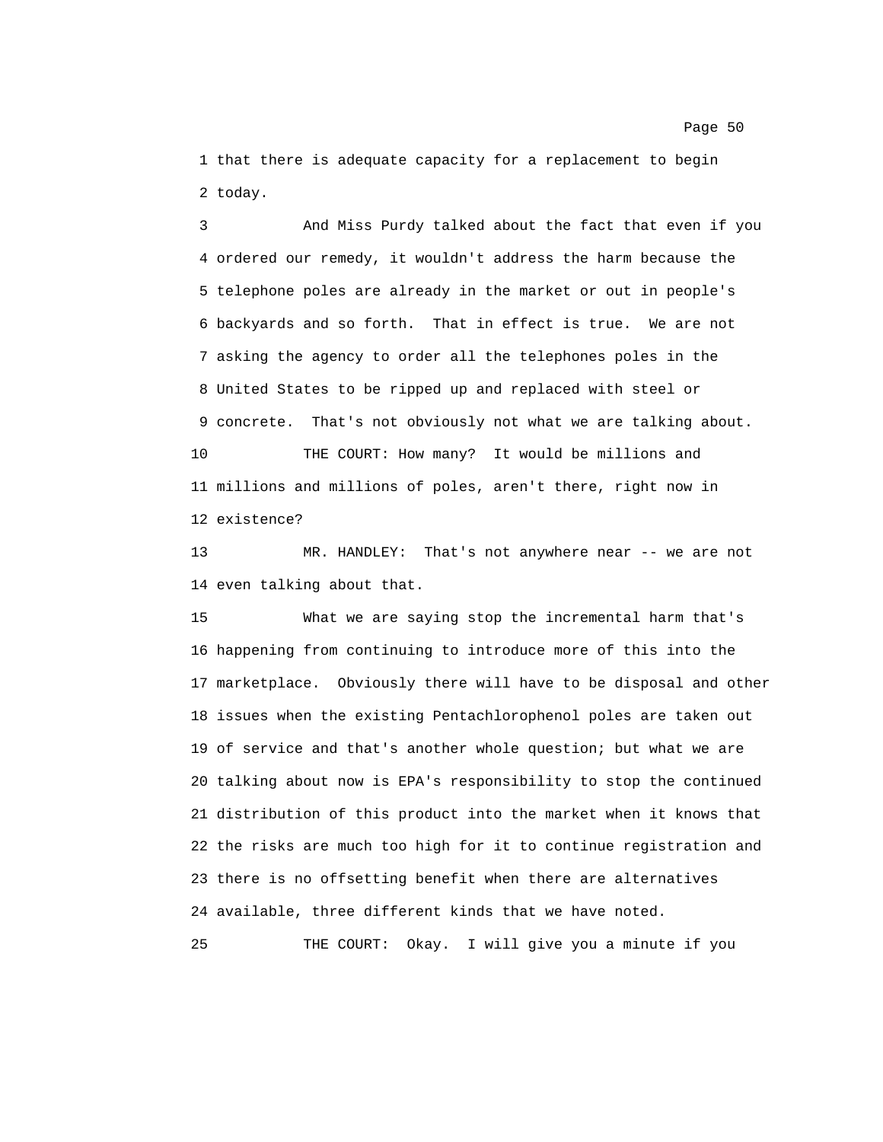1 that there is adequate capacity for a replacement to begin 2 today.

3 And Miss Purdy talked about the fact that even if you 4 ordered our remedy, it wouldn't address the harm because the 5 telephone poles are already in the market or out in people's 6 backyards and so forth. That in effect is true. We are not 7 asking the agency to order all the telephones poles in the 8 United States to be ripped up and replaced with steel or 9 concrete. That's not obviously not what we are talking about. 10 THE COURT: How many? It would be millions and 11 millions and millions of poles, aren't there, right now in 12 existence?

13 MR. HANDLEY: That's not anywhere near -- we are not 14 even talking about that.

15 What we are saying stop the incremental harm that's 16 happening from continuing to introduce more of this into the 17 marketplace. Obviously there will have to be disposal and other 18 issues when the existing Pentachlorophenol poles are taken out 19 of service and that's another whole question; but what we are 20 talking about now is EPA's responsibility to stop the continued 21 distribution of this product into the market when it knows that 22 the risks are much too high for it to continue registration and 23 there is no offsetting benefit when there are alternatives 24 available, three different kinds that we have noted.

25 THE COURT: Okay. I will give you a minute if you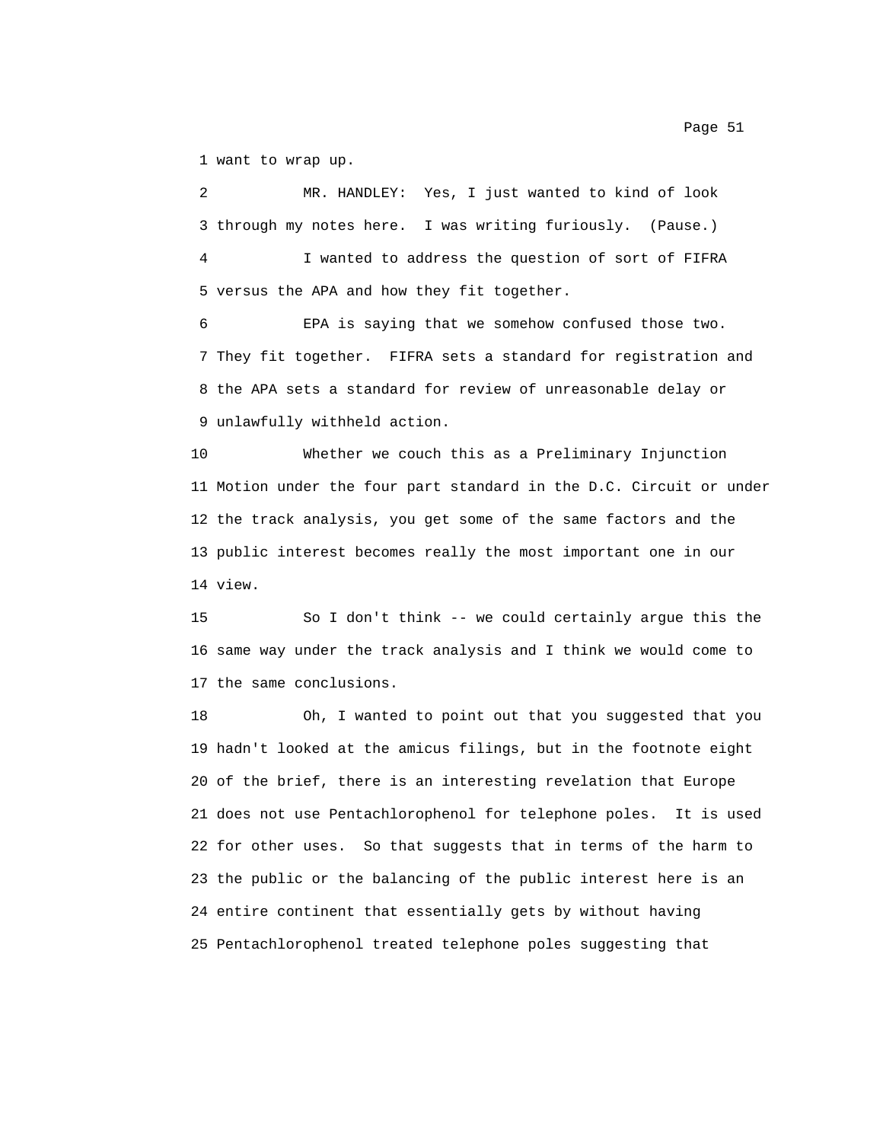1 want to wrap up.

2 MR. HANDLEY: Yes, I just wanted to kind of look 3 through my notes here. I was writing furiously. (Pause.) 4 I wanted to address the question of sort of FIFRA 5 versus the APA and how they fit together.

6 EPA is saying that we somehow confused those two. 7 They fit together. FIFRA sets a standard for registration and 8 the APA sets a standard for review of unreasonable delay or 9 unlawfully withheld action.

10 Whether we couch this as a Preliminary Injunction 11 Motion under the four part standard in the D.C. Circuit or under 12 the track analysis, you get some of the same factors and the 13 public interest becomes really the most important one in our 14 view.

15 So I don't think -- we could certainly argue this the 16 same way under the track analysis and I think we would come to 17 the same conclusions.

18 Oh, I wanted to point out that you suggested that you 19 hadn't looked at the amicus filings, but in the footnote eight 20 of the brief, there is an interesting revelation that Europe 21 does not use Pentachlorophenol for telephone poles. It is used 22 for other uses. So that suggests that in terms of the harm to 23 the public or the balancing of the public interest here is an 24 entire continent that essentially gets by without having 25 Pentachlorophenol treated telephone poles suggesting that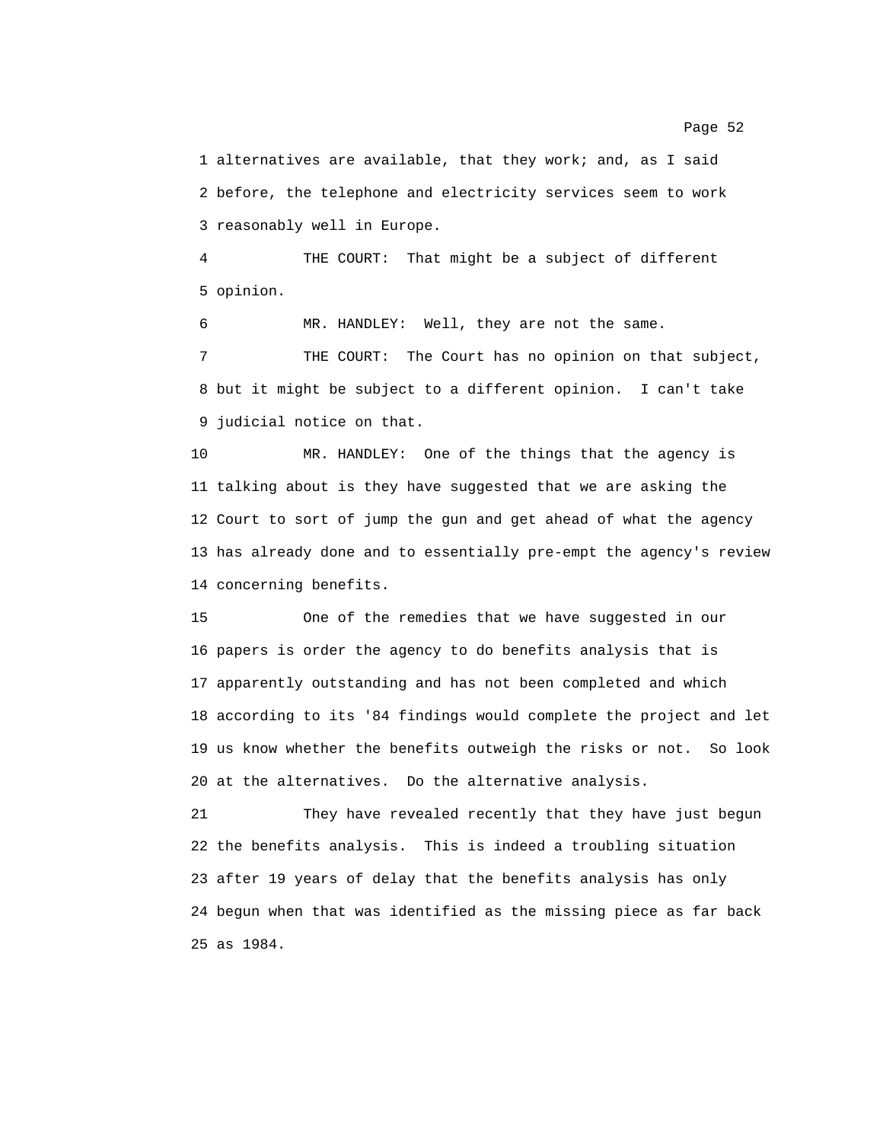1 alternatives are available, that they work; and, as I said 2 before, the telephone and electricity services seem to work 3 reasonably well in Europe.

4 THE COURT: That might be a subject of different 5 opinion.

6 MR. HANDLEY: Well, they are not the same.

7 THE COURT: The Court has no opinion on that subject, 8 but it might be subject to a different opinion. I can't take 9 judicial notice on that.

10 MR. HANDLEY: One of the things that the agency is 11 talking about is they have suggested that we are asking the 12 Court to sort of jump the gun and get ahead of what the agency 13 has already done and to essentially pre-empt the agency's review 14 concerning benefits.

15 One of the remedies that we have suggested in our 16 papers is order the agency to do benefits analysis that is 17 apparently outstanding and has not been completed and which 18 according to its '84 findings would complete the project and let 19 us know whether the benefits outweigh the risks or not. So look 20 at the alternatives. Do the alternative analysis.

21 They have revealed recently that they have just begun 22 the benefits analysis. This is indeed a troubling situation 23 after 19 years of delay that the benefits analysis has only 24 begun when that was identified as the missing piece as far back 25 as 1984.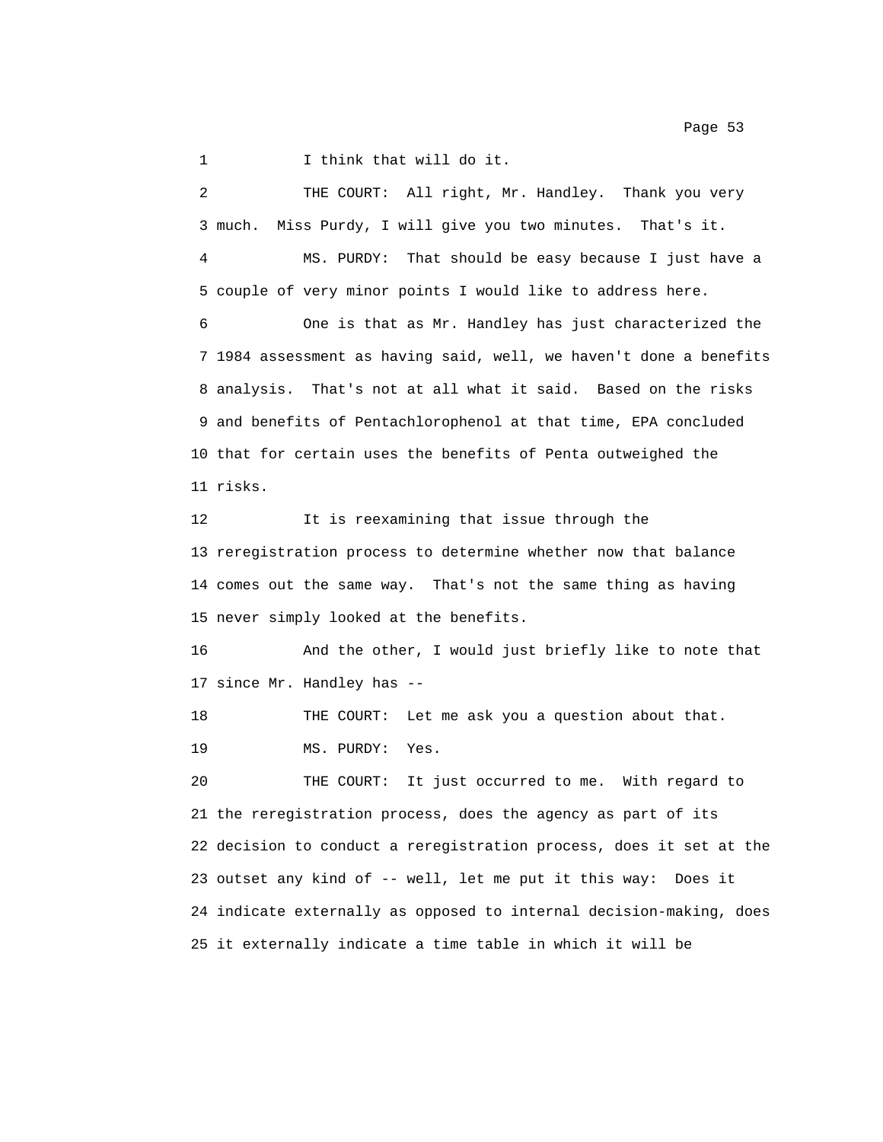Page 53

1 I think that will do it.

2 THE COURT: All right, Mr. Handley. Thank you very 3 much. Miss Purdy, I will give you two minutes. That's it. 4 MS. PURDY: That should be easy because I just have a 5 couple of very minor points I would like to address here. 6 One is that as Mr. Handley has just characterized the 7 1984 assessment as having said, well, we haven't done a benefits 8 analysis. That's not at all what it said. Based on the risks 9 and benefits of Pentachlorophenol at that time, EPA concluded 10 that for certain uses the benefits of Penta outweighed the 11 risks. 12 It is reexamining that issue through the 13 reregistration process to determine whether now that balance 14 comes out the same way. That's not the same thing as having 15 never simply looked at the benefits. 16 And the other, I would just briefly like to note that 17 since Mr. Handley has -- 18 THE COURT: Let me ask you a question about that. 19 MS. PURDY: Yes. 20 THE COURT: It just occurred to me. With regard to 21 the reregistration process, does the agency as part of its 22 decision to conduct a reregistration process, does it set at the 23 outset any kind of -- well, let me put it this way: Does it 24 indicate externally as opposed to internal decision-making, does 25 it externally indicate a time table in which it will be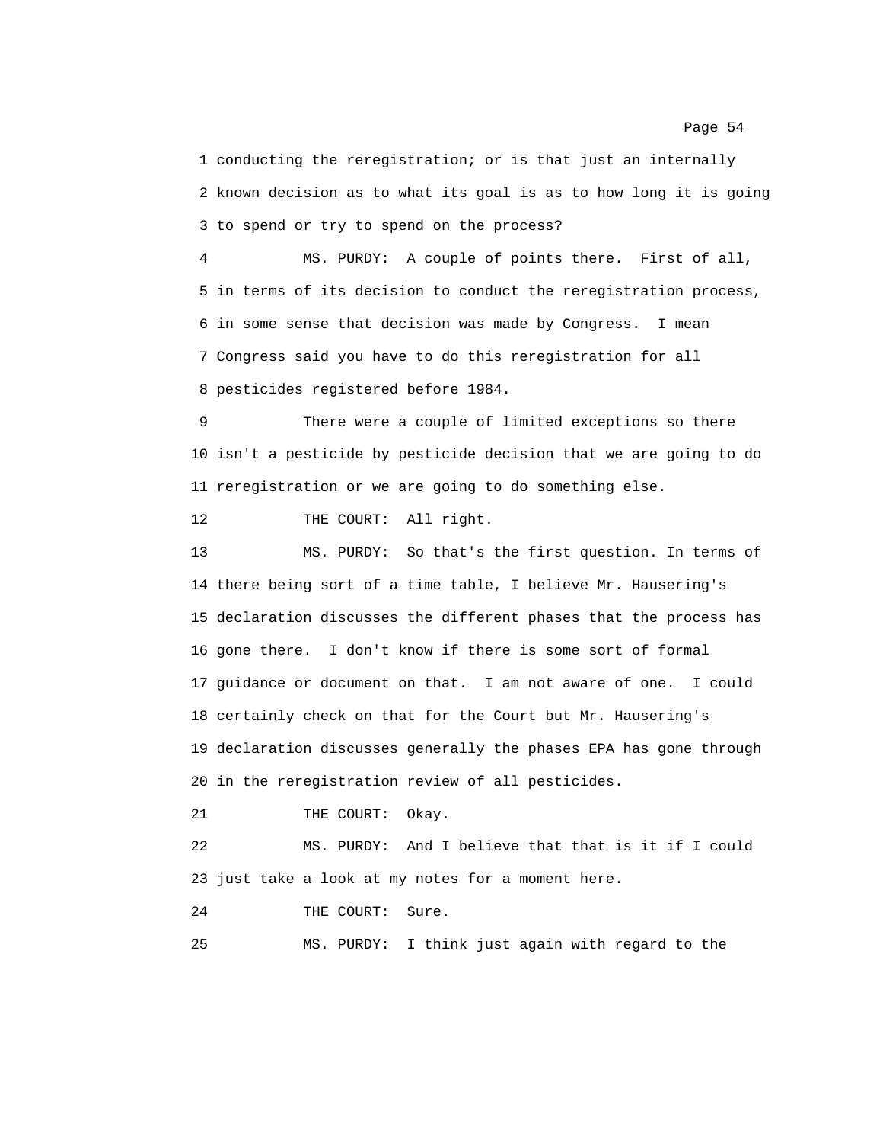1 conducting the reregistration; or is that just an internally 2 known decision as to what its goal is as to how long it is going 3 to spend or try to spend on the process?

4 MS. PURDY: A couple of points there. First of all, 5 in terms of its decision to conduct the reregistration process, 6 in some sense that decision was made by Congress. I mean 7 Congress said you have to do this reregistration for all 8 pesticides registered before 1984.

9 There were a couple of limited exceptions so there 10 isn't a pesticide by pesticide decision that we are going to do 11 reregistration or we are going to do something else.

12 THE COURT: All right.

13 MS. PURDY: So that's the first question. In terms of 14 there being sort of a time table, I believe Mr. Hausering's 15 declaration discusses the different phases that the process has 16 gone there. I don't know if there is some sort of formal 17 guidance or document on that. I am not aware of one. I could 18 certainly check on that for the Court but Mr. Hausering's 19 declaration discusses generally the phases EPA has gone through 20 in the reregistration review of all pesticides.

21 THE COURT: Okay.

22 MS. PURDY: And I believe that that is it if I could 23 just take a look at my notes for a moment here.

24 THE COURT: Sure.

25 MS. PURDY: I think just again with regard to the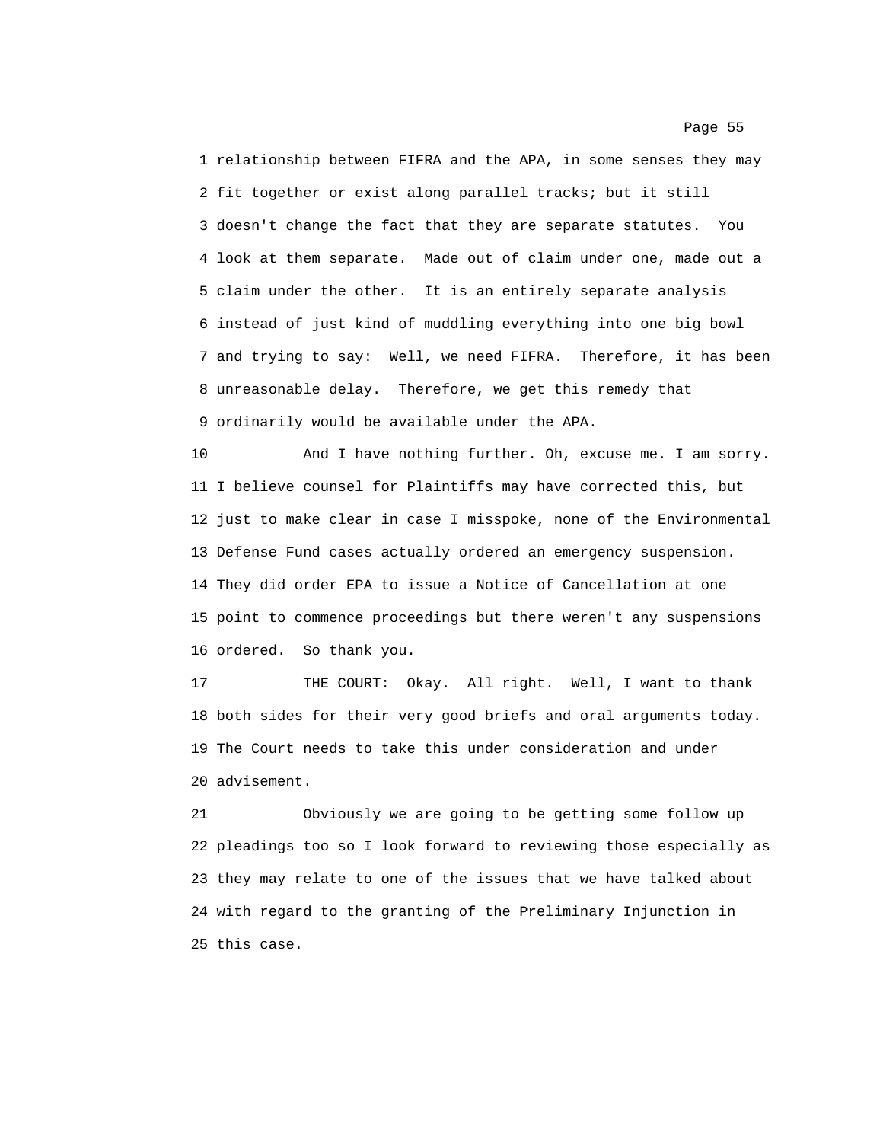1 relationship between FIFRA and the APA, in some senses they may 2 fit together or exist along parallel tracks; but it still 3 doesn't change the fact that they are separate statutes. You 4 look at them separate. Made out of claim under one, made out a 5 claim under the other. It is an entirely separate analysis 6 instead of just kind of muddling everything into one big bowl 7 and trying to say: Well, we need FIFRA. Therefore, it has been 8 unreasonable delay. Therefore, we get this remedy that 9 ordinarily would be available under the APA.

10 And I have nothing further. Oh, excuse me. I am sorry. 11 I believe counsel for Plaintiffs may have corrected this, but 12 just to make clear in case I misspoke, none of the Environmental 13 Defense Fund cases actually ordered an emergency suspension. 14 They did order EPA to issue a Notice of Cancellation at one 15 point to commence proceedings but there weren't any suspensions 16 ordered. So thank you.

17 THE COURT: Okay. All right. Well, I want to thank 18 both sides for their very good briefs and oral arguments today. 19 The Court needs to take this under consideration and under 20 advisement.

21 Obviously we are going to be getting some follow up 22 pleadings too so I look forward to reviewing those especially as 23 they may relate to one of the issues that we have talked about 24 with regard to the granting of the Preliminary Injunction in 25 this case.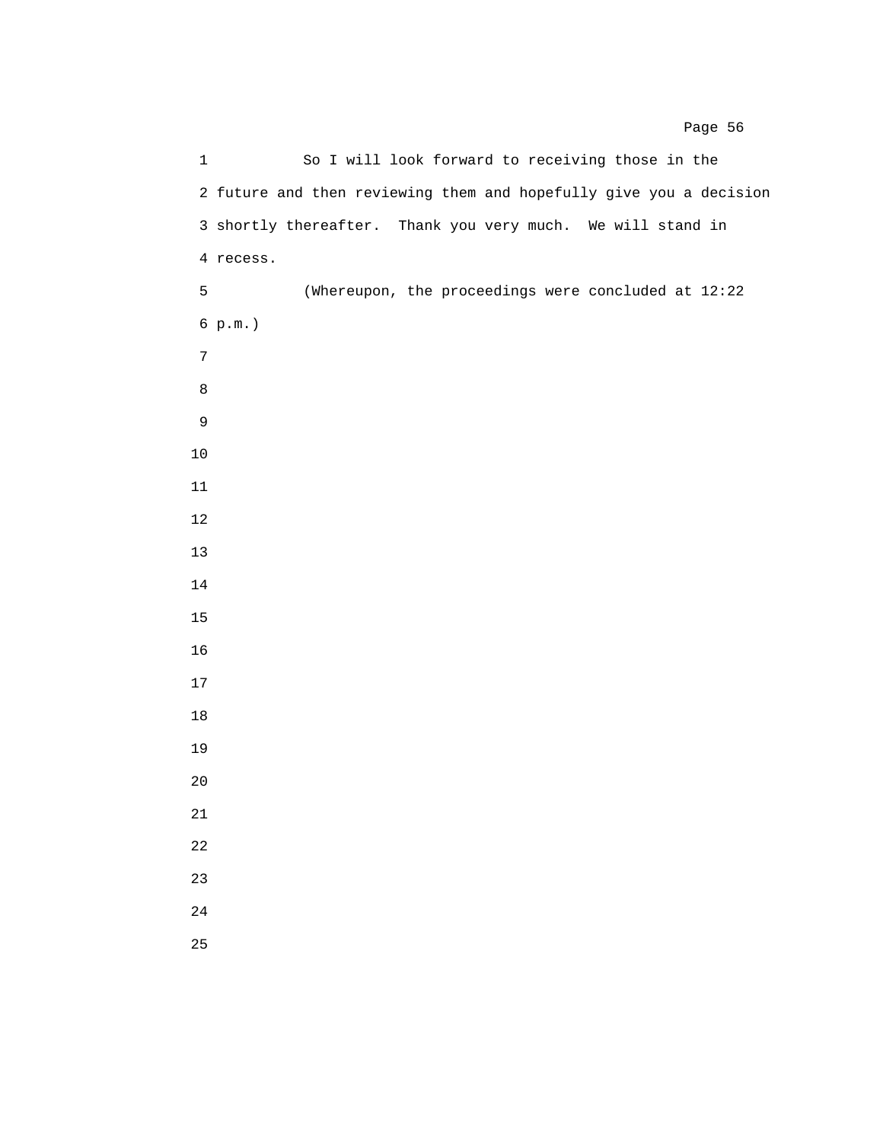1 So I will look forward to receiving those in the 2 future and then reviewing them and hopefully give you a decision 3 shortly thereafter. Thank you very much. We will stand in 4 recess. 5 (Whereupon, the proceedings were concluded at 12:22 6 p.m.)